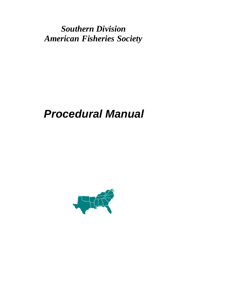*Southern Division American Fisheries Society*

# *Procedural Manual*

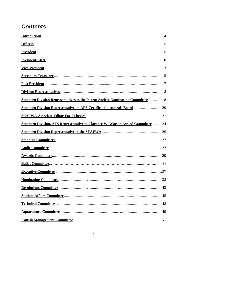# **Contents**

| Southern Division Representatives to the Parent Society Nominating Committee  18 |  |
|----------------------------------------------------------------------------------|--|
| Southern Division Representative on AFS Certification Appeals Board  20          |  |
|                                                                                  |  |
| Southern Division, AFS Representative to Clarence W. Watson Award Committee  24  |  |
|                                                                                  |  |
|                                                                                  |  |
|                                                                                  |  |
|                                                                                  |  |
|                                                                                  |  |
|                                                                                  |  |
|                                                                                  |  |
|                                                                                  |  |
|                                                                                  |  |
|                                                                                  |  |
|                                                                                  |  |
|                                                                                  |  |

 $\sqrt{2}$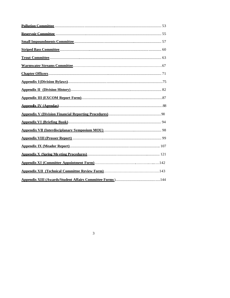$\overline{\mathbf{3}}$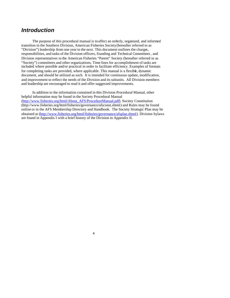# *Introduction*

The purpose of this procedural manual is to affect an orderly, organized, and informed transition in the Southern Division, American Fisheries Society (hereafter referred to as "Division") leadership from one year to the next. This document outlines the charges, responsibilities, and tasks of the Division officers, Standing and Technical Committees, and Division representatives to the American Fisheries "Parent" Society (hereafter referred to as "Society") committees and other organizations. Time lines for accomplishment of tasks are included where possible and/or practical in order to facilitate efficiency. Examples of formats for completing tasks are provided, where applicable. This manual is a flexible, dynamic document, and should be utilized as such. It is intended for continuous update, modification, and improvement to reflect the needs of the Division and its subunits. All Division members and leadership are encouraged to read it and offer suggested improvements.

In addition to the information contained in this Division Procedural Manual, other helpful information may be found in the Society Procedural Manual (http://www.fisheries.org/html/About\_AFS/ProcedureManual.pdf). Society Constitution (http://www.fisheries.org/html/fisheries/governance/afsconst.shtml) and Rules may be found online or in the AFS Membership Directory and Handbook. The Society Strategic Plan may be obtained at (http://www.fisheries.org/html/fisheries/governance/afsplan.shtml). Division bylaws are found in Appendix I with a brief history of the Division in Appendix II.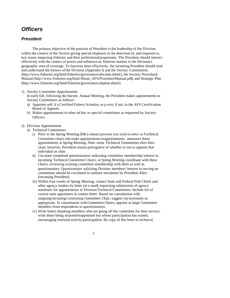# *Officers*

# *President*

The primary objective of the position of President is the leadership of the Division within the context of the Society giving special emphasis to the detection of, and response to, key issues impacting fisheries and their professional proponents. The President should interact effectively with the centers of power and influence on fisheries matters in the Division's geographic area of coverage. To function most effectively, the incoming President should read and understand the bylaws of the Division (Appendix I) and the Society Constitution, (http://www.fisheries.org/html/fisheries/governance/afsconst.shtml), the Society Procedural Manual(http://www.fisheries.org/html/About\_AFS/ProcedureManual.pdf), and Strategic Plan (http://www.fisheries.org/html/fisheries/governance/afsplan.shtml).

#### 1) Society Committee Appointments

In early fall, following the Society Annual Meeting, the President makes appointments to Society Committees as follows:

- a) Appoints self, if a Certified Fishery Scientist, or p roxy if not, to the AFS Certification Board of Appeals.
- b) Makes appointments to other ad hoc or special committees as requested by Society Officers.

#### 2) Division Appointments

- a) Technical Committees
	- i) Prior to the Spring Meeting (Feb ) contact persons you wish to serve as Technical Committee chairs and make appointments/reappointments; announce these appointments at Spring Meeting. Note: some Technical Committees elect their chair; however, President retains prerogative of whether or not to appoint that individual as chair.
	- ii) Circulate completed questionnaires indicating committee membership interest to incoming Technical Committee Chairs; at Spring Meeting coordinate with these Chairs, reviewing existing committee membership with them as well as questionnaires. Questionnaire soliciting Division members' interest in serving on committees should be circulated in summer newsletter by President-Elect (incoming President).
	- iii) Within four weeks of Spring Meeting, contact State and Federal Fish Chiefs and other agency leaders by letter (or e-mail) requesting submission of agency nominees for appointments to Division Technical Committees. Include list of current state appointees in contact letter. Based on consultation with outgoing/incoming/continuing Committee Chair, suggest rep lacements as appropriate. In consultation with Committee Chairs, appoint at-large Committee members from respondents to questionnaires.
	- iv) Write letters thanking members who are going off the committee for their service; write those being retained/reappointed but whose participation has waned, encouraging renewed activity/participation. By copy of this letter to technical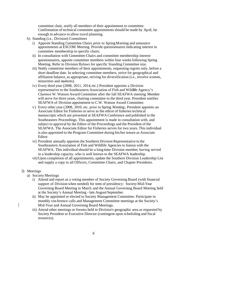committee chair, notify all members of their appointment to committee. Confirmation of technical committee appointments should be made by April, far enough in advance to allow travel planning.

- b) Standing (i.e., Division) Committees
	- i) Appoint Standing Committee Chairs prior to Spring Meeting and announce appointments at EXCOM Meeting. Provide questionnaires indicating interest in committee membership to specific chairs.
	- ii) In consultation with Committee Chairs and committee membership interest questionnaires, appoint committee members within four weeks following Spring Meeting. Refer to Division Bylaws for specific Standing Committee size.
	- iii) Notify committee members of their appointments, requesting regrets only, before a short deadline date. In selecting committee members, strive for geographical and affiliation balance, as appropriate, striving for diversification (i.e., involve women, minorities and students).
	- iv) Every third year (2008, 2011, 2014, etc.) President appoints a Division representative to the Southeastern Association of Fish and Wildlife Agency's Clarence W. Watson Award Committee after the fall SEAFWA meeting. Member will serve for three years, chairing committee in the third year. President notifies SEAFWA of Division appointment to C.W. Watson Award Committee.
	- v) Every other year (2008, 2010, etc. prior to Spring Meeting, President appoints an Associate Editor for Fisheries to serve as the editor of fisheries technical manuscripts which are presented at SEAFWA Conference and published in the Southeastern Proceedings. This appointment is made in consultation with, and subject to approval by the Editor of the Proceedings and the President of the SEAFWA. The Associate Editor for Fisheries serves for two years. This individual is also appointed to the Program Committee during his/her tenure as Associate Editor.
	- vi) President annually appoints the Southern Division Representative to the Southeastern Association of Fish and Wildlife Agencies to liaison with the SEAFWA. This individual should be a long-time Division member, having served in a leadership capacity, who is well known to the SEAFWA leadership.
	- vii) Upon completion of all appointments, update the Southern Division Leadership List and supply a copy to all Officers, Committee Chairs, and Chapter Presidents.

#### 3) Meetings

- a) Society Meetings
	- i) Attend and report as a voting member of Society Governing Board (with financial support of Division when needed) for term of presidency: Society Mid-Year Governing Board Meeting in March and the Annual Governing Board Meeting held at the Society's Annual Meeting - late August/September.
	- ii) May be appointed or elected to Society Management Committee. Participate in monthly con ference calls and Management Committee meetings at the Society's Mid-Year and Annual Governing Board Meetings.
	- iii) Attend other meetings or forums held in Division's geographic area as requested by Society President or Executive Director (contingent upon scheduling and fiscal resources).
		- 6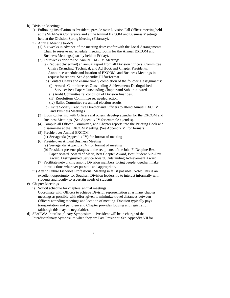#### b) Division Meetings

- i) Following installation as President, preside over Division Fall Officer meeting held at the SEAFWA Conference and at the Annual EXCOM and Business Meetings held at the Division Spring Meeting (February).
- ii) Annu al Meeting to -do's:
	- (1) Six weeks in advance of the meeting date: confer with the Local Arrangements Chair to reserve and schedule meeting rooms for the Annual EXCOM and Business Meetings (usually held on Friday).
	- (2) Four weeks prior to the Annual EXCOM Meeting:
		- (a) Request (by e-mail) an annual report from all Division Officers, Committee Chairs (Standing, Technical, and Ad Hoc), and Chapter Presidents. Announce schedule and location of EXCOM and Business Meetings in request for reports. See Appendix III for format.
			- (b) Contact Chairs and ensure timely completion of the following assignments:
				- (i) Awards Committee re: Outstanding Achievement; Distinguished Service; Best Paper; Outstanding Chapter and Sub-unit awards.
				- (ii) Audit Committee re: condition of Division finances.
				- (iii) Resolutions Committee re: needed action.
				- (iv) Ballot Committee re: annual election results.
			- (c) Invite Society Executive Director and Officers to attend Annual EXCOM and Business Meeting s
	- (3) Upon conferring with Officers and others, develop agendas for the EXCOM and Business Meetings. (See Appendix IV for example agendas).
	- (4) Compile all Officer, Committee, and Chapter reports into the Briefing Book and disseminate at the EXCOM Meeting. (See Appendix VI for format).
	- (5) Preside over Annual EXCOM
		- (a) See agenda (Appendix IV) for format of meeting
	- (6) Preside over Annual Business Meeting
		- (a) See agenda (Appendix IV) for format of meeting
		- (b) President presents plaques to the recipients of the John F. Dequine Best Paper Award, Award of Merit, Best Chapter Award, Best Student Sub-Unit Award, Distinguished Service Award, Outstanding Achievement Award
	- (7) Facilitate networking among Division members. Bring people together; make introductions wherever possible and appropriate.
- iii) Attend Future Fisheries Professional Meeting in fall if possible. Note: This is an excellent opportunity for Southern Division leadership to interact informally with students and faculty to ascertain needs of students.
- c) Chapter Meetings
	- i) Solicit schedule for chapters' annual meetings.
		- Coordinate with Officers to achieve Division representation at as many chapter meetings as possible with effort given to minimize travel distances between Officers attending meetings and location of meeting. Division typically pays transportation and per diem and Chapter provides lodging and registration (although this may be negotiable).
- d) SEAFWA Interdisciplinary Symposium President will be in charge of the Interdisciplinary Symposium when they are Past President. See Appendix VIIfor
	- 7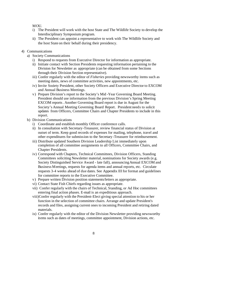MOU.

- i) The President will work with the host State and The Wildlife Society to develop the Interdisciplinary Symposium program.
- ii) The President can appoint a representative to work with The Wildlife Society and the host State on their behalf during their presidency.
- 4) Communications
	- a) Society Communications
		- i) Respond to requests from Executive Director for information as appropriate.
		- ii) Initiate contact with Section Presidents requesting information pertaining to the Division for Newsletter as appropriate (can be obtained from some Sections through their Division Section representative).
		- iii) Confer regularly with the editor of *Fisheries* providing newsworthy items such as meeting dates, news of committee activities, new appointments, etc.
		- iv) Invite Society President, other Society Officers and Executive Director to EXCOM and Annual Business Meetings.
		- v) Prepare Division's report to the Society's Mid -Year Governing Board Meeting. President should use information from the previous Division's Spring Meeting EXCOM reports. Another Governing Board report is due in August for the Society's Annual Meeting Governing Board Report. President needs to solicit updates from Officers, Committee Chairs and Chapter Presidents to include in this report.
	- b) Division Communications
		- i) Coordinate and establish monthly Officer conference calls.
		- ii) In consultation with Secretary-Treasurer, review financial status of Division at outset of term. Keep good records of expenses for mailing, telephone, travel and other expenditures for submission to the Secretary -Treasurer for reimbursement.
		- iii) Distribute updated Southern Division Leadership List immediately upon completion of all committee assignments to all Officers, Committee Chairs, and Chapter Presidents.
		- iv) Correspond with Chapters, Technical Committees, Division Officers, Standing Committees soliciting Newsletter material, nominations for Society awards (e.g. Society Distinguished Service Award - late fall), announcing Annual EXCOM and Business Meetings, requests for agenda items and annual reports, etc. Circulate requests 3-4 weeks ahead of due dates. See Appendix III for format and guidelines for committee reports to the Executive Committee.
		- v) Prepare written Division position statements/letters as appropriate.
		- vi) Contact State Fish Chiefs regarding issues as appropriate.
		- vii) Confer regularly with the chairs of Technical, Standing, or Ad Hoc committees entering final action phases. E-mail is an expeditious approach.
		- viii)Confer regularly with the President-Elect giving special attention to his or her function in the selection of committee chairs. Arrange and update President's records and files, assigning current ones to incoming President and retiring dated materials.
		- ix) Confer regularly with the editor of the Division Newsletter providing newsworthy items such as dates of meetings, committee appointment, Division actions, etc.
			- 8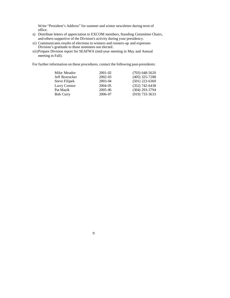Write "President's Address" for summer and winter newsletter during term of office.

- x) Distribute letters of appreciation to EXCOM members, Standing Committee Chairs, and others supportive of the Division's activity during your presidency.
- xi) Communicates results of elections to winners and runners-up and expresses Division's gratitude to those nominees not elected.
- xii)Prepare Division report for SEAFWA (mid-year meeting in May and Annual meeting in Fall).

For further information on these procedures, contact the following past-presidents:

| $2001 - 02$ | $(703)$ 648-5620 |
|-------------|------------------|
| 2002-03     | $(405)$ 325-7288 |
| $2003 - 04$ | $(501)$ 223-6369 |
| $2004 - 05$ | $(352)$ 742-6438 |
| 2005-06     | $(304)$ 293-3794 |
| 2006-07     | $(919)$ 733-3633 |
|             |                  |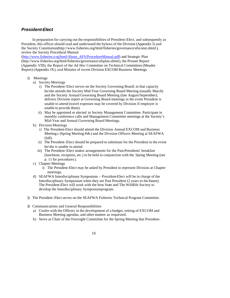# *President-Elect*

In preparation for carrying out the responsibilities of President-Elect, and subsequently as President, this officer should read and understand the bylaws of the Division (Appendix I) and the Society Constitution(http://www.fisheries.org/html/fisheries/governance/afsconst.shtml), review the Society Procedural Manual

(http://www.fisheries.o rg/html/About\_AFS/ProcedureManual.pdf) and Strategic Plan (http://www.fisheries.org/html/fisheries/governance/afsplan.shtml), the Prosser Report (Appendix VIII), the Report of the Ad Hoc Committee on Technical Committees (Meador Report) (Appendix IX), and Minutes of recent Division EXCOM Business Meetings.

- 1) Meetings
	- a) Society Meetings
		- i) The President-Elect serves on the Society Governing Board; in that capacity he/she attends the Society Mid-Year Governing Board Meeting (usually March) and the Society Annual Governing Board Meeting (late August/September); delivers Division report at Governing Board meetings in the event President is unable to attend (travel expenses may be covered by Division if employer is unable to provide them).
		- ii) May be appointed or elected to Society Management Committee. Participate in monthly conference calls and Management Committee meetings at the Society's Mid-Year and Annual Governing Board Meetings.
	- b) Division Meetings
		- i) The President-Elect should attend the Division Annual EXCOM and Business Meeting s (Spring Meeting-Feb ) and the Division Officers Meeting at SEAFWA (fall).
		- ii) The President-Elect should be prepared to substitute for the President in the event he/she is unable to attend.
		- iii) The President-Elect makes arrangements for the Past-Presidents' breakfast (luncheon, reception, etc.) to be held in conjunction with the Spring Meeting (see p. 11 for procedures).
	- c) Chapter Meetings
		- i) The President-Elect may be asked by President to represent Division at Chapter meetings.
	- d) SEAFWA Interdisciplinary Symposium President-Elect will be in charge of the Interdisciplinary Symposium when they are Past President (2 years in the future). The President-Elect will work with the host State and The Wildlife Society to develop the Interdisciplinary Symposium program.
- 2) The President-Elect serves on the SEAFWA Fisheries Technical Program Committee.
- 3) Communications and General Responsibilities
	- a) Confer with the Officers in the development of a budget, setting of EXCOM and Business Meeting agendas, and other matters as requested.
	- b) Serve as Chair of the Oversight Committee for the Spring Meeting that President-
		- 10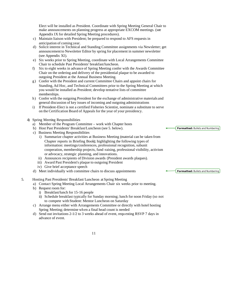Elect will be installed as President. Coordinate with Spring Meeting General Chair to make announcements on planning progress at appropriate EXCOM meetings. (see Appendix IX for detailed Spring Meeting procedures).

- c) Maintain liaison with President; be prepared to respond to AFS requests in anticipation of coming year.
- d) Solicit interest in Technical and Standing Committee assignments via Newsletter; get announcement to Newsletter Editor by spring for placement in summer newsletter (see Appendix XI).
- e) Six weeks prior to Spring Meeting, coordinate with Local Arrangements Committee Chair to schedule Past Presidents' breakfast/luncheon.
- f) Six to eight weeks in advance of Spring Meeting confer with the Awards Committee Chair on the ordering and delivery of the presidential plaque to be awarded to outgoing President at the Annual Business Meeting.
- g) Confer with the President and current Committee Chairs and appoint chairs for Standing, Ad Hoc, and Technical Committees prior to the Spring Meeting at which you would be installed as President; develop tentative lists of committee memberships.
- h) Confer with the outgoing President for the exchange of administrative materials and general discussion of key issues of incoming and outgoing administrations
- i) If President-Elect is not a certified Fisheries Scientist, nominate a substitute to serve on the Certification Board of Appeals for the year of your presidency.
- 4) Spring Meeting Responsibilities
	- a) Member of the Program Committee work with Chapter hosts
	- b) Host Past Presidents' Breakfast/Luncheon (see 5. below).
	- c) Business Meeting Responsibilities
		- i) Summarize chapter activities at Business Meeting (material can be taken from Chapter reports in Briefing Book); highlighting the following types of information: meetings/conferences, professional recognition, subunit cooperation, membership projects, fund -raising, professional visibility, activism or advocacy, strategic planning, and innovations.
		- ii) Announces recipients of Division awards (President awards plaques).
		- iii) Award Past President's plaque to outgoing President
		- iv) Give brief acceptance speech
	- d) Meet individually with committee chairs to discuss appointments
- 5. Hosting Past Presidents' Breakfast/Luncheon at Spring Meeting
	- a) Contact Spring Meeting Local Arrangements Chair six weeks prior to meeting.
	- b) Request room for:
		- i) Breakfast/lunch for 15-16 people
		- ii) Schedule breakfast typically for Sunday morning; lunch for noon Friday (so not to compete with Student: Mentor Luncheon on Saturday
	- c) Arrange menu either with Arrangements Committee or directly with hotel hosting Spring Meeting; determine wh en a final head count is needed
	- d) Send out invitations 2-1/2 to 3 weeks ahead of event, requ esting RSVP 7 days in advance of event.

**Formatted:** Bullets and Numbering

**Formatted:** Bullets and Numbering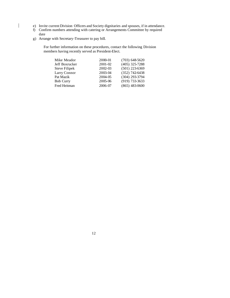- e) Invite current Division Officers and Society dignitaries and spouses, if in attendance.
- f) Confirm numbers attending with catering or Arrangements Committee by required date
- g) Arrange with Secretary-Treasurer to pay bill.

 $\overline{\phantom{a}}$ 

For further information on these procedures, contact the following Division members having recently served as President-Elect.

| 2000-01 | $(703)$ 648-5620 |
|---------|------------------|
| 2001-02 | $(405)$ 325-7288 |
| 2002-03 | $(501)$ 223-6369 |
| 2003-04 | $(352)$ 742-6438 |
| 2004-05 | (304) 293-3794   |
| 2005-06 | (919) 733-3633   |
| 2006-07 | $(865)$ 483-0600 |
|         |                  |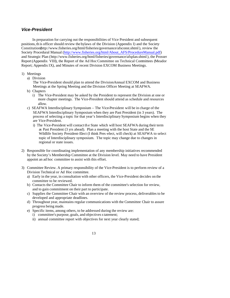# *Vice-President*

In preparation for carrying out the responsibilities of Vice President and subsequent positions, th is officer should review the bylaws of the Division (Appendix I) and the Society Constitution(http://www.fisheries.org/html/fisheries/governance/afsconst.shtml), review the Society Procedural Manual (http://www.fisheries.org/html/About\_AFS/ProcedureManual.pdf) and Strategic Plan (http://www.fisheries.org/html/fisheries/governance/afsplan.shtml), the Prosser Report (Appendix VIII), the Report of the Ad Hoc Committee on Technical Committees (Meador Report; Appendix IX), and Minutes of recent Division EXCOM Business Meetings.

- 1) Meetings
	- a) Division

The Vice-President should plan to attend the Division Annual EXCOM and Business Meetings at the Spring Meeting and the Division Officer Meeting at SEAFWA.

- b) Chapters
	- i) The Vice-President may be asked by the President to represent the Division at one or more chapter meetings. The Vice-President should attend as schedule and resources allow.
- c) SEAFWA Interdisciplinary Symposium The Vice-President will be in charge of the SEAFWA Interdisciplinary Symposium when they are Past President (in 3 years). The process of selecting a topic for that year's Interdisciplinary Symposium begins when they are Vice-President.
	- i) The Vice-President will contact th e State which will host SEAFWA during their term as Past President (3 yrs ahead). Plan a meeting with the host State and the SE Wildlife Society President-Elect (I think Pres-elect, will check) at SEAFWA to select topic of Interdisciplinary symposium. The topic may change due to changes in regional or state issues.
- 2) Responsible for coordinating implementation of any membership initiatives recommended by the Society's Membership Committee at the Division level. May need to have President appoint an ad hoc committee to assist with this effort.
- 3) Committee Review. A primary responsibility of the Vice-President is to perform review of a Division Technical or Ad Hoc committee.
	- a) Early in the year, in consultation with other officers, the Vice-President decides on the committee to be reviewed.
	- b) Contacts the Committee Chair to inform them of the committee's selection for review, and to gain commitment on their part to participate.
	- c) Supplies the Committee Chair with an overview of the review process, deliverables to be developed and appropriate deadlines.
	- d) Throughout year, maintains regular communications with the Committee Chair to assure progress being made.
	- e) Specific items, among others, to be addressed during the review are: i) committee's purpose, goals, and objectives statement;
		- ii) annual committee report with objectives for next year clearly stated;
			- 13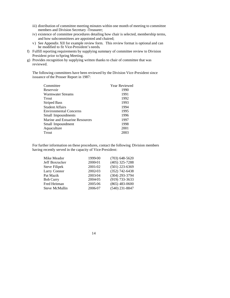- iii) distribution of committee meeting minutes within one month of meeting to committee members and Division Secretary -Treasurer;
- iv) existence of committee procedures detailing how chair is selected, membership terms, and how subcommittees are appointed and chaired;
- v) See Appendix XII for example review form. This review format is optional and can be modified to fit Vice-President's needs.
- f) Fulfill reporting requirements by supplying summary of committee review to Division President prior to Spring Meeting.
- g) Provides recognition by supplying written thanks to chair of committee that was reviewed.

The following committees have been reviewed by the Division Vice-President since issuance of the Prosser Report in 1987:

| 1990<br>Reservoir<br>1991<br><b>Warmwater Streams</b><br>1992<br>Trout<br>1993<br><b>Striped Bass</b><br>1994<br><b>Student Affairs</b><br>1995<br><b>Environmental Concerns</b><br>1996<br>Small Impoundments<br>1997<br>Marine and Estuarine Resources<br>1998<br>Small Impoundment<br>2001<br>Aquaculture<br>2003<br>Trout | Committee | Year Reviewed |
|-------------------------------------------------------------------------------------------------------------------------------------------------------------------------------------------------------------------------------------------------------------------------------------------------------------------------------|-----------|---------------|
|                                                                                                                                                                                                                                                                                                                               |           |               |
|                                                                                                                                                                                                                                                                                                                               |           |               |
|                                                                                                                                                                                                                                                                                                                               |           |               |
|                                                                                                                                                                                                                                                                                                                               |           |               |
|                                                                                                                                                                                                                                                                                                                               |           |               |
|                                                                                                                                                                                                                                                                                                                               |           |               |
|                                                                                                                                                                                                                                                                                                                               |           |               |
|                                                                                                                                                                                                                                                                                                                               |           |               |
|                                                                                                                                                                                                                                                                                                                               |           |               |
|                                                                                                                                                                                                                                                                                                                               |           |               |
|                                                                                                                                                                                                                                                                                                                               |           |               |

For further information on these procedures, contact the following Division members having recently served in the capacity of Vice-President:

| Mike Meador           | 1999-00 | $(703)$ 648-5620 |
|-----------------------|---------|------------------|
| Jeff Boxrucker        | 2000-01 | $(405)$ 325-7288 |
| <b>Steve Filipek</b>  | 2001-02 | $(501)$ 223-6369 |
| Larry Connor          | 2002-03 | $(352)$ 742-6438 |
| Pat Mazik             | 2003-04 | (304) 293-3794   |
| <b>Bob Curry</b>      | 2004-05 | $(919)$ 733-3633 |
| Fred Heitman          | 2005-06 | $(865)$ 483-0600 |
| <b>Steve McMullin</b> | 2006-07 | $(540)$ 231-8847 |
|                       |         |                  |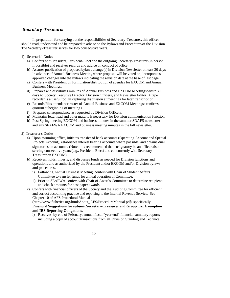## *Secretary-Treasurer*

In preparation for carrying out the responsibilities of Secretary-Treasurer, this officer should read, understand and be prepared to advise on the Bylaws and Procedures of the Division. The Secretary -Treasurer serves for two consecutive years.

- 1) Secretarial Duties
	- a) Confers with President, President-Elect and the outgoing Secretary-Treasurer (in person if possible) and receives records and advice on conduct of office.
	- b) Assures publication of proposed bylaws change(s) in Division Newsletter at least 30 days in advance of Annual Business Meeting where proposal will be voted on; incorporates approved changes into the bylaws indicating the revision date at the base of last page.
	- c) Confers with President on formulation/distribution of agendas for EXCOM and Annual Business Meetings.
	- d) Prepares and distributes minutes of Annual Business and EXCOM Meetings within 30 days to Society Executive Director, Division Officers, and Newsletter Editor. A tape recorder is a useful tool in capturing dis cussion at meetings for later transcription.
	- e) Records/files attendance roster of Annual Business and EXCOM Meetings; confirms quorum at beginning of meetings.
	- f) Prepares correspondence as requested by Division Officers.
	- g) Maintains letterhead and other materia ls necessary for Division communication function.
	- h) Post Spring meeting EXCOM and business minutes in the summer SDAFS newsletter and any SEAFWA EXCOM and business meeting minutes in the fall newsletter.
- 2) Treasurer's Duties
	- a) Upon assuming office, initiates transfer of bank accounts (Operating Account and Special Projects Account), establishes interest bearing accounts where possible, and obtains dual signatories on accounts. (Note: it is recommended that cosignatory be an officer also serving consecutive years (e.g., President-Elect) and concurrently with Secretary - Treasurer on EXCOM).
	- b) Receives, holds, invests, and disburses funds as needed for Division functions and operations and as authorized by the President and/or EXCOM and/or Division bylaws and procedures.
		- i) Following Annual Business Meeting, confers with Chair of Student Affairs Committee to transfer funds for annual operation of Committee.
		- ii) Prior to SEAFWA confers with Chair of Awards Committee to determine recipients and check amounts for best paper awards.
	- c) Confers with financial officers of the Society and the Auditing Committee for efficient and correct accounting practice and reporting to the Internal Revenue Service. See Chapter 10 of AFS Procedural Manual

(http://www.fisheries.org/html/About\_AFS/ProcedureManual.pdf); specifically **Financial Suggestions for subunit Secretary-Treasurer** and **Group Tax Exemption and IRS Reporting Obligations**.

i) Receives, by end of February, annual fiscal "year-end" financial summary reports including a copy of account transactions from all Division Standing and Technical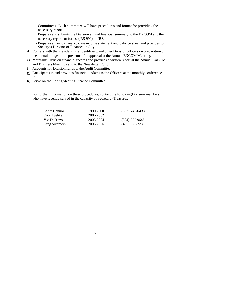Committees. Each committee will have procedures and format for providing the necessary report.

- ii) Prepares and submits the Division annual financial summary to the EXCOM and the necessary reports or forms (IRS 990) to IRS.
- iii) Prepares an annual year-to-date income statement and balance sheet and provides to Society's Director of Finances in July.
- d) Confers with the President, President-Elect, and other Division officers on preparation of the annual budget to be presented for approval at the Annual EXCOM Meeting.
- e) Maintains Division financial records and provides a written report at the Annual EXCOM and Business Meetings and to the Newsletter Editor.
- f) Accounts for Division funds to the Audit Committee.
- g) Participates in and provides financial updates to the Officers at the monthly conference calls.
- h) Serve on the Spring Meeting Finance Committee.

For further information on these procedures, contact the following Division members who have recently served in the capacity of Secretary -Treasurer:

| Larry Connor        | 1999-2000 | $(352)$ 742-6438 |
|---------------------|-----------|------------------|
| Dick Luebke         | 2001-2002 |                  |
| Vic DiCenzo         | 2003-2004 | $(804)$ 392-9645 |
| <b>Greg Summers</b> | 2005-2006 | $(405)$ 325-7288 |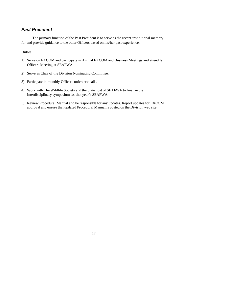# *Past President*

The primary function of the Past President is to serve as the recent institutional memory for and provide guidance to the other Officers based on his/her past experience.

#### Duties:

- 1) Serve on EXCOM and participate in Annual EXCOM and Business Meetings and attend fall Officers Meeting at SEAFWA.
- 2) Serve as Chair of the Division Nominating Committee.
- 3) Participate in monthly Officer conference calls.
- 4) Work with The Wildlife Society and the State host of SEAFWA to finalize the Interdisciplinary symposium for that year's SEAFWA.
- 5). Review Procedural Manual and be responsible for any updates. Report updates for EXCOM approval and ensure that updated Procedural Manual is posted on the Division web site.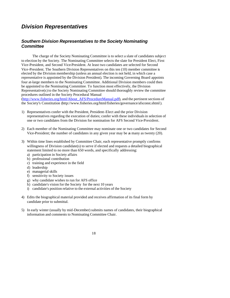# *Division Representatives*

# *Southern Division Representatives to the Society Nominating Committee*

The charge of the Society Nominating Committee is to select a slate of candidates subject to election by the Society. The Nominating Committee selects the slate for President Elect, First Vice-President, and Second Vice-President. At least two candidates are selected for Second Vice-President. The Southern Division Representatives on this ten (10) member committee is elected by the Division membership (unless an annual election is not held, in which case a representative is appointed by the Division President). The incoming Governing Board appoints four at-large members to the Nominating Committee. Additional Division members could then be appointed to the Nominating Committee. To function most effectively, the Division Representative(s) to the Society Nominating Committee should thoroughly review the committee procedures outlined in the Society Procedural Manual

(http://www.fisheries.org/html/About\_AFS/ProcedureManual.pdf), and the pertinent sections of the Society's Constitution (http://www.fisheries.org/html/fisheries/governance/afsconst.shtml).

- 1) Representatives confer with the President, President-Elect and the prior Division representatives regarding the execution of duties; confer with these individuals in selection of one or two candidates from the Division for nomination for AFS Second Vice-President.
- 2) Each member of the Nominating Committee may nominate one or two candidates for Second Vice-President; the number of candidates in any given year may be as many as twenty (20).
- 3) Within time lines established by Committee Chair, each representative promptly confirms willingness of Division candidate(s) to serve if elected and requests a detailed biographical statement limited to no more than 650 words, and specifically addressing:
	- a) participation in Society affairs
	- b) professional contribution
	- c) training and experience in the field
	- d) leadership
	- e) managerial skills
	- f) sensitivity to Society issues
	- g) why candidate wishes to run for AFS office
	- h) candidate's vision for the Society for the next 10 years
	- i) candidate's position relative to the external activities of the Society
- 4) Edits the biographical material provided and receives affirmation of its final form by candidate prior to submittal.
- 5) In early winter (usually by mid-December) submits names of candidates, their biographical information and comments to Nominating Committee Chair.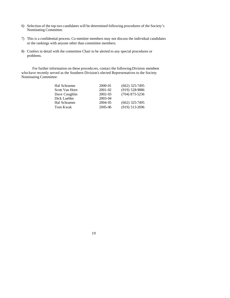- 6) Selection of the top two candidates will be determined following procedures of the Society's Nominating Committee.
- 7) This is a confidential process. Co mmittee members may not discuss the individual candidates or the rankings with anyone other than committee members.
- 8) Confers in detail with the committee Chair to be alerted to any special procedures or problems.

For further information on these procedu res, contact the following Division members who have recently served as the Southern Division's elected Representatives to the Society Nominating Committee:

| 2000-01     | $(662)$ 325-7495 |
|-------------|------------------|
| $2001 - 02$ | (919) 5289886    |
| $2002 - 03$ | $(704)$ 875-5236 |
| 2003-04     |                  |
| 2004-05     | $(662)$ 325-7495 |
| 2005-06     | $(919) 513-2696$ |
|             |                  |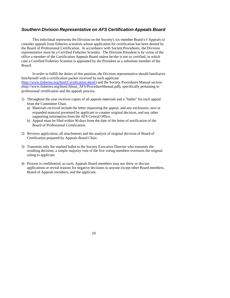#### *Southern Division Representative on AFS Certification Appeals Board*

This individual represents the Division on the Society's six-member Board o f Appeals to consider appeals from fisheries scientists whose application for certification has been denied by the Board of Professional Certification. In accordance with Society Procedures, the Division representative must be a Certified Fisheries Scientist. The Division President is by virtue of the office a member of the Certification Appeals Board unless he/she is not so certified, in which case a Certified Fisheries Scientist is appointed by the President as a substitute member of the Board.

In order to fulfill the duties of this position, the Division representative should familiarize him/herself with a certification packet received by each applicant (http://www.fisheries.org/html/Certification.shtml) and the Society Procedures Manual section (http://www.fisheries.org/html/About\_AFS/ProcedureManual.pdf), specifically pertaining to professional certification and the appeals process.

- 1) Throughout the year receives copies of all appeals materials and a "ballot" for each appeal from the Committee Chair.
	- a) Materials received include the letter requesting the appeal, and any enclosures, new or expanded material presented by applicant to counter original decision, and any other supporting information from the AFS Central Office.
	- b) Appeal must be filed within 90 days from the date of the letter of notification of the Board of Professional Certification.
- 2) Reviews application, all attachments and the analysis of original decision of Board of Certification prepared by Appeals Board Chair.
- 3) Transmits only the marked ballot to the Society Executive Director who transmits the resulting decision; a simple majority vote of the five voting members overturns the original ruling to applicant.
- 4) Process is confidential; as such, Appeals Board members may not show or discuss applications or reveal reasons for negative decisions to anyone except other Board members, Board of Appeals members, and the applicant.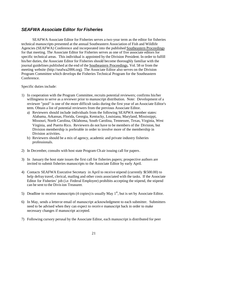## *SEAFWA Associate Editor for Fisheries*

SEAFWA Associate Editor for Fisheries serves a two-year term as the editor for fisheries technical manuscripts presented at the annual Southeastern Association of Fish and Wildlife Agencies (SEAFWA) Conference and incorporated into the published Southeastern Proceedings for that meeting. The Associate Editor for Fisheries serves as one of five associate editors for specific technical areas. This individual is appointed by the Division President. In order to fulfill his/her duties, the Associate Editor for Fisheries should become thoroughly familiar with the journal guidelines published at the end of the Southeastern Proceedings, Vol. 58 or from the meeting website (http://seafwa2006.org). The Associate Editor also serves on the Division Program Committee which develops the Fisheries Technical Program for the Southeastern Conference.

Specific duties include:

- 1) In cooperation with the Program Committee, recruits potential reviewers; confirms his/her willingness to serve as a reviewer prior to manuscript distribution. Note: Development of a reviewer "pool" is one of the more difficult tasks during the first year of an Associate Editor's term. Obtain a list of potential reviewers from the previous Associate Editor.
	- a) Reviewers should include individuals from the following SEAFWA member states: Alabama, Arkansas, Florida, Georgia, Kentucky, Louisiana, Maryland, Mississippi, Missouri, North Carolina, Oklahoma, South Carolina, Tennessee, Texas, Virginia, West Virginia, and Puerto Rico. Reviewers do not have to be members of the Division, but Division membership is preferable in order to involve more of the membership in Division activities.
	- b) Reviewers should be a mix of agency, academic and private industry fisheries professionals.
- 2) In December, consults with host state Program Ch air issuing call for papers.
- 3) In January the host state issues the first call for fisheries papers; prospective authors are invited to submit fisheries manuscripts to the Associate Editor by early April.
- 4) Contacts SEAFWA Executive Secretary in April to receive stipend (currently \$1500.00) to help defray travel, clerical, mailing and other costs associated with the tasks. If the Associate Editor for Fisheries' job (i.e. Federal Employee) prohibits accepting the stipend, the stipend can be sent to the Division Treasurer.
- 5) Deadline to receive manuscripts (4 copies) is usually May  $1<sup>st</sup>$ , but is set by Associate Editor.
- 6) In May, sends a letteror email of manuscript acknowledgment to each submitter. Submitters need to be advised when they can expect to receiv e manuscript back in order to make necessary changes if manuscript accepted.
- 7) Following cursory perusal by the Associate Editor, each manuscript is distributed for peer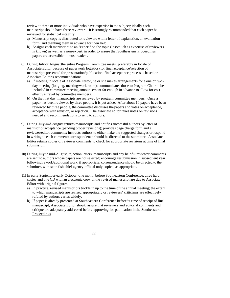review to three or more individuals who have expertise in the subject; ideally each manuscript should have three reviewers. It is strongly recommended that each paper be reviewed for statistical integrity.

- a) Manuscript copy is distributed to reviewers with a letter of explanation, an evaluation form, and thanking them in advance for their help.
- b) Assigns each manuscript to an "expert" on the topic (insomuch as expertise of reviewers is known) as well as a non-expert, in order to assure that Southeastern Proceedings papers are accessible to most readers.
- 8) During July or August the entire Program Committee meets (preferably in locale of Associate Editor because of paperwork logistics) for final acceptance/rejection of manuscripts presented for presentation/publication; final acceptance process is based on Associate Editor's recommendations.
	- a) If meeting in locale of Associate Editor, he or she makes arrangements for a one or twoday meeting (lodging, meeting/work room); communicates those to Program Chair to be included in committee meeting announcement far enough in advance to allow for costeffectiv e travel by committee members.
	- b) On the first day, manuscripts are reviewed by program committee members. Once a paper has been reviewed by three people, it is put aside. After about 10 papers have been reviewed by three people, the committee discusses the papers and votes on acceptance, acceptance with revision, or rejection. The associate editor takes notes on revisions needed and recommendations to send to authors.
- 9) During July-mid-August returns manuscripts and notifies successful authors by letter of manuscript acceptance (pending proper revisions); provides page charge form and all reviewer/editor comments; instructs authors to either make the suggested changes or respond in writing to each comment; correspondence should be directed to the submitter. Associate Editor retains copies of reviewer comments to check for appropriate revisions at time of final submission.
- 10) During July to mid-August, rejection letters, manuscripts and any helpful reviewer comments are sent to authors whose papers are not selected; encourage resubmission in subsequent year following rework/additional work, if appropriate; correspondence should be directed to the submitter, with state fish chief agency official only copied, as appropriate.
- 11) In early September-early October, one month before Southeastern Conference, three hard copies and one CD with an electronic copy of the revised manuscript are due to Associate Editor with original figures.
	- a) In practice, revised manuscripts trickle in up to the time of the annual meeting; the extent to which manuscripts are revised appropriately or reviewers' criticisms are effectively refuted by authors varies widely.
	- b) If paper is already presented at Southeastern Conference before/at time of receipt of final manuscript, Associate Editor should assure that reviewers and editorial comments and critique are adequately addressed before approving for publication in the Southeastern Proceedings.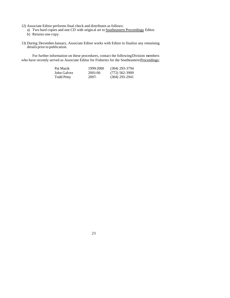- 12) Associate Editor performs final check and distributes as follows:
	- a) Two hard copies and one CD with origin al art to Southeastern Proceedings Editor.
	- b) Retains one copy.
- 13) During December-January, Associate Editor works with Editor to finalize any remaining details prior to publication.

For further information on these procedures, contact the following Division members who have recently served as Associate Editor for Fisheries for the Southeastern Proceedings:

| Pat Mazik         | 1999-2000 | $(304)$ 293-3794 |
|-------------------|-----------|------------------|
| John Galvez       | 2001-06   | (772) 562-3909   |
| <b>Todd Petty</b> | 2007-     | $(304)$ 293-2941 |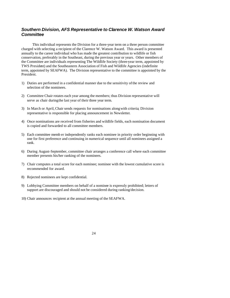## *Southern Division, AFS Representative to Clarence W. Watson Award Committee*

This individual represents the Division for a three-year term on a three person committee charged with selecting a recipient of the Clarence W. Watson Award. This award is presented annually to the career individual who has made the greatest contribution to wildlife or fish conservation, preferably in the Southeast, during the previous year or years. Other members of the Committee are individuals representing The Wildlife Society (three-year term, appointed by TWS President) and the Southeastern Association of Fish and Wildlife Agencies (indefinite term, appointed by SEAFWA). The Division representative to the committee is appointed by the President.

- 1) Duties are performed in a confidential manner due to the sensitivity of the review and selection of the nominees.
- 2) Committee Chair rotates each year among the members; thus Division representative will serve as chair during the last year of their three year term.
- 3) In March or April, Chair sends requests for nominations along with criteria; Division representative is responsible for placing announcement in Newsletter.
- 4) Once nominations are received from fisheries and wildlife fields, each nomination document is copied and forwarded to all committee members.
- 5) Each committee memb er independently ranks each nominee in priority order beginning with one for first preference and continuing in numerical sequence until all nominees assigned a rank.
- 6) During August-September, committee chair arranges a conference call where each committee member presents his/her ranking of the nominees.
- 7) Chair computes a total score for each nominee; nominee with the lowest cumulative score is recommended for award.
- 8) Rejected nominees are kept confidential.
- 9) Lobbying Committee members on behalf of a nominee is expressly prohibited; letters of support are discouraged and should not be considered during ranking/decision.
- 10) Chair announces recipient at the annual meeting of the SEAFWA.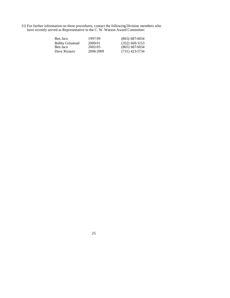11) For further information on these procedures, contact the following Division members who have recently served as Representative to the C. W. Watson Award Committee:

| Ben Jaco               | 1997-99   | $(865) 687-6034$ |
|------------------------|-----------|------------------|
| <b>Bobby Grinstead</b> | 2000-01   | $(352)$ 669-3153 |
| Ben Jaco               | 2002-05   | $(865) 687-6034$ |
| Dave Rizzuto           | 2006-2009 | $(731)$ 423-5734 |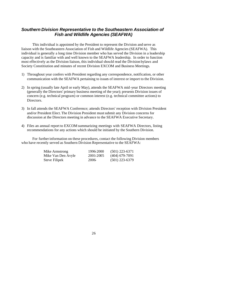# *Southern Division Representative to the Southeastern Association of Fish and Wildlife Agencies (SEAFWA)*

This individual is appointed by the President to represent the Division and serve as liaison with the Southeastern Association of Fish and Wildlife Agencies (SEAFWA). This individual is generally a long time Division member who has served the Division in a leadership capacity and is familiar with and well known to the SEAFWA leadership. In order to function most effectively as the Division liaison, this individual should read the Division bylaws and Society Constitiution and minutes of recent Division EXCOM and Business Meetings.

- 1) Throughout year confers with President regarding any correspondence, notification, or other communication with the SEAFWA pertaining to issues of interest or import to the Division.
- 2) In spring (usually late April or early May), attends the SEAFWA mid -year Directors meeting (generally the Directors' primary business meeting of the year); presents Division issues of concern (e.g. technical program) or common interest (e.g. technical committee actions) to Directors.
- 3) In fall attends the SEAFWA Conference; attends Directors' reception with Division President and/or President Elect. The Division President mustsubmit any Division concerns for discussion at the Directors meeting in advance to the SEAFWA Executive Secretary.
- 4) Files an annual report to EXCOM summarizing meetings with SEAFWA Directors, listing recommendations for any actions which should be initiated by the Southern Division.

For further information on these procedures, contact the following Division members who have recently served as Southern Division Representative to the SEAFWA:

| Mike Armstrong     | 1996-2000 | $(501)$ 223-6371 |
|--------------------|-----------|------------------|
| Mike Van Den Avyle | 2001-2005 | $(404)$ 679-7091 |
| Steve Filipek      | 2006-     | $(501)$ 223-6379 |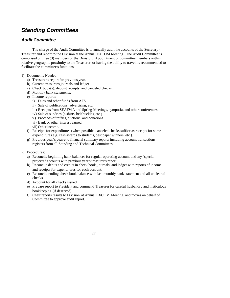# *Standing Committees*

# *Audit Committee*

The charge of the Audit Committee is to annually audit the accounts of the Secretary-Treasurer and report to the Division at the Annual EXCOM Meeting. The Audit Committee is comprised of three (3) members of the Division. Appointment of committee members within relative geographic proximity to the Treasurer, or having the ability to travel, is recommended to facilitate the committee's functions.

- 1) Documents Needed:
	- a) Treasurer's report for previous year.
	- b) Current treasurer's journals and ledger.
	- c) Check book(s), deposit receipts, and canceled checks.
	- d) Monthly bank statements.
	- e) Income reports:
		- i) Dues and other funds from AFS.
		- ii) Sale of publications, advertising, etc.
		- iii) Receipts from SEAFWA and Spring Meetings, symposia, and other conferences.
		- iv) Sale of sundries (t-shirts, belt buckles, etc.).
		- v) Proceeds of raffles, auctions, and donations.
		- vi) Bank or other interest earned.
		- vii) Other income.
	- f) Receipts for expenditures (when possible; canceled checks suffice as receipts for some expenditures e.g. cash awards to students, best paper winners, etc.).
	- g) Previous year's year-end financial summary reports including account transactions registers from all Standing and Technical Committees.
- 2) Procedures:
	- a) Reconcile beginning bank balances for regular operating account and any "special projects" accounts with previous year's treasurer's report.
	- b) Reconcile debits and credits in check book, journals, and ledger with reports of income and receipts for expenditures for each account.
	- c) Reconcile ending check book balance with last monthly bank statement and all uncleared checks.
	- d) Account for all checks issued.
	- e) Prepare report to President and commend Treasurer for careful husbandry and meticulous bookkeeping (if deserved).
	- f) Chair reports results to Division at Annual EXCOM Meeting, and moves on behalf of Committee to approve audit report.

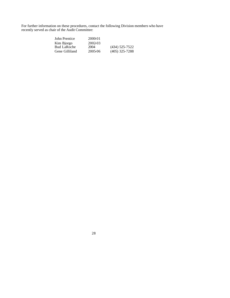For further information on these procedures, contact the following Division members who have recently served as chair of the Audit Committee:

| John Prentice      | 2000-01 |                  |
|--------------------|---------|------------------|
| Kim Bjorgo         | 2002-03 |                  |
| <b>Bud LaRoche</b> | 2004    | $(434)$ 525-7522 |
| Gene Gilliland     | 2005-06 | $(405)$ 325-7288 |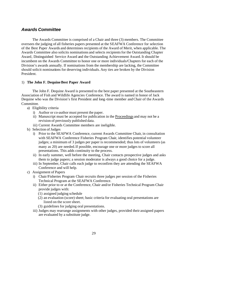## *Awards Committee*

The Awards Committee is comprised of a Chair and three (3) members. The Committee oversees the judging of all fisheries papers presented at the SEAFWA Conference for selection of the Best Paper Awards and determines recipients of the Award of Merit, when applicable. The Awards Committee also solicits nominations and selects recipients for the Outstanding Chapter Award, Distinguished Service Award and the Outstanding Achievement Award. It should be incumbent on the Awards Committee to honor one or more individuals/Chapters for each of the Division's awards annually. If nominations from the membership are lacking, the Committee should solicit nominations for deserving individuals. Any ties are broken by the Division President.

#### 1) **The John F. Dequine Best Paper Award**

The John F. Dequine Award is presented to the best paper presented at the Southeastern Association of Fish and Wildlife Agencies Conference. The award is named in honor of Jack Dequine who was the Division's first President and long -time member and Chair of the Awards Committee.

- a) Eligibility criteria
	- i) Author or co-author must present the paper.
	- ii) Manuscript must be accepted for publication in the Proceedings and may not be a revision of previously published data.
	- iii) Current Awards Committee members are ineligible.
- b) Selection of Judges
	- i) Prior to the SEAFWA Conference, current Awards Committee Chair, in consultation with SEAFWA Conference Fisheries Program Chair, identifies potential volunteer judges; a minimum of 3 judges per paper is recommended; thus lots of volunteers (as many as 20) are needed. If possible, encourage one or more judges to score all presentations. This adds continuity to the process.
	- ii) In early summer, well before the meeting, Chair contacts prospective judges and asks them to judge papers; a session moderator is always a good choice for a judge.
	- iii) In September, Chair calls each judge to reconfirm they are attending the SEAFWA Conference and will help.
- c) Assignment of Papers
	- i) Chair/Fisheries Program Chair recruits three judges per session of the Fisheries Technical Program at the SEAFWA Conference.
	- ii) Either prior to or at the Conference, Chair and/or Fisheries Technical Program Chair provide judges with:
		- (1) assigned judging schedule
		- (2) an evaluation (score) sheet; basic criteria for evaluating oral presentations are listed on the score sheet.
		- (3) guidelines for judging oral presentations.
	- iii) Judges may rearrange assignments with other judges, provided their assigned papers are evaluated by a substitute judge.
		- 29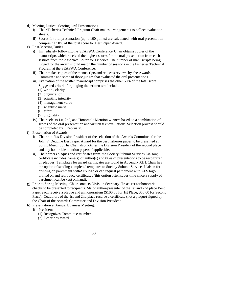- d) Meeting Duties: Scoring Oral Presentations
	- i) Chair/Fisheries Technical Program Chair makes arrangements to collect evaluation sheets.
	- ii) Scores for oral presentation (up to 100 points) are calculated, with oral presentation comprising 50% of the total score for Best Paper Award .
- e) Post-Meeting Duties
	- i) Immediately following the SEAFWA Conference, Chair obtains copies of the manuscripts which received the highest scores for the oral presentation from each session from the Associate Editor for Fisheries. The number of manuscripts being judged for the award should match the number of sessions in the Fisheries Technical Program at the SEAFWA Conference.
	- ii) Chair makes copies of the manuscripts and requests reviews by t he Awards Committee and some of those judges that evaluated the oral presentations.
	- iii) Evaluation of the written manuscript comprises the other 50% of the total score. Suggested criteria for judging the written text include:
		- (1) writing clarity
		- (2) organization
		- (3) scientific integrity
		- (4) management value
		- (5) scientific merit
		- (6) effort
		- (7) originality
	- iv) Chair selects 1st, 2nd, and Honorable Mention winners based on a combination of scores of the oral presentation and written text evaluations. Selection process should be completed by 1 February.
- f) Presentation of Awards
	- i) Chair notifies Division President of the selection of the Awards Committee for the John F. Dequine Best Paper Award for the best fisheries paper to be presented at Spring Meeting . The Chair also notifies the Division President of the second place and any honorable mention papers if applicable.
	- ii) Chair orders plaques and certificates from the Society Subunit Services Liaison; certificate includes name(s) of author(s) and titles of presentations to be recognized on plaques. Templates for award certificates are found in Appendix XIII. Chair has the option of sending completed templates to Society Subunit Services Liaison for printing on parchment with AFS logo or can request parchment with AFS logo printed on and reproduce certificates (this option often saves time since a supply of parchment can be kept on hand).
- g) Prior to Spring Meeting, Chair contacts Division Secretary -Treasurer for honoraria checks to be presented to recipients. Major author/presenter of the 1st and 2nd place Best Paper each receive a plaque and an honorarium (\$100.00 for 1st Place; \$50.00 for Second Place). Coauthors of the 1st and 2nd place receive a certificate (not a plaque) signed by the Chair of the Awards Committee and Division President.
- h) Presentation at Annual Business Meeting:
	- i) President
		- (1) Recognizes Committee members.
		- (2) Describes award.
- 30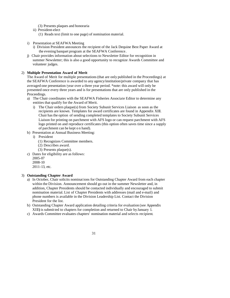(3) Presents plaques and honoraria

- ii) President-elect
	- (1) Reads text (limit to one page) of nomination material.
- i) Presentation at SEAFWA Meeting
	- i) Division President announces the recipient of the Jack Dequine Best Paper Award at the evening banquet program at the SEAFWA Conference.
- j) Chair provides information about selections to Newsletter Editor for recognition in summer Newsletter; this is also a good opportunity to recognize Awards Committee and volunteer judges.

#### 2) **Multiple Presentation Award of Merit**

The Award of Merit for multiple presentations (that are only published in the Proceedings) at the SEAFWA Conference is awarded to any agency/institution/private company that has averaged one presentation /year over a three year period. \*note: this award will only be presented once every three years and is for presentations that are only published in the Proceedings.

- a) The Chair coordinates with the SEAFWA Fisheries Associate Editor to determine any entities that qualify for the Award of Merit.
	- i) The Chair orders plaque(s) from Society Subunit Services Liaison as soon as the recipients are known. Templates for award certificates are found in Appendix XIII. Chair has the option of sending completed templates to Society Subunit Services Liaison for printing on parchment with AFS logo or can request parchment with AFS logo printed on and reproduce certificates (this option often saves time since a supply of parchment can be kept o n hand).
- b) Presentation at Annual Business Meeting:
	- i) President
		- (1) Recognizes Committee members.
		- (2) Describes award.
		- (3) Presents plaque(s).
- c) Dates for eligibility are as follows:
	- 2005-07
	- 2008-10
	- 2011-13, etc.

#### 3) **Outstanding Chapter Award**

- a) In October, Chair solicits nominat ions for Outstanding Chapter Award from each chapter within the Division. Announcement should go out in the summer Newsletter and, in addition, Chapter Presidents should be contacted individually and encouraged to submit nomination material. List of Chapter Presidents with addresses (mail and e-mail) and phone numbers is available in the Division Leadership List. Contact the Division President for the list.
- b) Outstanding Chapter Award application detailing criteria for evaluation (see Appendix XIII**)** is submit ted to chapters for completion and returned to Chair by January 1.
- c) Awards Committee evaluates chapters' nomination material and selects recipient.
	- 31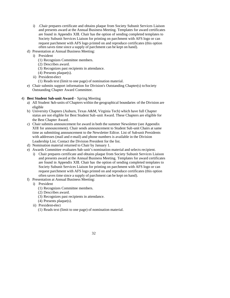- i) .Chair prepares certificate and obtains plaque from Society Subunit Services Liaison and presents award at the Annual Business Meeting. Templates for award certificates are found in Appendix XIII. Chair has the option of sending completed templates to Society Subunit Services Liaison for printing on parchment with AFS logo or can request parchment with AFS logo printed on and reproduce certificates (this option often saves time since a supply of parchment can be kept on hand).
- d) Presentation at Annual Business Meeting:
	- i) President
		- (1) Recognizes Committee members.
		- (2) Describes award.
		- (3) Recognizes past recipients in attendance.
		- (4) Presents plaque(s).
	- ii) President-elect
		- (1) Reads text (limit to one page) of nomination material.
- e) Chair submits support information for Division's Outstanding Chapter(s) to Society Outstanding Chapter Award Committee.

#### 4) **Best Student Sub-unit Award** – Spring Meeting

- a) All Student Sub-units of Chapters within the geographical boundaries of the Division are eligible
- b) University Chapters (Auburn, Texas A&M, Virginia Tech) which have full Chapter status are not eligible for Best Student Sub -unit Award. These Chapters are eligible for the Best Chapter Award .
- c) Chair submits announcement for award in both the summer Newsletter (see Appendix XIII for announcement). Chair sends announcement to Student Sub -unit Chairs at same time as submitting announcement to the Newsletter Editor. List of Sub-unit Presidents with addresses (mail and e-mail) and phone numbers is available in the Division Leadership List. Contact the Division President for the list.
- d) Nomination material returned to Chair by January 1.
- e) Awards Committee evaluates Sub-unit's nomination material and selects recipient.
	- i) Chair prepares certificate and obtains plaque from Society Subunit Services Liaison and presents award at the Annual Business Meeting. Templates for award certificates are found in Appendix XIII. Chair has the option of sending completed templates to Society Subunit Services Liaison for printing on parchment with AFS logo or can request parchment with AFS logo printed on and reproduce certificates (this option often saves time since a supply of parchment can be kept on hand).
- f) Presentation at Annual Business Meeting:
- i) President
	- (1) Recognizes Committee members.
	- (2) Describes award.
	- (3) Recognizes past recipients in attendance.
	- (4) Presents plaque(s).
	- ii) President-elect
		- (1) Reads text (limit to one page) of nomination material.

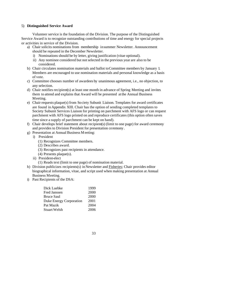#### 5) **Distinguished Service Award**

Volunteer service is the foundation of the Division. The purpose of the Distinguished Service Award is to recognize outstanding contributions of time and energy for special projects or activities in service of the Division.

- a) Chair solicits nominations from membership in summer Newsletter. Announcement should be repeated in the December Newsletter.
	- i) Nominations should be by letter, giving justification (vitae optional).
	- ii) Any nominee considered but not selected in the previous year are also to be considered.
- b) Chair circulates nomination materials and ballot to Committee members by January 1. Members are encouraged to use nomination materials and personal knowledge as a basis of vote.
- c) Committee chooses number of awardees by unanimous agreement, i.e., no objection, to any selection.
- d) Chair notifies recipient(s) at least one month in advance of Spring Meeting and invites them to attend and explains that Award will be presented at the Annual Business Meeting.
- e) Chair requests plaque(s) from Society Subunit Liaison. Templates for award certificates are found in Appendix XIII. Chair has the option of sending completed templates to Society Subunit Services Liaison for printing on parchment with AFS logo or can request parchment with AFS logo printed on and reproduce certificates (this option often saves time since a supply of parchment can be kept on hand).
- f) Chair develops brief statement about recipient(s) (limit to one page) for award ceremony and provides to Division President for presentation ceremony .
- g) Presentation at Annual Business M eeting:
	- i) President
		- (1) Recognizes Committee members.
		- (2) Describes award.
		- (3) Recognizes past recipients in attendance.
		- (4) Presents plaque(s).
	- ii) President-elect
		- (1) Reads text (limit to one page) of nomination material.
- h) Division publicizes recipients(s) in Newsletter and Fisheries; Chair provides editor biographical information, vitae, and script used when making presentation at Annual Business Meeting.
- i) Past Recipients of the DSA:

| Dick Luebke             | 1999 |
|-------------------------|------|
| Fred Janssen            | 2000 |
| Bruce Saul              | 2000 |
| Duke Energy Corporation | 2001 |
| Pat Mazik               | 2004 |
| Stuart Welsh            | 2006 |
|                         |      |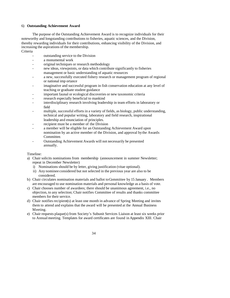#### 6) **Outstanding Achievement Award**

The purpose of the Outstanding Achievement Award is to recognize individuals for their noteworthy and longstanding contributions to fisheries, aquatic sciences, and the Division, thereby rewarding individuals for their contributions, enhancing visibility of the Division, and increasing the aspirations of the membership. Criteria

- outstanding service to the Division
- a monumental work
- original techniques or research methodology
- new ideas, viewpoints, or data which contribute significantly to fisheries management or basic understanding of aquatic resources
- a new, successfully executed fishery research or management program of regional or national imp ortance
- imaginative and successful program in fish conservation education at any level of teaching or graduate student guidance
- important faunal or ecological discoveries or new taxonomic criteria
- research especially beneficial to mankind
- interdisciplinary research involving leadership in team efforts in laboratory or field
- multiple, successful efforts in a variety of fields, as biology, public understanding, technical and popular writing, laboratory and field research, inspirational leadership and enunciation of principles.
- recipient must be a member of the Division
- a member will be eligible for an Outstanding Achievement Award upon nomination by an active member of the Division, and approval by the Awards Committee.
- Outstanding Achievement Awards will not necessarily be presented annually.

#### Timeline:

- a) Chair solicits nominations from membership (announcement in summer Newsletter; repeat in December Newsletter)
	- i) Nominations should be by letter, giving justification (vitae optional).
	- ii) Any nominee considered but not selected in the previous year are also to be considered.
- b) Chair circulates nomination materials and ballot to Committee by 15 January . Members are encouraged to use nomination materials and personal knowledge as a basis of vote.
- c) Chair chooses number of awardees; there should be unanimous agreement, i.e., no objection, to any selection; Chair notifies Committee of results and thanks committee members for their service.
- d) Chair notifies recipient(s) at least one month in advance of Spring Meeting and invites them to attend and explains that the award will be presented at the Annual Business Meeting.
- e) Chair requests plaque(s) from Society's Subunit Services Liaison at least six weeks prior to Annual meeting. Templates for award certificates are found in Appendix XIII. Chair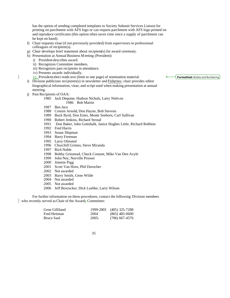has the option of sending completed templates to Society Subunit Services Liaison for printing on parchment with AFS logo or can request parchment with AFS logo printed on and reproduce certificates (this option often saves time since a supply of parchment can be kept on hand).

- f) Chair requests vitae (if not previously provided) from supervisors or professional colleagues of recipient(s).
- g) Chair develops brief statement about recipient(s) for award ceremony.
- h) Presentation at Annual Business M eeting (President):
- i) President describes award.
	- ii) Recognizes Committee members.
	- iii) Recognizes past recipients in attendance.
	- iv) Presents awards individually.
	- v) President-elect reads text (limit to one page) of nomination material.
- i) Division publicizes recipients(s) in newsletter and Fisheries; chair provides editor biographical information, vitae, and script used when making presentation at annual meeting.
- j) Past Recipients of OAA:
	- 1985 Jack Dequine, Hudson Nichols, Larry Niels on 1986 Bob Martin
	- 1987 Ben Jaco
	- 1988 Connie Arnold, Don Hayne, Bob Stevens
	- 1989 Buck Byrd, Don Estes, Monte Seehorn, Carl Sullivan
	- 1990 Robert Jenkins, Richard Stroud
	- 1991 Don Baker, John Gottshalk, Janice Hughes Little, Richard Robbins
	- 1992 Fred Harris
	- 1993 Susan Shipman
	- 1994 Barry Freeman
	- 1995 Larry Olmsted
	- 1996 Churchill Grimes, Steve Miranda
	- 1997 Rich Noble
	- 1998 Bobby Grinstead, Chuck Coutant, Mike Van Den Avyle
	- 1999 John Ney, Norville Prosser
	- 2000 Jimmie Pigg
	- 2001 Scott Van Horn, Phil Durocher
	- 2002 Not awarded
	- 2003 Barry Smith, Gene Wilde
	- 2004 Not awarded
	- 2005 Not awarded
	- 2006 Jeff Boxrucker, Dick Luebke, Larry Wilson

For further information on these procedures, contact the following Division members who recently served as Chair of the Awards Committee:

| Gene Gilliland |         | 1999-2003 (405) 325-7288 |
|----------------|---------|--------------------------|
| Fred Heitman   | 2004    | $(865)$ 483-0600         |
| Bruce Saul     | $2005-$ | $(706)$ 667-4576         |

**Formatted:** Bullets and Numbering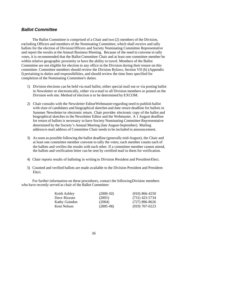## *Ballot Committee*

The Ballot Committee is comprised of a Chair and two (2) members of the Division, excluding Officers and members of the Nominating Committee, which shall receive and tally ballots for the election of Division Officers and Society Nominating Committee Representative and report the results at the Annual Business Meeting. Because of the need to convene to tally votes, it is recommended that the Ballot Committee Chair and at least one committee member be within relative geographic proximity or have the ability to travel. Members of the Ballot Committee are not eligible for election to any office in the Division during their tenure on this committee. Committee members should review the Division Bylaws, Section VII (h) (Appendix I) pertaining to duties and responsibilities, and should review the time lines specified for completion of the Nominating Committee's duties.

- 1) Division elections can be held via mail ballot, either special mail out or via posting ballot in Newsletter or electronically, either via e-mail to all Division members or posted on the Division web site. Method of election is to be determined by EXCOM.
- 2) Chair consults with the Newsletter Editor/Webmaster regarding need to publish ballot with slate of candidates and biographical sketches and date return deadline for ballots in Summer Newsletter/or electronic return . Chair provides electronic copy of the ballot and biographical sketches to the Newsletter Editor and the Webmaster. A  $\tilde{1}$  August deadline for return of ballots is necessary to have Society Nominating Committee Representative determined by the Society's Annual Meeting (late August-September). Mailing address/e-mail address of Committee Chair needs to be included in announcement.
- 3) As soon as possible following the ballot deadline (generally mid-August), the Chair and at least one committee member convene to tally the votes; each member counts each of the ballots and verifies the results with each other. If a committee member cannot attend, the ballots and verification letter can be sent by certified mail to them for verification.
- 4) Chair reports results of balloting in writing to Division President and President-Elect.
- 5) Counted and verified ballots are made available to the Division President and President-Elect.

For further information on these procedures, contact the following Division members who have recently served as chair of the Ballot Committee:

| Keith Ashley  | $(2000-02)$ | $(910)$ 866-4250 |
|---------------|-------------|------------------|
| Dave Rizzuto  | (2003)      | $(731)$ 423-5734 |
| Kathy Guindon | (2004)      | $(727)$ 896-8626 |
| Kent Nelson   | $(2005-06)$ | $(919)$ 707-0223 |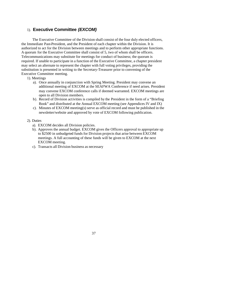## 1). **Executive Committee** *(EXCOM)*

The Executive Committee of the Division shall consist of the four duly elected officers, the Immediate Past-President, and the President of each chapter within the Division. It is authorized to act for the Division between meetings and to perform other appropriate functions. A quorum for the Executive Committee shall consist of 5, two of whom shall be officers. Telecommunications may substitute for meetings for conduct of business; the quorum is required. If unable to participate in a function of the Executive Committee, a chapter president may select an alternate to represent the chapter with full voting privileges, providing the substitution is presented in writing to the Secretary-Treasurer prior to convening of the Executive Committee meeting.

- 1). Meetings
	- a). Once annually in conjunction with Spring Meeting. President may convene an additional meeting of EXCOM at the SEAFWA Conference if need arises. President may convene EXCOM conference calls if deemed warranted. EXCOM meetings are open to all Division members.
	- b). Record of Division activities is compiled by the President in the form of a "Briefing Book" and distributed at the Annual EXCOM meeting (see Appendices IV and IX)
	- c). Minutes of EXCOM meeting(s) serve as official record and must be published in the newsletter/website and approved by vote of EXCOM following publication.

#### 2). Duties

- a). EXCOM decides all Division policies.
- b). Approves the annual budget. EXCOM gives the Officers approval to appropriate up to \$2500 in unbudgeted funds for Division projects that arise between EXCOM meetings. A full accounting of these funds will be given to EXCOM at the next EXCOM meeting.
- c). Transacts all Division business as necessary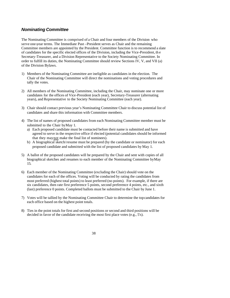## *Nominating Committee*

The Nominating Committee is comprised of a Chair and four members of the Division who serve one-year terms. The Immediate Past –President serves as Chair and the remaining Committee members are appointed by the President. Committee function is to recommend a slate of candidates for the specific elected offices of the Division, including the Vice-President, th e Secretary-Treasurer, and a Division Representative to the Society Nominating Committee. In order to fulfill its duties, the Nominating Committee should review Sections IV, V, and VII (a) of the Division Bylaws.

- 1) Members of the Nominating Committee are ineligible as candidates in the election. The Chair of the Nominating Committee will direct the nominations and voting procedures and tally the votes.
- 2) All members of the Nominating Committee, including the Chair, may nominate one or more candidates for the offices of Vice-President (each year), Secretary-Treasurer (alternating years), and Representative to the Society Nominating Committee (each year).
- 3) Chair should contact previous year's Nominating Committee Chair to discuss potential list of candidates and share this information with Committee members.
- 4) The list of names of proposed candidates from each Nominating Committee member must be submitted to the Chair by May 1.
	- a) Each proposed candidate must be contacted before their name is submitted and have agreed to serve in the respective office if elected (potential candidates should be informed that they may not make the final list of nominees).
	- b) A biographical sketch/resume must be prepared (by the candidate or nominator) for each proposed candidate and submitted with the list of proposed candidates by May 1.
- 5) A ballot of the proposed candidates will be prepared by the Chair and sent with copies of all biographical sketches and resumes to each member of the Nominating Committee by May 15.
- 6) Each member of the Nominating Committee (excluding the Chair) should vote on the candidates for each of the offices. Voting will be conducted by rating the candidates from most preferred (highest total points) to least preferred (no points). For example, if there are six candidates, then rate first preference 5 points, second preference 4 points, etc., and sixth (last) preference 0 points. Completed ballots must be submitted to the Chair by June 1.
- 7) Votes will be tallied by the Nominating Committee Chair to determine the top candidates for each office based on the highest point totals.
- 8) Ties in the point totals for first and second positions or second and third positions will be decided in favor of the candidate receiving the most first place votes (e.g., 5's).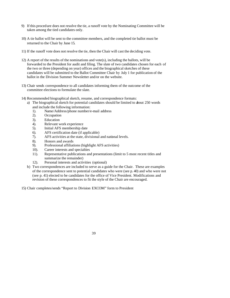- 9) If this procedure does not resolve the tie, a runoff vote by the Nominating Committee will be taken among the tied candidates only.
- 10) A tie ballot will be sent to the committee members, and the completed tie ballot must be returned to the Chair by June 15.
- 11) If the runoff vote does not resolve the tie, then the Chair will cast the deciding vote.
- 12) A report of the results of the nominations and vote(s), including the ballots, will be forwarded to the President for audit and filing. The slate of two candidates chosen for each of the two or three (depending on year) offices and the biographical sketches of these candidates will be submitted to the Ballot Committee Chair by July 1 for publication of the ballot in the Division Summer Newsletter and/or on the website.
- 13) Chair sends correspondence to all candidates informing them of the outcome of the committee elections to formulate the slate.
- 14) Recommended biographical sketch, resume, and correspondence formats:
	- a) The biographical sketch for potential candidates should be limited to about 250 words and include the following information:
		- 1). Name/Address/phone number/e-mail address
		- 2). Occupation
		- 3). Education
		- 4). Relevant work experience
		- 5). Initial AFS membership date
		- 6). AFS certification date (if applicable)
		- 7). AFS activities at the state, divisional and national levels.
		- 8). Honors and awards
		- 9). Professional affiliations (highlight AFS activities)
		- 10). Career interests and specialties
		- 11). Representative publications and presentations (limit to 5 most recent titles and summarize the remainder)
		- 12). Personal interests and activities (optional)
	- b) Two correspondences are included to serve as a guide for the Chair. These are examples of the correspondence sent to potential candidates who were (see p. 40) and who were not (see p. 41) elected to be candidates for the office of Vice President. Modifications and revision of these correspondences to fit the style of the Chair are encouraged.

15) Chair completes/sends "Report to Division EXCOM" form to President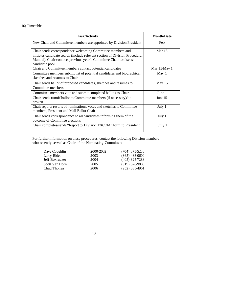## 16) Timetable

| <b>Task/Activity</b>                                                        | <b>Month/Date</b> |
|-----------------------------------------------------------------------------|-------------------|
| New Chair and Committee members are appointed by Division President         | Feb               |
| Chair sends correspondence welcoming Committee members and                  | Mar $15$          |
| initiates candidate search (include relevant section of Division Procedural |                   |
| Manual). Chair contacts previous year's Committee Chair to discuss          |                   |
| candidate pool.                                                             |                   |
| Chair and Committee members contact potential candidates                    | Mar 15-May 1      |
| Committee members submit list of potential candidates and biographical      | May $1$           |
| sketches and resumes to Chair                                               |                   |
| Chair sends ballot of proposed candidates, sketches and resumes to          | May $15$          |
| Committee members                                                           |                   |
| Committee members vote and submit completed ballots to Chair                | June 1            |
| Chair sends runoff ballot to Committee members (if necessary)/tie           | June15            |
| broken                                                                      |                   |
| Chair reports results of nominations, votes and sketches to Committee       | July 1            |
| members, President and Mail Ballot Chair                                    |                   |
| Chair sends correspondence to all candidates informing them of the          | July 1            |
| outcome of Committee elections                                              |                   |
| Chair completes/sends "Report to Division EXCOM" form to President          | July 1            |
|                                                                             |                   |

For further information on these procedures, contact the following Division members who recently served as Chair of the Nominating Committee:

| Dave Coughlin  | 2000-2002 | $(704)$ 875-5236 |
|----------------|-----------|------------------|
| Larry Rider    | 2003      | $(865)$ 483-0600 |
| Jeff Boxrucker | 2004      | $(405)$ 325-7288 |
| Scott Van Horn | 2005      | $(919)$ 528-9886 |
| Chad Thomas    | 2006      | $(252)$ 335-4961 |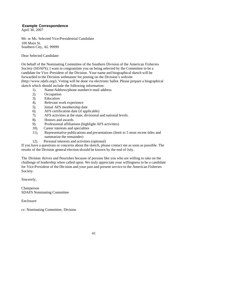#### **Example Correspondence**

April 30, 2007

Mr. or Ms. Selected Vice-Presidential Candidate 100 Main St. Southern City, AL 99999

Dear Selected Candidate:

On behalf of the Nominating Committee of the Southern Division of the American Fisheries Society (SDAFS), I want to congratulate you on being selected by the Committee to be a candidate for Vice -President of the Division . Your name and biographical sketch will be forwarded to the Division webmaster for posting on the Division's website (http://www.sdafs.org/). Voting will be done via electronic ballot. Please prepare a biographical sketch which should include the following information:

- 1). Name/Address/phone number/e-mail address
- 2). Occupation
- 3). Education
- 4). Relevant work experience
- 5). Initial AFS membership date
- 6). AFS certification date (if applicable)
- 7). AFS activities at the state, divisional and national levels.
- 8). Honors and awards
- 9). Professional affiliations (highlight AFS activities)
- 10). Career interests and specialties
- 11). Representative publications and presentations (limit to 5 most recent titles and summarize the remainder)
- 12). Personal interests and activities (optional)

If you have a questions or concerns about the sketch, please contact me as soon as possible. The results of the Division general election should be known by the end of July.

The Division thrives and flourishes because of persons like you who are willing to take on the challenge of leadership when called upon. We truly appreciate your willingness to be a candidate for Vice-President of the Division and your past and present service to the American Fisheries Society.

Sincerely,

Chairperson SDAFS Nominating Committee

Enclosure

cc: Nominating Committee, Division

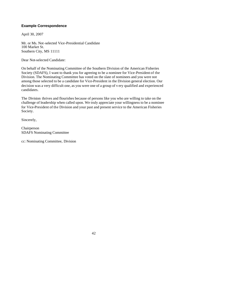#### **Example Correspondence**

April 30, 2007

Mr. or Ms. Not-selected Vice-Presidential Candidate 100 Market St. Southern City, MS 11111

Dear Not-selected Candidate:

On behalf of the Nominating Committee of the Southern Division of the American Fisheries Society (SDAFS), I want to thank you for agreeing to be a nominee for Vice-President of the Division. The Nominating Committee has voted on the slate of nominees and you were not among those selected to be a candidate for Vice-President in the Division general election. Our decision was a very difficult one, as you were one of a group of v ery qualified and experienced candidates.

The Division thrives and flourishes because of persons like you who are willing to take on the challenge of leadership when called upon. We truly appreciate your willingness to be a nominee for Vice-President of the Division and your past and present service to the American Fisheries Society.

Sincerely,

Chairperson SDAFS Nominating Committee

cc: Nominating Committee, Division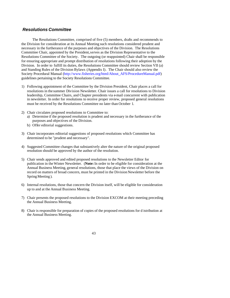## *Resolutions Committee*

The Resolutions Committee, comprised of five (5) members, drafts and recommends to the Division for consideration at its Annual Meeting such resolutions considered prudent and necessary in the furtherance of the purposes and objectives of the Division. The Resolutions Committee Chair, appointed by the President, serves as the Division Representative to the Resolutions Committee of the Society. The outgoing (or reappointed) Chair shall be responsible for ensuring appropriate and prompt distribution of resolutions following their adoption by the Division. In order to fulfill its duties, the Resolutions Committee should review Section VII (a) and Standing Rules of the Division Bylaws (Appendix I). The Chair should also review the Society Procedural Manual (http://www.fisheries.org/html/About\_AFS/ProcedureManual.pdf) guidelines pertaining to the Society Resolutions Committee.

- 1) Following appointment of the Committee by the Division President, Chair places a call for resolutions in the summer Division Newsletter. Chair issues a call for resolutions to Division leadership, Committee Chairs, and Chapter presidents via e-mail concurrent with publication in newsletter. In order for resolutions to receive proper review, proposed general resolutions must be received by the Resolutions Committee no later than October 1.
- 2) Chair circulates proposed resolutions to Committee to:
	- a) Determine if the proposed resolution is prudent and necessary in the furtherance of the purposes and objectives of the Division.
	- b) Offer editorial suggestions.
- 3) Chair incorporates editorial suggestions of proposed resolutions which Committee has determined to be "prudent and necessary".
- 4) Suggested Committee changes that substantively alter the nature of the original proposed resolution should be approved by the author of the resolution.
- 5) Chair sends approved and edited proposed resolutions to the Newsletter Editor for publication in the Winter Newsletter. (**Note:** In order to be eligible for consideration at the Annual Business Meeting, general resolutions, those that place the views of the Division on record on matters of broad concern, must be printed in the Division Newsletter before the Spring Meeting ).
- 6) Internal resolutions, those that concern the Division itself, will be eligible for consideration up to and at the Annual Business Meeting.
- 7) Chair presents the proposed resolutions to the Division EXCOM at their meeting preceding the Annual Business Meeting.
- 8) Chair is responsible for preparation of copies of the proposed resolutions for d istribution at the Annual Business Meeting.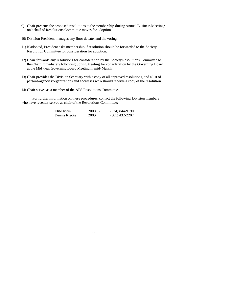- 9) Chair presents the proposed resolutions to the membership during Annual Business Meeting; on behalf of Resolutions Committee moves for adoption.
- 10) Division President manages any floor debate, and the voting.
- 11) If adopted, President asks membership if resolution should be forwarded to the Society Resolution Committee for consideration for adoption.
- 12) Chair forwards any resolutions for consideration by the Society Resolutions Committee to the Chair immediately following Spring Meeting for consideration by the Governing Board at the Mid -year Governing Board Meeting in mid-March.
- 13) Chair provides the Division Secretary with a copy of all approved resolutions, and a list of persons/agencies/organizations and addresses wh o should receive a copy of the resolution.
- 14) Chair serves as a member of the AFS Resolutions Committee.

For further information on these procedures, contact the following Division members who have recently served as chair of the Resolutions Committee:

| Elise Irwin   | 2000-02 | $(334)$ 844-9190 |
|---------------|---------|------------------|
| Dennis Riecke | 2003-   | $(601)$ 432-2207 |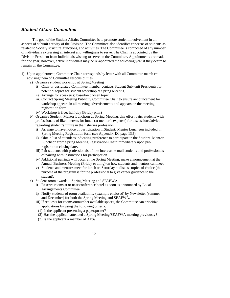## *Student Affairs Committee*

The goal of the Student Affairs Committee is to promote student involvement in all aspects of subunit activity of the Division. The Committee also identifies concerns of students as related to Society structure, functions, and activities. The Committee is composed of any number of individuals expressing an interest and willingness to serve. The Chair is appointed by the Division President from individuals wishing to serve on the Committee. Appointments are made for one year; however, active individuals may be re-appointed the following year if they desire to remain on the Committee.

- 1) Upon appointment, Committee Chair corresponds by letter with all Committee memb ers advising them of Committee responsibilities:
	- a) Organize student workshop at Spring Meeting
		- i) Chair or designated Committee member contacts Student Sub -unit Presidents for potential topics for student workshop at Spring Meeting
		- ii) Arrange for speaker(s) based on chosen topic
		- iii) Contact Spring Meeting Publicity Committee Chair to ensure announcement for workshop appears in all meeting advertisements and appears on the meeting registration form
		- iv) Workshop is free; half-day (Friday p.m.)
	- b) Organize Student: Mentor Luncheon at Spring Meeting; this effort pairs students with professionals of like interests for lunch (at mentor's expense) for discussions/advice regarding student's future in the fisheries profession.
		- i) Arrange to have notice of participation in Student: Mentor Luncheon included in Spring Meeting Registration form (see Appendix IX, page 13 5).
		- ii) Obtain list of attendees indicating preference to participate in the Student: Mentor Luncheon from Spring Meeting Registration Chair immediately upon preregistration closing date.
		- iii) Pair students with professionals of like interests; e-mail students and professionals of pairing with instructions for participation.
		- iv) Additional pairings will occur at the Spring Meeting; make announcement at the Annual Business Meeting (Friday evening) on how students and mentors can meet
		- v) Students and mentors meet for lunch on Saturday to discuss topics of choice (the purpose of the program is for the professional to give career guidance to the student).
	- c) Student room awards -- Spring Meeting and SEAFWA
		- i) Reserve rooms at or near conference hotel as soon as announced by Local Arrangements Committee.
		- ii) Notify students of room availability (example enclosed) by Newsletter (summer and December) for both the Spring Meeting and SEAFWA.
		- iii) If requests for rooms outnumber available spaces, the Committee can prioritize applications by using the following criteria:
		- (1) Is the applicant presenting a paper/poster?
		- (2) Has the applicant attended a Spring Meeting/SEAFWA meeting previously?
		- (3) Is the applicant a member of AFS?
			- 45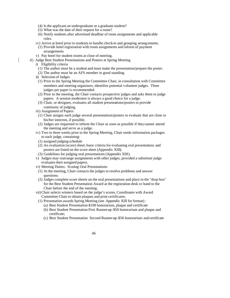- (4) Is the applicant an undergraduate or a graduate student?
- (5) What was the date of their request for a room?
- (6) Notify students after advertised deadline of room assignments and applicable rules.
- iv) Arrive at hotel prior to students to handle check-in and grouping arrang ements.
- (1) Provide hotel registration with room assignments and inform of payment arrangements
- v) Pay hotel for student rooms at close of meeting.
- d) Judge Best Student Presentations and Posters at Spring Meeting
	- i) Eligibility criteria
	- (1) The author must be a student and must make the presentation/prepare the poster.
	- (2) The author must be an AFS member in good standing.
	- ii) Selection of Judges
	- (1) Prior to the Spring Meeting the Committee Chair, in consultation with Committee members and meeting organizers, identifies potential volunteer judges. Three judges per paper is recommended.
	- (2) Prior to the meeting, the Chair contacts prospective judges and asks them to judge papers. A session moderator is always a good choice for a judge.
	- (3) Chair, or designee, evaluates all student presentations/posters to provide continuity of judging.
	- iii) Assignment of Papers
	- (1) Chair assigns each judge several presentations/posters to evaluate that are close to his/her interests, if possible.
	- (2) Judges are requested to inform the Chair as soon as possible if they cannot attend the meeting and serve as a judge.
	- iv) Two to three weeks prior to the Spring Meeting, Chair sends information packages to each judge, containing:
	- (1) assigned judging schedule
	- (2) An evaluation (score) sheet; basic criteria for evaluating oral presentations and posters are listed on the score sheet (Appendix XIII).
	- (3) Guidelines for judging oral presentations (Appendix XIII).
	- v) Judges may rearrange assignments with other judges, provided a substitute judge evaluates their assigned papers.
	- vi) Meeting Duties: Scoring Oral Presentations
	- (1) At the meeting, Chair contacts the judges to resolve problems and answer questions.
	- (2) Judges complete score sheets on the oral presentations and place in the "drop box" for the Best Student Presentation Award at the registration desk or hand to the Chair before the end of the meeting.
	- vii)Chair selects winners based on the judge's scores. Coordinates with Award Committee Chair to obtain plaques and print certificates.
	- (1) Presentation awards Spring Meeting (see Appendix XIII for format) :
		- (a) Best Student Presentation-\$100 honorarium, plaque and certificate
		- (b) Best Student Presentation First Runner-up-\$50 honorarium and plaque and certificate;
		- (c) Best Student Presentation Second Runner-up-\$50 honorarium and certificate
			- 46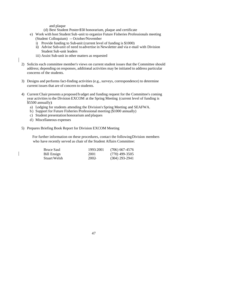and plaque

(d) Best Student Poster-\$50 honorarium, plaque and certificate

- e) Work with host Student Sub -unit to organize Future Fisheries Professionals meeting (Student Colloquium) -- October/November
	- i) Provide funding to Sub-unit (current level of funding is \$1000)
	- ii) Advise Sub-unit of need to advertise in Newsletter and via e-mail with Division Student Sub -unit leaders
	- iii) Assist Sub-unit in other matters as requested
- 2) Solicits each committee member's views on current student issues that the Committee should address; depending on responses, additional activities may be initiated to address particular concerns of the students.
- 3) Designs and performs fact-finding activities (e.g., surveys, correspondence) to determine current issues that are of concern to students.
- 4) Current Chair presents a proposed b udget and funding request for the Committee's coming year activities to the Division EXCOM at the Spring Meeting (current level of funding is \$5500 annually):
	- a) Lodging for students attending the Division's Spring Meeting and SEAFWA.
	- b) Support for Future Fisheries Professional meeting (\$1000 annually)
	- c) Student presentation honorarium and plaques
	- d) Miscellaneous expenses
- 5) Prepares Briefing Book Report for Division EXCOM Meeting

For further information on these procedures, contact the following Division members who have recently served as chair of the Student Affairs Committee:

| <b>Bruce Saul</b>   | 1993-2001 | $(706)$ 667-4576 |
|---------------------|-----------|------------------|
| Bill Ensign         | 2001      | (770) 499-3505   |
| <b>Stuart Welsh</b> | $2002 -$  | $(304)$ 293-2941 |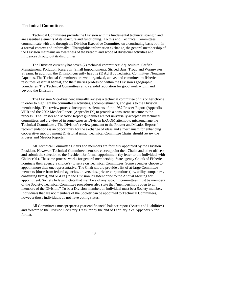## **Technical Committees**

Technical Committees provide the Division with its fundamental technical strength and are essential elements of its structure and functioning. To this end, Technical Committees communicate with and through the Division Executive Committee on a continuing basis both in a formal context and informally. Through this information exchange, the general membership of the Division maintains an awareness of the breadth and scope of divisional activities and influences throughout its disciplines.

The Division currently has seven (7) technical committees: Aquaculture, Catfish Management, Pollution, Reservoir, Small Impoundments, Striped Bass, Trout, and Warmwater Streams. In addition, the Division currently has one (1) Ad Hoc Technical Committee, Nongame Aquatics. The Technical Committees are well organized, active, and committed to fisheries resources, essential habitat, and the fisheries profession within the Division's geographic boundaries. The Technical Committees enjoy a solid reputation for good work within and beyond the Division .

The Division Vice-President annu ally reviews a technical committee of his or her choice in order to highlight the committee's activities, accomplishments, and goals to the Division membership. The review process incorporates elements of the 1987 Prosser Report (Appendix VIII) and the 2002 Meador Report (Appendix IX) to provide a consistent structure to the process. The Prosser and Meador Report guidelines are not universally accepted by technical committees and are viewed in some cases as Division EXCOM attempt to micromanage the Technical Committees. The Division's review pursuant to the Prosser and Meador Reports' recommendations is an opportunity for the exchange of ideas and a mechanism for enhancing cooperative support among Divisional units. Technical Committee Chairs should review the Prosser and Meador Reports.

All Technical Committee Chairs and members are formally appointed by the Division President. However, Technical Committee members elect/appoint their Chairs and other officers and submit the selection to the President for formal appointment (by letter to the individual with Chair cc'd.). The same process works for general membership. State agency Chiefs of Fisheries nominate their agency's choice(s) to serve on Technical Committees. Some agencies choose to appoint more than one representative. The Chair should provide a list of at-large Committee members [those from federal agencies, universities, private corporations (i.e., utility companies, consulting firms), and NGO's] to the Division President prior to the Annual Meeting for appointment. Society bylaws dictate that members of any sub-unit committees must be members of the Society. Technical Committee procedures also state that "membership is open to all members of the Division." To be a Division member, an individual must be a Society member. Individuals that are not members of the Society can be appointed to Technical Committees, however those individuals do not have voting status.

All Committees must prepare a year-end financial balance report (Assets and Liabilities) and forward to the Division Secretary Treasurer by the end of February. See Appendix V for format.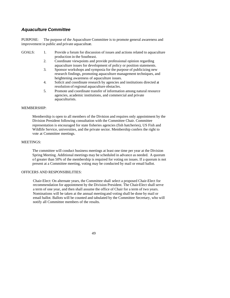## *Aquaculture Committee*

PURPOSE: The purpose of the Aquaculture Committee is to promote general awareness and improvement in public and private aquaculture.

#### GOALS: 1. Provide a forum for discussion of issues and actions related to aquaculture production in the Southeast.

- 2. Coordinate viewpoints and provide professional opinion regarding aquaculture issues for development of policy or position statements.
- 3. Sponsor workshops and symposia for the purpose of publicizing new research findings, promoting aquaculture management techniques, and heightening awareness of aquaculture issues.
- 4. Solicit and coordinate research by agencies and institutions directed at resolution of regional aquaculture obstacles.
- 5. Promote and coordinate transfer of information among natural resource agencies, academic institutions, and commercial and private aquaculturists.

#### MEMBERSHIP:

Membership is open to all members of the Division and requires only appointment by the Division President following consultation with the Committee Chair. Committee representation is encouraged for state fisheries agencies (fish hatcheries), US Fish and Wildlife Service, universities, and the private sector. Membership confers the right to vote at Committee meetings.

#### MEETINGS:

The committee will conduct business meetings at least one time per year at the Division Spring Meeting. Additional meetings may be scheduled in advance as needed. A quorum of greater than 50% of the membership is required for voting on issues. If a quorum is not present at a Committee meeting, voting may be conducted by mail or email ballot.

#### OFFICERS AND RESPONSIBILITIES:

Chair-Elect: On alternate years, the Committee shall select a proposed Chair-Elect for recommendation for appointment by the Division President. The Chair-Elect shall serve a term of one year, and then shall assume the office of Chair for a term of two years. Nominations will be taken at the annual meeting and voting shall be done by mail or email ballot. Ballots will be counted and tabulated by the Committee Secretary, who will notify all Committee members of the results.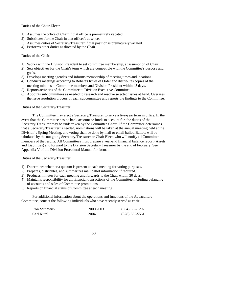#### Duties of the Chair-Elect:

- 1) Assumes the office of Chair if that office is prematurely vacated.
- 2) Substitutes for the Chair in that officer's absence.
- 3) Assumes duties of Secretary/Treasurer if that position is prematurely vacated.
- 4) Performs other duties as directed by the Chair.

### Duties of the Chair:

- 1) Works with the Division President to set committee membership, at assumption of Chair.
- 2) Sets objectives for the Chair's term which are compatible with the Committee's purpose and goals.
- 3) Develops meeting agendas and informs membership of meeting times and locations.
- 4) Conducts meetings according to Robert's Rules of Order and distributes copies of the
- meeting minutes to Committee members and Division President within 45 days.
- 5) Reports activities of the Committee to Division Executive Committee.
- 6) Appoints subcommittees as needed to research and resolve selected issues at hand. Oversees the issue resolution process of each subcommittee and reports the findings to the Committee.

#### Duties of the Secretary/Treasurer:

The Committee may elect a Secretary/Treasurer to serve a five-year term in office. In the event that the Committee has no bank account or funds to account for, the duties of the Secretary/Treasurer may be undertaken by the Committee Chair. If the Committee determines that a Secretary/Treasurer is needed, nominations will be taken at the annual meeting held at the Division's Spring Meeting, and voting shall be done by mail or email ballot. Ballots will be tabulated by the out-going Secretary/Treasurer or Chair-Elect, who will notify all Committee members of the results. All Committees must prepare a year-end financial balance report (Assets and Liabilities) and forward to the Division Secretary Treasurer by the end of February. See Appendix V of the Division Procedural Manual for format.

Duties of the Secretary/Treasurer:

- 1) Determines whether a quorum is present at each meeting for voting purposes.
- 2) Prepares, distributes, and summarizes mail ballot information if required.
- 3) Produces minutes for each meeting and forwards to the Chair within 30 days.
- 4) Maintains responsibility for all financial transactions of the Committee including balancing of accounts and sales of Committee promotions.
- 5) Reports on financial status of Committee at each meeting.

For additional information about the operations and functions of the Aquaculture Committee, contact the following individuals who have recently served as chair:

| Ron Southwick | 2000-2003 | $(804)$ 367-1292 |
|---------------|-----------|------------------|
| Carl Kittel   | 2004      | $(828)$ 652-5561 |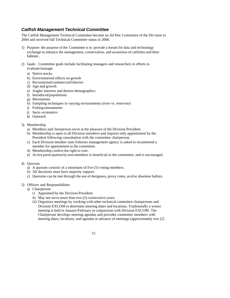## *Catfish Management Technical Committee*

The Catfish Management Technical Committee became an Ad Hoc Committee of the Div ision in 2004 and received full Technical Committee status in 2006.

- 1) Purpose: the purpose of the Committee is to provide a forum for data and technology exchange to enhance the management, conservation, and awareness of catfishes and their habitats.
- 2) Goals: Committee goals include facilitating managers and researchers in efforts to evaluate/manage:
	- a) Native stocks
	- b) Environmental effects on growth
	- c) Recreational/commercial fisheries
	- d) Age and growth
	- e) Angler interests and desires/demographics
	- f) Introduced populations
	- g) Movements
	- h) Sampling techniques in varying environments (river vs. reservoir)
	- i) Fishing tournaments
	- j) Socio -economics
	- k) Outreach
- 3) Membership
	- a) Members and chairperson serve at the pleasure of the Division President.
	- b) Membership is open to all Division members and requires only appointment by the President following consultation with the committee chairperson.
	- c) Each Division member state fisheries management agency is asked to recommend a member for appointment to the committee.
	- d) Membership confers the right to vote.
	- e) Active participation by non-members is beneficial to the committee, and is encouraged.
- 4) Quorum
	- a) A quorum consists of a minimum of five (5) voting members.
	- b) All decisions must have majority support.
	- c) Quorums can be met through the use of designees, proxy votes, an d/or absentee ballots.

### 5) Officers and Responsibilities

- a) Chairperson
	- i) Appointed by the Division President.
	- ii) May not serve more than two (2) consecutive years.
	- iii) Organizes meetings by working with other technical committee chairpersons and Division EXCOM to determine meeting dates and locations. Traditionally a winter meeting is held in January/February in conjunction with Division EXCOM. The Chairperson develops meeting agendas and provides committee members with meeting dates, locations, and agendas in advance of meetings (approximately two [2]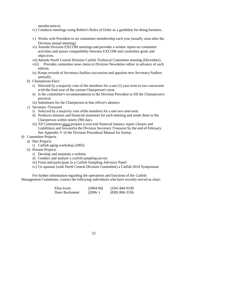months notice).

- iv) Conducts meetings using Robert's Rules of Order as a guideline for doing business.
- v) Works with President to set committee membership each year (usually soon after the Division annual meeting).
- vi) Attends Division EXCOM meetings and provides a written report on committee activities and assure compatibility between EXCOM and committee goals and objectives.
- vii) Attends North Central Division Catfish Technical Committee meeting (December).
- viii) Provides committee news items to Division Newsletter editor in advance of each edition.
- ix) Keeps records of Secretary/Auditor succession and appoints new Secretary/Auditor annually.
- b) Chairperson-Elect
	- i) Selected by a majority vote of the members for a one (1) year term to run concurrent with the final year of the current Chairperson's term.
	- ii) Is the committee's recommendation to the Division President to fill the Chairperson's position.
	- iii) Substitutes for the Chairperson in that officer's absence.
- c) Secretary -Treasurer
	- i) Selected by a majority vote of the members for a one two -year term
	- ii) Produces minutes and financial statement for each meeting and sends them to the Chairperson within ninety (90) days.
	- iii) All Committees must prepare a year-end financial balance report (Assets and Liabilities) and forward to the Division Secretary Treasurer by the end of February. See Appendix V of the Division Procedural Manual for format.
- 6) Committee Projects
	- a) Past Projects
		- i) Catfish aging workshop (2005)
	- b) Present Projects
		- i) Develop and maintain a website
		- ii) Conduct and analyze a catfish sampling survey
		- iii) Form and participate in a Catfish Sampling Advisory Panel
		- iv) Co-sponsor (with North Central Division Committee) a Catfish 2010 Symposium

For further information regarding the operations and functions of the Catfish Management Committee, contact the following individuals who have recently served as chair:

| Elise Irwin    | $(2004-06)$ | $(334) 844 - 9190$ |
|----------------|-------------|--------------------|
| Dave Buckmeier | $(2006-)$   | $(830)$ 866-3356   |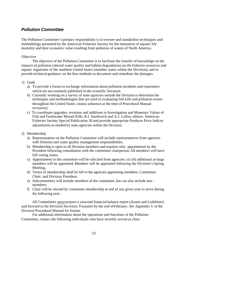## *Pollution Committee*

The Pollution Committee's primary responsibility is to oversee and standardize techniques and methodology presented by the American Fisheries Society for the estimation of aquatic life mortality and their economic value resulting from pollution of waters of North America.

#### **Objective**

The objective of the Pollution Committee is to facilitate the transfer of knowledge on the impacts of pollution (altered water quality and habitat degradation) on the fisheries resources and aquatic organisms of the southern United States (member states within the Division), and to provide technical guidance on the best methods to document and remediate the damages.

#### 1) Goals

- a) To provide a forum to exchange information about pollution incidents and experience which are not routinely published in the scientific literature.
- b) Currently working on a survey of state agencies outside the Division to determine the techniques and methodologies that are used in evaluating fish kills and pollution events throughout the United States. (status unknown at the time of Procedural Manual revisions)
- c) To coordinate upgrades, revisions and additions to Investigation and Monetary Values of Fish and Freshwater Mussel Kills. R.I. Southwick and A.J. Loftus, editors. American Fisheries Society Special Publication 30 and provide appropriate Producer Price Indices adjustments as needed by state agencies within the Division.

#### 2) Membership

- a) Representation on the Pollution Committee will include representatives from agencies with fisheries and water quality management responsibilities.
- b) Membership is open to all Division members and requires only appointment by the President following consultation with the committee chairperson.All members will have full voting status.
- c) Appointment to the committee will be solicited from agencies; six (6) additional at-large members will be appointed. Members will be appointed following the Division's Spring Meeting..
- d) Terms of membership shall be left to the agencies appointing members, Committee Chair, and Division President.
- e) Subcommittees will include members of the committee, but can also include non members.
- f) Chair will be elected by committee membership at end of any given year to serve during the following year.

All Committees must prepare a year-end financial balance report (Assets and Liabilities) and forward to the Division Secretary Treasurer by the end of February. See Appendix V of the Division Procedural Manual for format.

For additional information about the operations and functions of the Pollution Committee, contact the following individuals who have recently served as chair: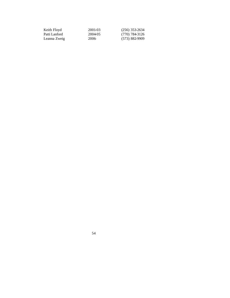| Keith Floyd   | 2001-03 | $(256)$ 353-2634 |
|---------------|---------|------------------|
| Patti Lanford | 2004-05 | (770) 784-3126   |
| Leanna Zweig  | 2006-   | (573) 882-9909   |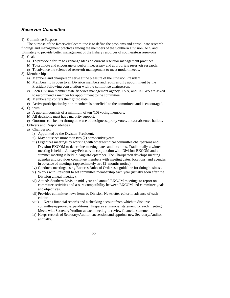## *Reservoir Committee*

1) Committee Purpose

The purpose of the Reservoir Committee is to define the problems and consolidate research findings and management practices among the members of the Southern Division, AFS and ultimately to provide better management of the fishery resources of southeastern reservoirs. 2) Goals

- a) To provide a forum to exchange ideas on current reservoir management practices.
- b) To promote and encourage or perform necessary and appropriate reservoir research.
- c) To advance the science of reservoir management to meet modern needs.
- 3) Membership
	- a) Members and chairperson serve at the pleasure of the Division President.
	- b) Membership is open to all Division members and requires only appointment by the President following consultation with the committee chairperson.
	- c) Each Division member state fisheries management agency, TVA, and USFWS are asked to recommend a member for appointment to the committee.
	- d) Membership confers the right to vote.
	- e) Active participation by non-members is beneficial to the committee, and is encouraged.
- 4) Quorum
	- a) A quorum consists of a minimum of ten (10) voting members.
	- b) All decisions must have majority support.
	- c) Quorums can be met through the use of designees, proxy votes, and/or absentee ballots.
- 5) Officers and Responsibilities
	- a) Chairperson
		- i) Appointed by the Division President.
		- ii) May not serve more than two (2) consecutive years.
		- iii) Organizes meetings by working with other technical committee chairpersons and Division EXCOM to determine meeting dates and locations. Traditionally a winter meeting is held in January/February in conjunction with Division EXCOM and a summer meeting is held in August/September. The Chairperson develops meeting agendas and provides committee members with meeting dates, locations, and agendas in advance of meetings (approximately two [2] months notice).
		- iv) Conducts meetings using Robert's Rules of Order as a guideline for doing business.
		- v) Works with President to set committee membership each year (usually soon after the Division annual meeting).
		- vi) Attends Southern Division mid -year and annual EXCOM meetings to report on committee activities and assure compatibility between EXCOM and committee goals and objectives.
		- vii) Provides committee news items to Division Newsletter editor in advance of each edition.
		- viii) Keeps financial records and a checking account from which to disburse committee-approved expenditures. Prepares a financial statement for each meeting. Meets with Secretary/Auditor at each meeting to review financial statement.
		- ix) Keeps records of Secretary/Auditor succession and appoints new Secretary/Auditor annually.
			- 55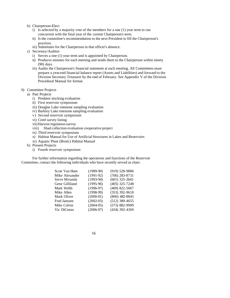- b) Chairperson-Elect
	- i) Is selected by a majority vote of the members for a one (1) year term to run concurrent with the final year of the current Chairperson's term.
	- ii) Is the committee's recommendation to the next President to fill the Chairperson's position.
	- iii) Substitutes for the Chairperson in that officer's absence.
- c) Secretary/Auditor
	- i) Serves a one (1) year term and is appointed by Chairperson.
	- ii) Produces minutes for each meeting and sends them to the Chairperson within ninety (90) days.
	- iii) Audits the Chairperson's financial statement at each meeting. All Committees must prepare a year-end financial balance report (Assets and Liabilities) and forward to the Division Secretary Treasurer by the end of February. See Appendix V of the Division Procedural Manual for format.

#### 6) Committee Projects

- a) Past Projects
	- i) Predator stocking evaluation
	- ii) First reservoir symposium
	- iii) Douglas Lake rotenone sampling evaluation
	- iv) Barkley Lake rotenone sampling evaluation
	- v) Second reservoir symposium
	- vi) Creel survey listing
	- vii) Harvest regulation survey
	- viii) Shad collection evaluation cooperative project
	- ix) Third reservoir symposium
	- x) Habitat Manual for Use of Artificial Structures in Lakes and Reservoirs
	- xi) Aquatic Plant (Biotic) Habitat Manual
- b) Present Projects
	- i) Fourth reservoir symposium

For further information regarding the operations and functions of the Reservoir Committee, contact the following individuals who have recently served as chair:

| Scott Van Horn      | $(1989-90)$ | (919) 528-9886     |
|---------------------|-------------|--------------------|
| Mike Alexander      | $(1991-92)$ | $(706)$ 283-8731   |
| Steve Miranda       | $(1993-94)$ | $(601)$ 325-2643   |
| Gene Gilliland      | $(1995-96)$ | $(405)$ 325-7248   |
| Mark Webb           | $(1996-97)$ | $(409)$ 822-5067   |
| Mike Allen          | $(1998-99)$ | $(353)$ 392-9618   |
| Mark Oliver         | $(2000-01)$ | $(800)$ 482-8845   |
| <b>Fred Janssen</b> | $(2002-03)$ | $(512)$ 389-4655   |
| Mike Colvin         | $(2004-05)$ | $(573) 882 - 9909$ |
| Vic DiCenzo         | $(2006-07)$ | (434) 392-4369     |
|                     |             |                    |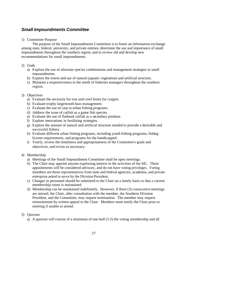## *Small Impoundments Committee*

#### 1) Committee Purpose

The purpose of the Small Impoundments Committee is to foster an information exchange among state, federal, university, and private entities; determine the use and importance of small impoundments throughout the southern region; and to review old and develop new recommendations for small impoundments.

#### 2) Goals

- a) Explore the use of alternate species combinations and management strategies in small impoundments.
- b) Explore the extent and use of natural (aquatic vegetation) and artificial structure.
- c) Maintain a responsiveness to the needs of fisheries managers throughout the southern region.

#### 3) Objectives

- a) Evaluate the necessity for size and creel limits for crappie.
- b) Evaluate trophy largemouth bass management.
- c) Evaluate the use of carp in urban fishing programs.
- d) Address the issue of catfish as a game fish species.
- e) Evaluate the use of flathead catfish as a secondary predator.
- f) Explore innovations in fertilizing strategies.
- g) Explore the amount of natural and artificial structure needed to provide a desirable and successful fishery.
- h) Evaluate different urban fishing programs, including youth fishing programs, fishing license requirements, and programs for the handicapped.
- i) Yearly, review the timeliness and appropriateness of the Committee's goals and objectives, and revise as necessary.

### 4) Membership

- a) Meetings of the Small Impoundment Committee shall be open meetings.
- b) The Chair may appoint anyone expressing interest in the activities of the SIC. These appointments will be considered advisory, and do not have voting privileges. Voting members are those representatives from state and federal agencies, academia, and private enterprise asked to serve by the Division President.
- c) Changes in personnel should be submitted to the Chair on a timely basis so that a current membership roster is maintained.
- d) Membership can be maintained indefinitely. However, if three (3) consecutive meetings are missed, the Chair, after consultation with the member, the Southern Division President, and the Committee, may request termination. The member may request reinstatement by written appeal to the Chair. Members must notify the Chair prior to meeting if unable to attend.

### 5) Quorum

- a) A quorum will consist of a minimum of one-half  $(1/2)$  the voting membership and all
	- 57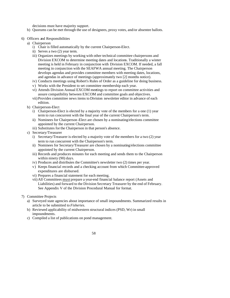decisions must have majority support.

- b) Quorums can be met through the use of designees, proxy votes, and/or absentee ballots.
- 6) Officers and Responsibilities
	- a) Chairperson
		- i) Chair is filled automatically by the current Chairperson-Elect.
		- ii) Serves a two (2) year term.
		- iii) Organizes meetings by working with other technical committee chairpersons and Division EXCOM to determine meeting dates and locations. Traditionally a winter meeting is held in February in conjunction with Division EXCOM. If needed, a fall meeting in conjunction with the SEAFWA annual meeting. The Chairperson develops agendas and provides committee members with meeting dates, locations, and agendas in advance of meetings (approximately two [2] months notice).
		- iv) Conducts meetings using Robert's Rules of Order as a guideline for doing business.
		- v) Works with the President to set committee membership each year.
		- vi) Attends Division Annual EXCOM meetings to report on committee activities and assure compatibility between EXCOM and committee goals and objectives.
		- vii) Provides committee news items to Division newsletter editor in advance of each edition.
	- b) Chairperson-Elect
		- i) Chairperson-Elect is elected by a majority vote of the members for a one (1) year term to run concurrent with the final year of the current Chairperson's term.
		- ii) Nominees for Chairperson -Elect are chosen by a nominating/elections committee appointed by the current Chairperson.
		- iii) Substitutes for the Chairperson in that person's absence.
	- c) Secretary/Treasurer
		- i) Secretary/Treasurer is elected by a majority vote of the members for a two (2) year term to run concurrent with the Chairperson's term.
		- ii) Nominees for Secretary/Treasurer are chosen by a nominating/elections committee appointed by the current Chairperson.
		- iii) Records and produces minutes for each meeting and sends them to the Chairperson within ninety (90) days.
		- iv) Produces and distributes the Committee's newsletter two (2) times per year.
		- v) Keeps financial records and a checking account from which Committee-approved expenditures are disbursed.
		- vi) Prepares a financial statement for each meeting.
		- vii) All Committees must prepare a year-end financial balance report (Assets and Liabilities) and forward to the Division Secretary Treasurer by the end of February. See Appendix V of the Division Procedural Manual for format.
- 7) Committee Projects
	- a) Surveyed state agencies about importance of small impoundments. Summarized results in article to be submitted to *Fisheries*.
	- b) Reviewed applicability of midwestern structural indices (PSD, Wr) in small impoundments.
	- c) Compiled a list of publications on pond management.
		- 58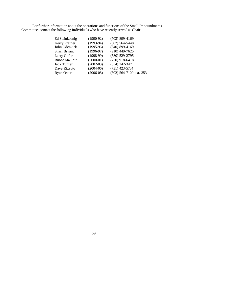For further information about the operations and functions of the Small Impoundments Committee, contact the following individuals who have recently served as Chair:

| Ed Steinkoenig | $(1990-92)$ | $(703)$ 899-4169        |
|----------------|-------------|-------------------------|
| Kerry Prather  | $(1993-94)$ | $(502) 564 - 5448$      |
| John Odenkirk  | $(1995-96)$ | $(540)$ 899-4169        |
| Shari Bryant   | $(1996-97)$ | $(910)$ 449-7625        |
| Larry Cofer    | $(1998-99)$ | $(580) 529 - 2795$      |
| Bubba Mauldin  | $(2000-01)$ | $(770)$ 918-6418        |
| Jack Turner    | $(2002-03)$ | (334) 242-3471          |
| Dave Rizzuto   | $(2004-06)$ | (731) 423-5734          |
| Ryan Oster     | $(2006-08)$ | (502) 564-7109 ext. 353 |
|                |             |                         |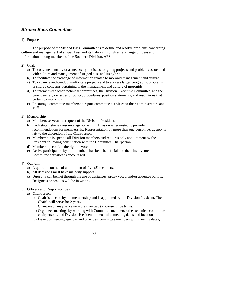## *Striped Bass Committee*

### 1) Purpose

The purpose of the Striped Bass Committee is to define and resolve problems concerning culture and management of striped bass and its hybrids through an exchange of ideas and information among members of the Southern Division, AFS.

- 2) Goals
	- a) To convene annually or as necessary to discuss ongoing projects and problems associated with culture and management of striped bass and its hybrids.
	- b) To facilitate the exchange of information related to moronid management and culture.
	- c) To organize and conduct multi-state projects and to address larger geographic problems or shared concerns pertaining to the management and culture of moronids.
	- d) To interact with other technical committees, the Division Executive Committee, and the parent society on issues of policy, procedures, position statements, and resolutions that pertain to moronids.
	- e) Encourage committee members to report committee activities to their administrators and staff.

## 3) Membership

- a) Members serve at the request of the Division President.
- b) Each state fisheries resource agency within Division is requested to provide recommendations for memb ership. Representation by more than one person per agency is left to the discretion of the Chairperson.
- c) Membership is open to all Division members and requires only appointment by the President following consultation with the Committee Chairperson.
- d) Membership confers the right to vote.
- e) Active participation by non-members has been beneficial and their involvement in Committee activities is encouraged.
- 4) Quorum
	- a) A quorum consists of a minimum of five (5) members.
	- b) All decisions must have majority support.
	- c) Quorums can be met through the use of designees, proxy votes, and/or absentee ballots. Designees or proxies will be in writing.

## 5) Officers and Responsibilities

- a) Chairperson
	- i) Chair is elected by the membership and is appointed by the Division President. The Chair's will serve for 2 years.
	- ii) Chairperson may serve no more than two (2) consecutive terms.
	- iii) Organizes meetings by working with Committee members, other technical committee chairpersons, and Division President to determine meeting dates and locations.
	- iv) Develops meeting agendas and provides Committee members with meeting dates,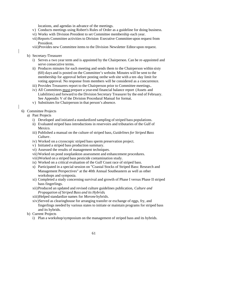locations, and agendas in advance of the meetings.

- v) Conducts meetings using Robert's Rules of Order as a guideline for doing business.
- vi) Works with Division President to set Committee membership each year.
- vii)Reports Committee activities to Division Executive Committee upon request from President.
- viii)Provides new Committee items to the Division Newsletter Editor upon request.
- b) Secretary /Treasurer
	- i) Serves a two year term and is appointed by the Chairperson. Can be re-appointed and serve consecutive terms.
	- ii) Produces minutes for each meeting and sends them to the Chairperson within sixty (60) days and is posted on the Committee's website. Minutes will be sent to the membership for approval before posting on the web site with a ten -day limit for voting approval. No response from members will be considered as a concurrence.
	- iii) Provides Treasurers report to the Chairperson prior to Committee meetings..
	- iv) All Committees must prepare a year-end financial balance report (Assets and Liabilities) and forward to the Division Secretary Treasurer by the end of February. See Appendix V of the Division Procedural Manual for format.
	- v) Substitutes for Chairperson in that person's absence.
- 6) Committee Projects
	- a) Past Projects
		- i) Developed and initiated a standardized sampling of striped bass populations.
		- ii) Evaluated striped bass introductions in reservoirs and tributaries of the Gulf of Mexico.
		- iii) Published a manual on the culture of striped bass, *Guidelines for Striped Bass Culture*.
		- iv) Worked on a cryoscopic striped bass sperm preservation project.
		- v) Initiated a striped bass production summary.
		- vi) Assessed the results of management techniques.
		- vii)Worked on pond zooplankton assessment and enhancement procedures.
		- viii)Worked on a striped bass pesticide contamination study.
		- ix) Worked on a critical evaluation of the Gulf Coast race of striped bass.
		- x) Participated in a special session on "Coastal Stocks of Striped Bass: Research and Management Perspectives" at the 40th Annual Southeastern as well as other workshops and symposia.
		- xi) Completed a study concerning survival and growth of Phase I versus Phase II striped bass fingerlings.
		- xii)Produced an updated and revised culture guidelines publication, *Culture and Propagation of Striped Bass and its Hybrids*.
		- xiii)Helped standardize names for *Morone* hybrids.
		- xiv)Served as clearinghouse for arranging transfer or exchange of eggs, fry, and fingerlings needed by various states to initiate or maintain programs for striped bass and its hybrids.
	- b) Current Projects
		- i) Plan a workshop/symposium on the management of striped bass and its hybrids.
			- 61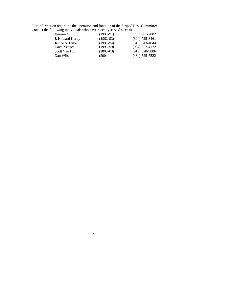| For information regarding the operation and function of the Striped Bass Committee, |  |
|-------------------------------------------------------------------------------------|--|
| contact the following individuals who have recently served as chair:                |  |

| Vernon Minton    | $(1990-91)$ | $(205)$ 861-2882 |
|------------------|-------------|------------------|
| J. Howard Kerby  | $(1992-93)$ | $(304)$ 725-8461 |
| Janice S. Little | $(1993-94)$ | $(318)$ 343-4044 |
| Dave Yeager      | $(1996-99)$ | $(904)$ 957-4172 |
| Scott Van Horn   | $(2000-03)$ | $(919)$ 528-9886 |
| Dan Wilson       | $(2004 -$   | (434) 525-7522   |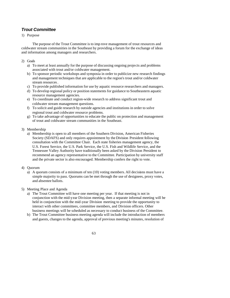## *Trout Committee*

## 1) Purpose

The purpose of the Trout Committee is to imp rove management of trout resources and coldwater stream communities in the Southeast by providing a forum for the exchange of ideas and information among managers and researchers.

### 2) Goals

- a) To meet at least annually for the purpose of discussing ongoing projects and problems associated with trout and/or coldwater management.
- b) To sponsor periodic workshops and symposia in order to publicize new research findings and management techniques that are applicable to the region's trout and/or coldwater stream resources.
- c) To provide published information for use by aquatic resource researchers and managers.
- d) To develop regional policy or position statements for guidance to Southeastern aquatic resource management agencies.
- e) To coordinate and conduct region-wide research to address significant trout and coldwater stream management questions.
- f) To solicit and guide research by outside agencies and institutions in order to solve regional trout and coldwater resource problems.
- g) To take advantage of opportunities to educate the public on protection and management of trout and coldwater stream communities in the Southeast.
- 3) Membership
	- a) Membership is open to all members of the Southern Division, American Fisheries Society (SDAFS) and only requires appointment by the Division President following consultation with the Committee Chair. Each state fisheries management agency, the U.S. Forest Service, the U.S. Park Service, the U.S. Fish and Wildlife Service, and the Tennessee Valley Authority have traditionally been asked by the Division President to recommend an agency representative to the Committee. Participation by university staff and the private sector is also encouraged. Membership confers the right to vote.

## 4) Quorum

- a) A quorum consists of a minimum of ten (10) voting members. All decisions must have a simple majority to pass. Quorums can be met through the use of designees, proxy votes, and absentee ballots.
- 5) Meeting Place and Agenda
	- a) The Trout Committee will have one meeting per year. If that meeting is not in conjunction with the mid-year Division meeting, then a separate informal meeting will be held in conjunction with the mid-year Division meeting to provide the opportunity to interact with other committees, committee members, and Division officers. Other business meetings will be scheduled as necessary to conduct business of the Committee.
	- b) The Trout Committee business meeting agenda will include the introduction of members and guests, changes to the agenda, approval of previous meeting's minutes, resolution of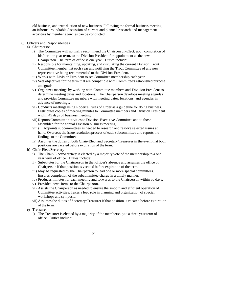old business, and intro duction of new business. Following the formal business meeting, an informal roundtable discussion of current and planned research and management activities by member agencies can be conducted.

- 6) Officers and Responsibilities
	- a) Chairperson
		- i) The Committee will normally recommend the Chairperson-Elect, upon completion of his/her one-year term, to the Division President for appointment as the new Chairperson. The term of office is one year. Duties include:
		- ii) Responsible for maintaining, updating, and circulating the current Division Trout Committee member list each year and notifying the Trout Committee of any new representative being recommended to the Division President.
		- iii) Works with Division President to set Committee membership each year.
		- iv) Sets objectives for the term that are compatible with Committee's established purpose and goals.
		- v) Organizes meetings by working with Committee members and Division President to determine meeting dates and locations. The Chairperson develops meeting agendas and provides Committee members with meeting dates, locations, and agendas in advance of meetings.
		- vi) Conducts meetings using Robert's Rules of Order as a guideline for doing business. Distributes copies of meeting minutes to Committee members and Division President within 45 days of business meeting.
		- vii)Reports Committee activities to Division Executive Committee and to those assembled for the annual Division business meeting.
		- viii) Appoints subcommittees as needed to research and resolve selected issues at hand. Oversees the issue resolution process of each subcommittee and reports the findings to the Committee.
		- ix) Assumes the duties of both Chair-Elect and Secretary/Treasurer in the event that both positions are vacated before expiration of the term.
	- b) Chair-Elect/Secretary
		- i) The Chair-Elect/Secretary is elected by a majority vote of the membership to a one year term of office. Duties include:
		- ii) Substitutes for the Chairperson in that officer's absence and assumes the office of Chairperson if that position is vacated before expiration of the term.
		- iii) May be requested by the Chairperson to lead one or more special committees. Ensures completion of the subcommittee charge in a timely manner.
		- iv) Produces minutes for each meeting and forwards to the Chairperson within 30 days.
		- v) Provided news items to the Chairperson.
		- vi) Assists the Chairperson as needed to ensure the smooth and efficient operation of Committee activities. Takes a lead role in planning and organization of special workshops and symposia.
		- vii) Assumes the duties of Secretary/Treasurer if that position is vacated before expiration of the term.
	- c) Treasurer
		- i) The Treasurer is elected by a majority of the membership to a three-year term of office. Duties include: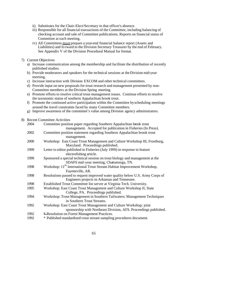- ii) Substitutes for the Chair-Elect/Secretary in that officer's absence.
- iii) Responsible for all financial transactions of the Committee, including balancing of checking account and sale of Committee publications. Reports on financial status of Committee at each meeting.
- iv) All Committees must prepare a year-end financial balance report (Assets and Liabilities) and fo rward to the Division Secretary Treasurer by the end of February. See Appendix V of the Division Procedural Manual for format.
- 7) Current Objectives
	- a) Increase communication among the membership and facilitate the distribution of recently published studies.
	- b) Provide moderators and speakers for the technical sessions at the Division mid-year meeting.
	- c) Increase interaction with Division EXCOM and other technical committees.
	- d) Provide input on new proposals for trout research and management presented by non-Committee members at the Division Spring meeting.
	- e) Promote efforts to resolve critical trout management issues. Continue efforts to resolve the taxonomic status of southern Appalachian brook trout.
	- f) Promote the continued active participation within the Committee by scheduling meetings around the travel constraints faced by many Committee members.
	- g) Improve awareness of the committee's value among Division agency administrators.

#### 8) Recent Committee Activities

| 2004 | Committee position paper regarding Southern Appalachian brook trout                 |
|------|-------------------------------------------------------------------------------------|
|      | management. Accepted for publication in Fisheries (In Press).                       |
| 2002 | Committee position statement regarding Southern Appalachian brook trout             |
|      | management.                                                                         |
| 2000 | Workshop: East Coast Trout Management and Culture Workshop III, Frostburg,          |
|      | Maryland. Proceedings published.                                                    |
| 1999 | Letter to editor published in Fisheries (July 1999) in response to feature          |
|      | electrofishing article.                                                             |
| 1999 | Sponsored a special technical session on trout biology and management at the        |
|      | SDAFS mid-year meeting, Chattanooga, TN.                                            |
| 1998 | Workshop: 11 <sup>th</sup> International Trout Stream Habitat Improvement Workshop, |
|      | Fayetteville, AR.                                                                   |
| 1998 | Resolutions passed to request improved water quality below U.S. Army Corps of       |
|      | Engineers projects in Arkansas and Tennessee.                                       |
| 1998 | Established Trout Committee list server at Virginia Tech. University.               |
| 1995 | Workshop: East Coast Trout Management and Culture Workshop II, State                |
|      | College, PA. Proceedings published.                                                 |
| 1994 | Workshop: Trout Management in Southern Tailwaters: Management Techniques            |
|      | in Southern Trout Streams.                                                          |
| 1992 | Workshop: East Coast Trout Management and Culture Workshop; joint                   |
|      | sponsorship with Northeast Division, AFS. Proceedings published.                    |
| 1992 | * Resolution on Forest Management Practices.                                        |
| 1992 | * Published standardized trout stream sampling procedures document.                 |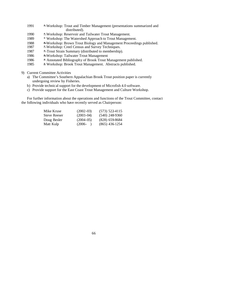- 1991 \* Workshop: Trout and Timber Management (presentations summarized and distributed).
- 1990 \* Workshop: Reservoir and Tailwater Trout Management.
- 1989 \* Workshop: The Watershed Approach to Trout Management.
- 1988 \* Workshop: Brown Trout Biology and Management Proceedings published.
- 1987 \* Workshop: Creel Census and Survey Techniques.
- 1987 **\*** Trout Strain Summary (distributed to membership).
- 1986 \* Workshop: Tailwater Trout Management
- 1986 \* Annotated Bibliography of Brook Trout Management published.
- 1985 \* Workshop: Brook Trout Management. Abstracts published.
- 9) Current Committee Activities
	- a) The Committee's Southern Appalachian Brook Trout position paper is currently undergoing review by Fisheries.
	- b) Provide technical support for the development of Microfish 4.0 software.
	- c) Provide support for the East Coast Trout Management and Culture Workshop.

For further information about the operations and functions of the Trout Committee, contact the following individuals who have recently served as Chairperson:

| Mike Kruse   | $(2002 - 03)$ | $(573)$ 522-4115 |
|--------------|---------------|------------------|
| Steve Reeser | $(2003 - 04)$ | $(540)$ 248-9360 |
| Doug Besler  | $(2004 - 05)$ | $(828)$ 659-8684 |
| Matt Kulp    | $(2006 -$     | $(865)$ 436 1254 |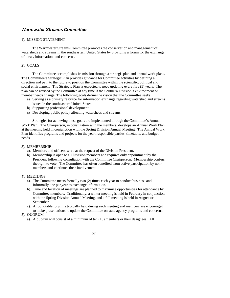## *Warmwater Streams Committee*

#### 1). MISSION STATEMENT

The Warmwater Streams Committee promotes the conservation and management of watersheds and streams in the southeastern United States by providing a forum for the exchange of ideas, information, and concerns.

#### 2). GOALS

The Committee accomplishes its mission through a strategic plan and annual work plans. The Committee's Strategic Plan provides guidance for Committee activities by defining a direction and path to the future to position the Committee within the scientific, political and social environment. The Strategic Plan is expected to need updating every five (5) years. The plan can be revised by the Committee at any time if the Southern Division's environment or member needs change. The following goals define the vision that the Committee seeks:

- a). Serving as a primary resource for information exchange regarding watershed and streams issues in the southeastern United States.
- b). Supporting professional development.
- c). Developing public policy affecting watersheds and streams.

Strategies for achieving these goals are implemented through the Committee's Annual Work Plan. The Chairperson, in consultation with the members, develops an Annual Work Plan at the meeting held in conjunction with the Spring Division Annual Meeting. The Annual Work Plan identifies programs and projects for the year, responsible parties, timetable, and budget needs.

#### 3). MEMBERSHIP

- a). Members and officers serve at the request of the Division President.
- b). Membership is open to all Division members and requires only appointment by the President following consultation with the Committee Chairperson. Membership confers the right to vote. The Committee has often benefited from active participation by nonmembers and continues their involvement.

#### 4). MEETINGS

- a). The Committee meets formally two (2) times each year to conduct business and informally one per year to exchange information.
- b). Time and location of meetings are planned to maximize opportunities for attendance by Committee members. Traditionally, a winter meeting is held in February in conjunction with the Spring Division Annual Meeting, and a fall meeting is held in August or September.
- c). A roundtable forum is typically held during each meeting and members are encouraged to make presentations to update the Committee on state agency programs and concerns.
- 5). QUORUM
	- a). A quorum will consist of a minimum of ten (10) members or their designees. All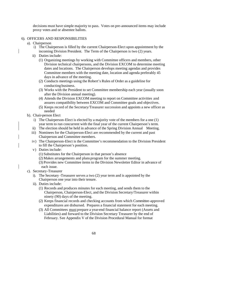decisions must have simple majority to pass. Votes on pre-announced items may include proxy votes and or absentee ballots.

#### 6). OFFICERS AND RESPONSIBILITIES

- a). Chairperson
	- i) The Chairperson is filled by the current Chairperson-Elect upon appointment by the incoming Division President. The Term of the Chairperson is two (2) years.
	- ii) Duties include:
		- (1) Organizing meetings by working with Committee officers and members, other Division technical chairpersons, and the Division EXCOM to determine meeting dates and locations. The Chairperson develops meeting agendas and provides Committee members with the meeting date, location and agenda preferably 45 days in advance of the meeting.
		- (2) Conducts meetings using the Robert's Rules of Order as a guideline for conducting business.
		- (3) Works with the President to set Committee membership each year (usually soon after the Division annual meeting).
		- (4) Attends the Division EXCOM meeting to report on Committee activities and assures compatibility between EXCOM and Committee goals and objectives.
		- (5) Keeps record of the Secretary/Treasurer succession and appoints a new officer as needed
- b). Chair-person Elect
	- i) The Chairperson-Elect is elected by a majority vote of the members for a one (1) year term to run concurrent with the final year of the current Chairperson's term.
	- ii) The election should be held in advance of the Spring Division Annual Meeting.
	- iii) Nominees for the Chairperson-Elect are recommended by the current and past Chairperson and Committee members.
	- iv) The Chairperson-Elect is the Committee's recommendation to the Division President to fill the Chairperson's position.
	- v) Duties include:
		- (1) Substitutes for the Chairperson in that person's absence
		- (2) Makes arrangements and plans program for the summer meeting.
		- (3) Provides new Committee items to the Division Newsletter Editor in advance of each issue.
- c). Secretary-Treasurer
	- i). The Secretary -Treasurer serves a two (2) year term and is appointed by the Chairperson one year into their tenure.
	- ii). Duties include:
		- (1) Records and produces minutes for each meeting, and sends them to the Chairperson, Chairperson-Elect, and the Division Secretary/Treasurer within ninety (90) days of the meeting.
		- (2) Keeps financial records and checking accounts from which Committee-approved expenditures are disbursed. Prepares a financial statement for each meeting.
		- (3) All Committees must prepare a year-end financial balance report (Assets and Liabilities) and forward to the Division Secretary Treasurer by the end of February. See Appendix V of the Division Procedural Manual for format
			- 68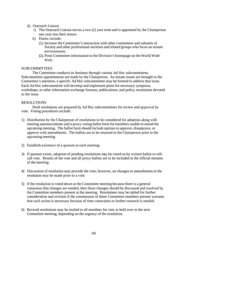d). Outreach Liaison

- i) The Outreach Liaison serves a two (2) year term and is appointed by the Chairperson one year into their tenure.
- ii) Duties include:
	- (1). Increase the Committee's interaction with other committees and subunits of Society and other professional societies and related groups who focus on stream environments.
	- (2). Posts Committee information to the Division's homepage on the World Wide Web.

#### **SUBCOMMITTEES**

The Committee conducts its business through various Ad Hoc subcommittees. Subcommittee appointments are made by the Chairperson. As stream issues are brought to the Committee's attention, a specific Ad Hoc subcommittee may be formed to address that issue. Each Ad Hoc subcommittee will develop and implement plans for necessary symposia, workshops, or other information exchange formats; publications; and policy resolutions devoted to the issue.

#### RESOLUTIONS

Draft resolutions are prepared by Ad Hoc subcommittees for review and approval by vote. Voting procedures include:

- 1) Distribution by the Chairperson of resolutions to be considered for adoption along with meeting announcements and a proxy voting ballot form for members unable to attend the upcoming meeting. The ballot form should include options to approve, disapprove, or approve with amendments. The ballots are to be returned to the Chairperson prior to the upcoming meeting
- 2) Establish existence of a quorum at each meeting.
- 3) If quorum exists, adoption of pending resolutions may be voted on by written ballot or rollcall vote. Results of the vote and all proxy ballots are to be included in the official minutes of the meeting.
- 4) Discussion of resolution may precede the vote; however, no changes or amendments to the resolution may be made prior to a vote
- 5) If the resolution is voted down at the Committee meeting because there is a general consensus that changes are needed, then those changes should be discussed and resolved by the Committee members present at the meeting. Resolutions may be tabled for further consideration and revision if the consensuses of those Committee members present warrants that such action is necessary because of time constraints or further research is needed.
- 6) Revised resolutions may be mailed to all members for vote or held over to the next Committee meeting, depending on the urgency of the resolution.
	- 69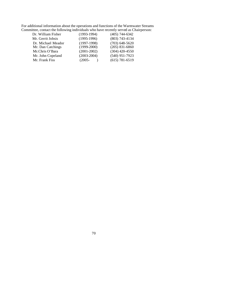For additional information about the operations and functions of the Warmwater Streams Committee, contact the following individuals who have recently served as Chairperson:

| Dr. William Fisher | $(1993-1994)$   | $(405)$ 744-6342   |
|--------------------|-----------------|--------------------|
| Mr. Gerrit Jobsis  | $(1995-1996)$   | $(803)$ 743-4134   |
| Dr. Michael Meador | $(1997-1998)$   | $(703)$ 648-5620   |
| Mr. Dan Catchings  | $(1999-2000)$   | $(205)$ 831-6860   |
| Mr.Chris O'Bara    | $(2001 - 2002)$ | $(304)$ 420-4550   |
| Mr. John Copeland  | $(2003 - 2004)$ | $(540)$ 951-7923   |
| Mr. Frank Fiss     | $(2005 -$       | $(615) 781 - 6519$ |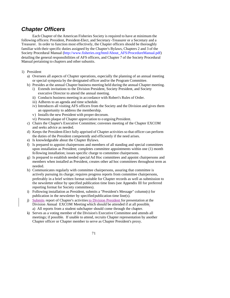# *Chapter Officers*

Each Chapter of the American Fisheries Society is required to have at minimum the following officers: President, President-Elect, and Secretary -Treasurer or a Secretary and a Treasurer. In order to function most effectively, the Chapter officers should be thoroughly familiar with their specific duties assigned by the Chapter's Bylaws, Chapters 2 and 3 of the Society Procedural Manual (http://www.fisheries.org/html/About\_AFS/ProcedureManual.pdf) detailing the general responsibilities of AFS officers, and Chapter 7 of the Society Procedural Manual pertaining to chapters and other subunits.

- 1) President
	- a) Oversees all aspects of Chapter operations, especially the planning of an annual meeting or special symposia by the designated officer and/or the Program Committee.
	- b) Presides at the annual Chapter business meeting held during the annual Chapter meeting. i) Extends invitations to the Division President, Society President, and Society
		- executive Director to attend the annual meeting.
		- ii) Conducts business meeting in accordance with Robert's Rules of Order.
		- iii) Adheres to an agenda and time schedule.
		- iv) Introduces all visiting AFS officers from the Society and the Division and gives them an opportunity to address the membership.
		- v) Installs the new President with proper decorum.
		- vi) Presents plaque of Chapter appreciation to o utgoing President.
	- c) Chairs the Chapter's Executive Committee; convenes meeting of the Chapter EXCOM and seeks advice as needed.
	- d) Keeps the President-Elect fully apprised of Chapter activities so that officer can perform the duties of the President competently and efficiently if the need arises.
	- e) Is knowledgeable about the Chapter Bylaws.
	- f) Is prepared to appoint chairpersons and members of all standing and special committees upon installation as President; completes committee appointments within one (1) month following installation; issues specific charge to committee chairpersons.
	- g) Is prepared to establish needed special Ad Hoc committees and appoint chairpersons and members when installed as President, creates other ad hoc committees throughout term as needed.
	- h) Communicates regularly with committee chairpersons, assuring that committee is actively pursuing its charge; requires progress reports from committee chairpersons, preferably in a brief written format suitable for Chapter records as well as submission to the newsletter editor by specified publication time lines (see Appendix III for preferred reporting format for Society committees).
	- i) Following installation as President, submits a "President's Message" column(s) for publication in the newsletter by specified publication time line(s).
	- j) Submits report of Chapter's activities to Division President for presentation at the Division Annual EXCOM Meeting which should be attended if at all possible. a) All reports from a student subchapter should come through the chapter.
	- k) Serves as a voting member of the Division's Executive Committee and attends all meetings; if possible. If unable to attend, recruits Chapter representation by another Chapter officer or Chapter member to serve as Chapter President's proxy.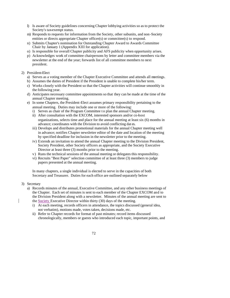- l) Is aware of Society guidelines concerning Chapter lobbying activities so as to protect the Society's tax-exempt status.
- m) Responds to requests for information from the Society, other subunits, and non -Society entities or directs appropriate Chapter officer(s) or committee(s) to respond.
- n) Submits Chapter's nomination for Outstanding Chapter Award to Awards Committee Chair by January 1 (Appendix XIII for application).
- o) Is responsible for overall Chapter publicity and AFS publicity when opportunity arises.
- p) Acknowledges work of committee chairpersons by letter and committee members via the newsletter at the end of the year; forwards list of all committee members to next president.
- 2) President-Elect
	- a) Serves as a voting member of the Chapter Executive Committee and attends all meetings.
	- b) Assumes the duties of President if the President is unable to complete his/her term.
	- c) Works closely with the President so that the Chapter activities will continue smoothly in the following year.
	- d) Anticipates necessary committee appointments so that they can be made at the time of the annual Chapter meeting.
	- e) In some Chapters, the President-Elect assumes primary responsibility pertaining to the annual meeting. Duties may include one or more of the following:
		- i) Serves as chair of the Program Committee to plan the annual Chapter meeting.
		- ii) After consultation with the EXCOM, interested sponsors and/or co-host organizations, selects time and place for the annual meeting at least six (6) months in advance; coordinates with the Division to avoid conflicting dat es.
		- iii) Develops and distributes promotional materials for the annual Chapter meeting well in advance; notifies Chapter newsletter editor of the date and location of the meeting by specified deadline for inclusion in the newsletter prior to the meeting.
		- iv) Extends an invitation to attend the annual Chapter meeting to the Division President, Society President, other Society officers as appropriate, and the Society Executive Director at least three (3) months prior to the meeting.
		- v) Runs the technical sessions of the annual meeting or delegates this responsibility.
		- vi) Recruits "Best Paper" selection committee of at least three (3) members to judge papers presented at the annual meeting.

In many chapters, a single individual is elected to serve in the capacities of both Secretary and Treasurer. Duties for each office are outlined separately below

- 3) Secretary
	- a) Records minutes of the annual, Executive Committee, and any other business meetings of the Chapter. Each set of minutes is sent to each member of the Chapter EXCOM and to the Division President along with a newsletter. Minutes of the annual meeting are sent to the Society Executive Director within thirty (30) days of the meeting.
		- i) At each meeting, records officers in attendance, the topics discussed (general idea, not verbatim), motions made, votes taken, decisions made, etc.
		- ii) Refer to Chapter records for format of past minutes; record items discussed chronologically, members or guests who introduced each topic, important points, and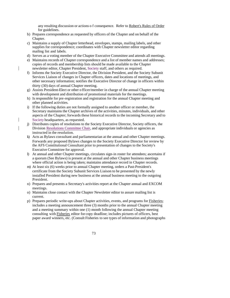any resulting discussion or actions o f consequence. Refer to Robert's Rules of Order for guidelines.

- b) Prepares correspondence as requested by officers of the Chapter and on behalf of the Chapter.
- c) Maintains a supply of Chapter letterhead, envelopes, stamps, mailing labels, and other supplies for correspondence; coordinates with Chapter newsletter editor regarding mailing list and labels.
- d) Serves as a voting member of the Chapter Executive Committee and attends all meetings.
- e) Maintains records of Chapter correspondence and a list of member names and addresses; copies of records and membership lists should be made available to the Chapter newsletter editor, Chapter President, Society staff, and others as required.
- f) Informs the Society Executive Director, the Division President, and the Society Subunit Services Liaison of changes in Chapter officers, dates and locations of meetings, and other necessary information; notifies the Executive Director of change in officers within thirty (30) days of annual Chapter meeting.
- g) Assists President-Elect or other o fficer/member in charge of the annual Chapter meeting with development and distribution of promotional materials for the meetings.
- h) Is responsible for pre-registration and registration for the annual Chapter meeting and other planned activities.
- i) If the following duties are not formally assigned to another officer or member, the Secretary maintains the Chapter archives of the activities, minutes, individuals, and other aspects of the Chapter; forwards these historical records to the incoming Secretary and to Society headquarters, as requested.
- j) Distributes copies of resolutions to the Society Executive Director, Society officers, the Division Resolutions Committee Chair, and appropriate individuals or agencies as instructed in the resolution.
- k) Acts as Bylaws consultant and parliamentarian at the annual and other Chapter meetings. Forwards any proposed Bylaws changes to the Society Executive Director for review by the AFS Constitutional Consultant prior to presentation of changes to the Society's Executive Committee for approval.
- l) At annual and other Chapter meetings, circulates sign-in roster for attendees; ascertains if a quorum (See Bylaws) is present at the annual and other Chapter business meetings where official action is being taken; maintains attendance record in Chapter records.
- m) At least six (6) weeks prior to annual Chapter meeting, orders a Past-President's certificate from the Society Subunit Services Liaison to be presented by the newly installed President during new business at the annual business meeting to the outgoing President.
- n) Prepares and presents a Secretary's activities report at the Chapter annual and EXCOM meetings.
- o) Maintains close contact with the Chapter Newsletter editor to assure mailing list is current.
- p) Prepares periodic write-ups about Chapter activities, events, and programs for Fisheries; includes a meeting announcement three (3) months prior to the annual Chapter meeting and a meeting summary within one (1) month following the annual Chapter meeting consulting with Fisheries editor for copy deadline; includes pictures of officers, best paper award winners, etc. (Consult Fisheries to see types of information and photographs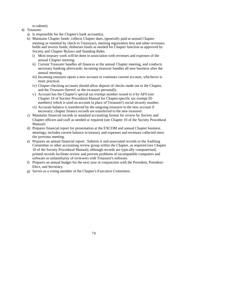to submit).

- 4) Treasurer
	- a) Is responsible for the Chapter's bank account(s).
	- b) Maintains Chapter funds: collects Chapter dues, (generally paid at annual Chapter meeting or remitted by check to Treasurer), meeting registration fees and other revenues; holds and invests funds; disburses funds as needed for Chapter function as approved by Society and Chapter Bylaws and Standing Rules.
		- i) Most treasury work will be done in association with revenues and expenses of the annual Chapter meeting.
		- ii) Current Treasurer handles all finances at the annual Chapter meeting, and conducts necessary banking afterwards; incoming treasurer handles all new business after the annual meeting.
		- iii) Incoming treasurer opens a new account or continues current account, whichever is more practical.
		- iv) Chapter checking accounts should allow deposit of checks made out to the Chapter, and the Treasurer thereof, or the treasurer personally.
		- v) Account has the Chapter's special tax exempt number issued to it by AFS (see Chapter 10 of Society Procedural Manual for Chapter-specific tax exempt ID numbers) which is used on account in place of Treasurer's social security number.
		- vi) Accurate balance is transferred by the outgoing treasurer to the new account if necessary; chapter finance records are transferred to the new treasurer.
	- c) Maintains financial records in standard accounting format for review by Society and Chapter officers and staff as needed or required (see Chapter 10 of the Society Procedural Manual)
	- d) Prepares financial report for presentation at the EXCOM and annual Chapter business meetings; includes current balance in treasury and expenses and revenues collected since the previous meeting.
	- e) Prepares an annual financial report. Submits it and associated records to the Auditing Committee or other accounting review group within the Chapter, as required (see Chapter 10 of the Society Procedural Manual); although records are typically computerized, printed records facilitate review and prevent problems of incompatible computers and software or unfamiliarity of reviewers with Treasurer's software.
	- f) Prepares an annual budget for the next year in conjunction with the President, President-Elect, and Secretary.
	- g) Serves as a voting member of the Chapter's Executive Committee.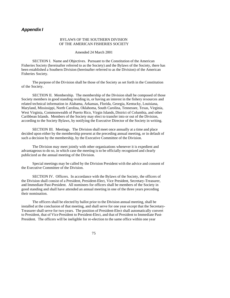# *Appendix I*

#### BYLAWS OF THE SOUTHERN DIVISION OF THE AMERICAN FISHERIES SOCIETY

Amended 24 March 2001

SECTION I. Name and Objectives. Pursuant to the Constitution of the American Fisheries Society (hereinafter referred to as the Society) and the Bylaws of the Society, there has been established a Southern Division (hereinafter referred to as the Division) of the American Fisheries Society.

The purpose of the Division shall be those of the Society as set forth in the Constitution of the Society.

SECTION II. Membership. The membership of the Division shall be composed of those Society members in good standing residing in, or having an interest in the fishery resources and related technical information in Alabama, Arkansas, Florida, Georgia, Kentucky, Louisiana, Maryland, Mississippi, North Carolina, Oklahoma, South Carolina, Tennessee, Texas, Virginia, West Virginia, Commonwealth of Puerto Rico, Virgin Islands, District of Columbia, and other Caribbean Islands. Members of the Society may elect to transfer into or out of the Division, according to the Society Bylaws, by notifying the Executive Director of the Society in writing.

SECTION III. Meetings. The Division shall meet once annually at a time and place decided upon either by the membership present at the preceding annual meeting, or in default of such a decision by the membership, by the Executive Committee of the Division.

The Division may meet jointly with other organizations whenever it is expedient and advantageous to do so, in which case the meeting is to be officially recognized and clearly publicized as the annual meeting of the Division.

Special meetings may be called by the Division President with the advice and consent of the Executive Committee of the Division.

SECTION IV. Officers. In accordance with the Bylaws of the Society, the officers of the Division shall consist of a President, President-Elect, Vice President, Secretary-Treasurer, and Immediate Past-President. All nominees for officers shall be members of the Society in good standing and shall have attended an annual meeting in one of the three years preceding their nomination.

The officers shall be elected by ballot prior to the Division annual meeting, shall be installed at the conclusion of that meeting, and shall serve for one year except that the Secretary-Treasurer shall serve for two years. The position of President-Elect shall automatically convert to President, that of Vice President to President-Elect, and that of President to Immediate Past-President. The officers will be ineligible for re-election to the same office within one year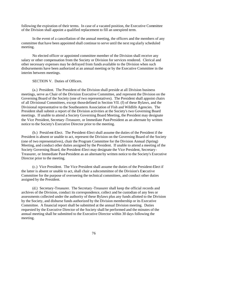following the expiration of their terms. In case of a vacated position, the Executive Committee of the Division shall appoint a qualified replacement to fill an unexpired term.

In the event of a cancellation of the annual meeting, the officers and the members of any committee that have been appointed shall continue to serve until the next reg ularly scheduled meeting.

No elected officer or appointed committee member of the Division shall receive any salary or other compensation from the Society or Division for services rendered. Clerical and other necessary expenses may be defrayed from funds available to the Division when such disbursements have been authorized at an annual meeting or by the Executive Committee in the interim between meetings.

SECTION V. Duties of Officers.

(a.) President. The President of the Division shall preside at all Division business meetings, serve as Chair of the Division Executive Committee, and represent the Division on the Governing Board of the Society (one of two representatives). The President shall appoint chairs of all Divisional Committees, except those defined in Section VII. (f) of these Bylaws, and the Divisional representative to the Southeastern Association of Fish and Wildlife Agencies. The President shall submit a report of the Division activities at the Society's two Governing Board meetings. If unable to attend a Society Governing Board Meeting, the President may designate the Vice President, Secretary -Treasurer, or Immediate Past-President as an alternate by written notice to the Society's Executive Director prior to the meeting.

(b.) Presid ent-Elect. The President-Elect shall assume the duties of the President if the President is absent or unable to act, represent the Division on the Governing Board of the Society (one of two representatives), chair the Program Committee for the Division Annual (Spring) Meeting, and conduct other duties assigned by the President. If unable to attend a meeting of the Society Governing Board, the President-Elect may designate the Vice President, Secretary-Treasurer, or Immediate Past-President as an alternate by written notice to the Society's Executive Director prior to the meeting.

(c.) Vice President. The Vice President shall assume the duties of the President-Elect if the latter is absent or unable to act, shall chair a subcommittee of the Division's Executive Committee for the purpose of overseeing the technical committees, and conduct other duties assigned by the President.

(d.) Secretary-Treasurer. The Secretary -Treasurer shall keep the official records and archives of the Division, conduct its correspondence, collect and be custodian of any fees or assessments collected under the authority of these Bylaws plus any funds allotted to the Division by the Society, and disburse funds authorized by the Division membership or its Executive Committee. A financial report shall be submitted at the annual Division meeting. Duties requested by the Executive Director of the Society shall be performed and the minutes of the annual meeting shall be submitted to the Executive Director within 30 days following the meeting.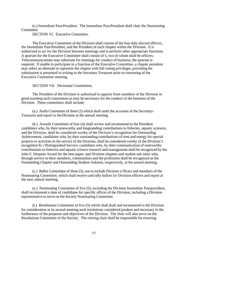(e.) Immediate Past-President. The Immediate Past-President shall chair the Nominating Committee.

SECTION VI. Executive Committee.

The Executive Committee of the Division shall consist of the four duly elected officers, the Immediate Past-President, and the President of each chapter within the Division. It is authorized to act for the Division between meetings and to perform other appropriate functions. A quorum for the Executive Committee shall consist of 5, two of whom shall be officers. Telecommunications may substitute for meetings for conduct of business; the quorum is required. If unable to participate in a function of the Executive Committee, a chapter president may select an alternate to represent the chapter with full voting privileges, providing the substitution is presented in writing to the Secretary-Treasurer prior to convening of the Executive Committee meeting.

SECTION VII. Divisional Committees.

The President of the Division is authorized to appoint from members of the Division in good standing such committees as may be necessary for the conduct of the business of the Division. These committees shall include:

(a.) Audit Committee of three (3) which shall audit the accounts of the Secretary-Treasurer and report to the Division at the annual meeting.

(b.) Awards Committee of four (4) shall review and recommend to the President candidates who, by their noteworthy and longstanding contributions to fisheries, aquatic sciences, and the Division, shall be considered worthy of the Division's recognition for Outstanding Achievement, candidates who, by their outstanding contributions of time and energy for special projects or activities in the service of the Division, shall be considered worthy of the Division's recognition fo r Distinguished Service, candidates who, by their communication of noteworthy contributions to fisheries and aquatic science research and management shall be recognized by the John F. Dequine Award for the best paper, and Division chapters and student sub -units who, through service to their members, communities and the profession shall be recognized as the Outstanding Chapter and Outstanding Student-Subunit, respectively, at the annual meeting.

(c.) Ballot Committee of three (3), not to include Division o fficers and members of the Nominating Committee, which shall receive and tally ballots for Division officers and report at the next annual meeting.

(e.) Nominating Committee of five (5), including the Division Immediate Past-president, shall recommend a slate of candidates for specific offices of the Division, including a Division representative to serve on the Society Nominating Committee.

(f.) Resolutions Committee of five (5) which shall draft and recommend to the Division for consideration at its annual meeting such resolutions considered prudent and necessary in the furtherance of the purposes and objectives of the Division. The chair will also serve on the Resolutions Committee of the Society. The retiring chair shall be responsible for ensuring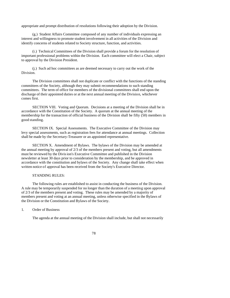appropriate and prompt distribution of resolutions following their adoption by the Division.

(g.) Student Affairs Committee composed of any number of individuals expressing an interest and willingness to promote student involvement in all activities of the Division and identify concerns of students related to Society structure, function, and activities.

(i.) Technical Committees of the Division shall provide a forum for the resolution of important professional problems within the Division. Each committee will elect a Chair, subject to approval by the Division President.

(j.) Such ad hoc committees as are deemed necessary to carry out the work of the Division.

The Division committees shall not duplicate or conflict with the functions of the standing committees of the Society, although they may submit recommendations to such standing committees. The term of office for members of the divisional committees shall end upon the discharge of their appointed duties or at the next annual meeting of the Division, whichever comes first.

SECTION VIII. Voting and Quorum. Decisions at a meeting of the Division shall be in accordance with the Constitution of the Society. A quorum at the annual meeting of the membership for the transaction of official business of the Division shall be fifty (50) members in good standing.

SECTION IX. Special Assessments. The Executive Committee of the Division may levy special assessments, such as registration fees for attendance at annual meetings. Collection shall be made by the Secretary-Treasurer or an appointed representative.

SECTION X. Amendment of Bylaws. The bylaws of the Division may be amended at the annual meeting by approval of 2/3 of the members present and voting, but all amendments must be reviewed by the Division's Executive Committee and published in the Division newsletter at least 30 days prior to consideration by the membership, and be approved in accordance with the constitution and bylaws of the Society. Any change shall take effect when written notice of approval has been received from the Society's Executive Director.

#### STANDING RULES:

The following rules are established to assist in conducting the business of the Division. A rule may be temporarily suspended for no longer than the duration of a meeting upon approval of 2/3 of the members present and voting. These rules may be amended by a majority of members present and voting at an annual meeting, unless otherwise specified in the Bylaws of the Division or the Constitution and Bylaws of the Society.

1. Order of Business

The agenda at the annual meeting of the Division shall include, but shall not necessarily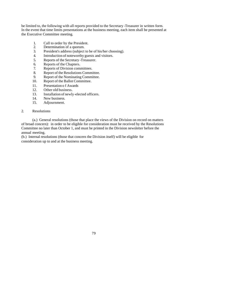be limited to, the following with all reports provided to the Secretary -Treasurer in written form. In the event that time limits presentations at the business meeting, each item shall be presented at the Executive Committee meeting.

- 1. Call to order by the President.
- 2. Determination of a quorum.
- 3. President's address (subject to be of his/her choosing).
- 4. Introduction of noteworthy guests and visitors.
- 5. Reports of the Secretary -Treasurer.
- 6. Reports of the Chapters.
- 7. Reports of Division committees.
- 8. Report of the Resolutions Committee.<br>9. Report of the Nominating Committee.
- 9. Report of the Nominating Committee.
- 10. Report of the Ballot Committee.
- 11. Presentation o f Awards
- 12. Other old business.
- 13. Installation of newly-elected officers.
- 14. New business.
- 15. Adjournment.

#### 2. Resolutions

(a.) General resolutions (those that place the views of the Division on record on matters of broad concern): in order to be eligible for consideration must be received by the Resolutions Committee no later than October 1, and must be printed in the Division newsletter before the annual meeting.

(b.) Internal resolutions (those that concern the Division itself) will be eligible for consideration up to and at the business meeting.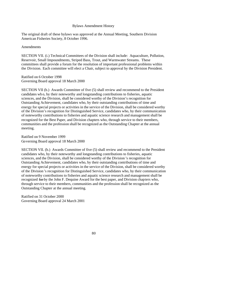#### Bylaws Amendment History

The original draft of these bylaws was approved at the Annual Meeting, Southern Division American Fisheries Society, 8 October 1996.

#### **Amendments**

SECTION VII. (i.) Technical Committees of the Division shall include: Aquaculture, Pollution, Reservoir, Small Impoundments, Striped Bass, Trout, and Warmwater Streams. These committees shall provide a forum for the resolution of important professional problems within the Division. Each committee will elect a Chair, subject to approval by the Division President.

#### Ratified on 6 October 1998 Governing Board approval 18 March 2000

SECTION VII (b.) Awards Committee of five (5) shall review and recommend to the President candidates wh o, by their noteworthy and longstanding contributions to fisheries, aquatic sciences, and the Division, shall be considered worthy of the Division's recognition for Outstanding Achievement, candidates who, by their outstanding contributions of time and energy for special projects or activities in the service of the Division, shall be considered worthy of the Division's recognition for Distinguished Service, candidates who, by their communication of noteworthy contributions to fisheries and aquatic science research and management shall be recognized for the Best Paper, and Division chapters who, through service to their members, communities and the profession shall be recognized as the Outstanding Chapter at the annual meeting.

Ratified on 9 November 1999 Governing Board approval 18 March 2000

SECTION VII. (b.) Awards Committee of five (5) shall review and recommend to the President candidates who, by their noteworthy and longstanding contributions to fisheries, aquatic sciences, and the Division, shall be considered worthy of the Division 's recognition for Outstanding Achievement, candidates who, by their outstanding contributions of time and energy for special projects or activities in the service of the Division, shall be considered worthy of the Division 's recognition for Distinguished Service, candidates who, by their communication of noteworthy contributions to fisheries and aquatic science research and management shall be recognized for by the John F. Dequine Award for the best paper, and Division chapters who, through service to their members, communities and the profession shall be recognized as the Outstanding Chapter at the annual meeting.

Ratified on 31 October 2000 Governing Board approval 24 March 2001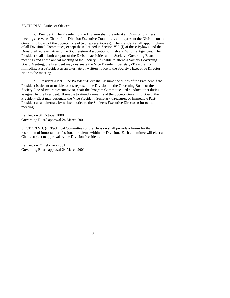#### SECTION V. Duties of Officers.

(a.) President. The President of the Division shall preside at all Division business meetings, serve as Chair of the Division Executive Committee, and represent the Division on the Governing Board of the Society (one of two representatives). The President shall appoint chairs of all Divisional Committees, except those defined in Section VII. (f) of these Bylaws, and the Divisional representative to the Southeastern Association of Fish and Wildlife Agencies. The President shall submit a report of the Division act ivities at the Society's Governing Board meetings and at the annual meeting of the Society. If unable to attend a Society Governing Board Meeting, the President may designate the Vice President, Secretary -Treasurer, or Immediate Past-President as an alternate by written notice to the Society's Executive Director prior to the meeting.

(b.) President-Elect. The President-Elect shall assume the duties of the President if the President is absent or unable to act, represent the Division on the Governing Board of the Society (one of two representatives), chair the Program Committee, and conduct other duties assigned by the President. If unable to attend a meeting of the Society Governing Board, the President-Elect may designate the Vice President, Secretary -Treasurer, or Immediate Past-President as an alternate by written notice to the Society's Executive Director prior to the meeting.

Ratified on 31 October 2000 Governing Board approval 24 March 2001

SECTION VII. (i.) Technical Committees of the Division shall provide a forum for the resolution of important professional problems within the Division. Each committee will elect a Chair, subject to approval by the Division President.

Ratified on 24 February 2001 Governing Board approval 24 March 2001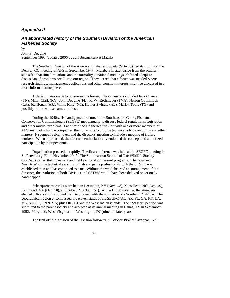# *Appendix II*

# *An abbreviated history of the Southern Division of the American Fisheries Society*

by

John F. Dequine September 1993 (updated 2006 by Jeff Boxrucker/Pat Mazik)

The Southern Division of the American Fisheries Society (SDAFS) had its origins at the Denver, CO meeting of AFS in September 1947. Members in attendance from the southern states felt that time limitations and the formality at national meetings inhibited adequate discussion of problems peculiar to our region. They agreed that a forum was needed where research findings, management applications and other common interests might be discussed in a more informal atmosphere.

A decision was made to pursue such a forum. The organizers included Jack Chance (TN), Minor Clark (KY), John Dequine (FL), R. W. Eschmeyer (TVA), Nelson Gowanloch (LA), Joe Hogan (AR), Willis King (NC), Homer Swingle (AL), Marion Toole (TX) and possibly others whose names are lost.

During the 1940's, fish and game directors of the Southeastern Game, Fish and Conservation Commissioners (SEGFC) met annually to discuss federal regulations, legislation and other mutual problems. Each state had a fisheries sub -unit with one or more members of AFS, many of whom accompanied their directors to provide technical advice on policy and other matters. It seemed logical to expand the directors' meeting to include a meeting of fishery workers. When approached, the directors enthusiastically endorsed the concept and authorized participation by their personnel.

Organization proceeded rapidly. The first conference was held at the SEGFC meeting in St. Petersburg, FL in November 1947. The Southeastern Section of The Wildlife Society (SSTWS) joined the movement and held joint and concurrent programs. The resulting "marriage" of the technical sessions of fish and game professionals with the SEGFC was established then and has continued to date. Without the wholehearted encouragement of the directors, the evolution of both Division and SSTWS would have been delayed or seriously handicapped.

Subsequ ent meetings were held in Lexington, KY (Nov. '48), Nags Head, NC (Oct. '49), Richmond, VA (Oct. '50), and Biloxi, MS (Oct. '51). At the Biloxi meeting, the attendees elected officers and instructed them to proceed with the formation of a Southern Divisio n. The geographical region encompassed the eleven states of the SEGFC (AL, AR, FL, GA, KY, LA, MS, NC, SC, TN  $\&$  VA) plus OK, TX and the West Indian islands. The necessary petition was submitted to the parent society and accepted at its annual meeting in Dallas, TX in September 1952. Maryland, West Virginia and Washington, DC joined in later years.

The first official session of the Division followed in October 1952 at Savannah, GA.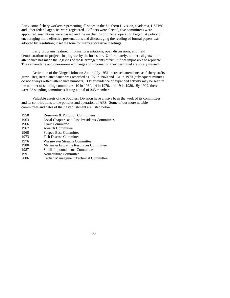Forty-some fishery workers representing all states in the Southern Division, academia, USFWS and other federal agencies were registered. Officers were elected, five committees were appointed, resolutions were passed and the mechanics of official operation began. A policy of encouraging more effective presentations and discouraging the reading of formal papers was adopted by resolution; it set the tone for many successive meetings.

Early programs featured informal presentations, open discussions, and field demonstrations of projects in progress by the host state. Unfortunately, numerical growth in attendance has made the logistics of those arrangements difficult if not impossible to replicate. The camaraderie and one-on-one exchanges of information they permitted are sorely missed.

Activation of the Dingell-Johnson Act in July 1951 increased attendance as fishery staffs grew. Registered attendance was recorded as 107 in 1960 and 161 in 1970 (subsequent minutes do not always reflect attendance numbers). Other evidence of expanded activity may be seen in the number of standing committees: 10 in 1960, 14 in 1970, and 19 in 1980. By 1992, there were 23 standing committees listing a total of 345 members!

Valuable assets of the Southern Division have always been the work of its committees and its contributions to the policies and operation of AFS. Some of our more notable committees and dates of their establishment are listed below:

| Reservoir & Pollution Committees                     |
|------------------------------------------------------|
| <b>Local Chapters and Past Presidents Committees</b> |
| <b>Trout Committee</b>                               |
| <b>Awards Committee</b>                              |
| <b>Striped Bass Committee</b>                        |
| <b>Fish Disease Committee</b>                        |
| Warmwater Streams Committee                          |
| Marine & Estuarine Resources Committee               |
| <b>Small Impoundments Committee</b>                  |
| Aquaculture Committee                                |
| <b>Catfish Management Technical Committee</b>        |
|                                                      |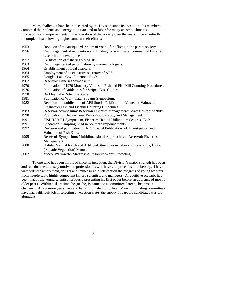Many challenges have been accepted by the Division since its inception. Its members combined their talents and energy to initiate and/or labor for many accomplishments, innovations and improvements in the operation of the Society over the years. The admittedly incomplete list below highlights some of their efforts:

 Revision of the antiquated system of voting for offices in the parent society. Encouragement of recognition and funding for warmwater commercial fisheries research and development. Certification of fisheries biologists. Encouragement of participation by marine biologists. Establishment of local chapters. Employment of an executive secretary of AFS. Douglas Lake Cove Rotenone Study Reservoir Fisheries Symposium. Publication of 1970 Monetary Values of Fish and Fish Kill Counting Procedures. Publication of Guidelines for Striped Bass Culture. Barkley Lake Rotenone Study. Publication of Warmwater Streams Symposium. Revision and publication of AFS Special Publication: Monetary Values of Freshwater Fish and Fishkill Counting Guidelines. Reservoir Symposium: Reservoir Fisheries Management: Strategies for the '80's Publication of Brown Trout Workshop: Biology and Management. FISHHAB '91 Symposium, Fisheries Habitat Utilization: Seagrass Beds Shadathon: Sampling Shad in Southern Impoundments Revision and publication of AFS Special Publication 24: Investigation and Valuation of Fish Kills. Reservoir Symposium: Multidimensional Approaches to Reservoir Fisheries Management Habitat Manual for Use of Artificial Structures in Lakes and Reservoirs; Biotic (Aquatic Vegetation) Manual Video: Warmwater Streams: A Resource Worth Protecting

To one who has been involved since its inception, the Division's major strength has been and remains the intensely motivated professionals who have comprised its membership. I have watched with amazement, delight and immeasurable satisfaction the progress of young workers from neophytes to highly competent fishery scientists and managers. A repetitive scenario has been that of the young scientist nervously presenting his first paper before an audience of mostly older peers. Within a short time, he (or she) is named to a committee; later he becomes a chairman. A few more years pass and he is nominated for office. Many nominating committees have had a difficult job in selecting an election slate--the supply of capable candidates was too abundant!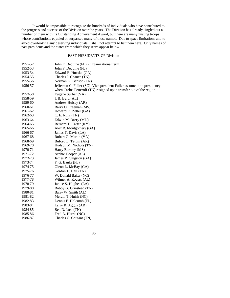It would be impossible to recognize the hundreds of individuals who have contributed to the progress and success of the Division over the years. The Division has already singled out a number of them with its Outstanding Achievement Award, but there are many unsung troops whose contributions equaled or surpassed many of those named. Due to space limitations and to avoid overlooking any deserving individuals, I shall not attempt to list them here. Only names of past presidents and the states from which they serve appear below.

# PAST PRESIDENTS OF Division

| 1951-52 | John F. Dequine (FL) (Organizational term)                            |
|---------|-----------------------------------------------------------------------|
| 1952-53 | John F. Dequine (FL)                                                  |
| 1953-54 | Edward E. Hueske (GA)                                                 |
| 1954-55 | Charles J. Chance (TN)                                                |
| 1955-56 | Norman G. Benson (TN)                                                 |
| 1956-57 | Jefferson C. Fuller (SC) Vice-president Fuller assumed the presidency |
|         | when Carlos Fetterolf (TN) resigned upon transfer out of the region.  |
| 1957-58 | Eugene Surber (VA)                                                    |
| 1958-59 | I. B. Byrd (AL)                                                       |
| 1959-60 | Andrew Hulsey (AR)                                                    |
| 1960-61 | Barry O. Freeman (MS)                                                 |
| 1961-62 | Howard D. Zeller (GA)                                                 |
| 1962-63 | C. E. Ruhr (TN)                                                       |
| 1963-64 | Edwin M. Barry (MD)                                                   |
| 1964-65 | Bernard T. Carter (KY)                                                |
| 1965-66 | Alex B. Montgomery (GA)                                               |
| 1966-67 | James T. Davis (LA)                                                   |
| 1967-68 | Robert G. Martin (VA)                                                 |
| 1968-69 | Buford L. Tatum (AR)                                                  |
| 1969-70 | Hudson M. Nichols (TN)                                                |
| 1970-71 | Harry Barkley (MS)                                                    |
| 1971-72 | Archie Hooper (AL)                                                    |
| 1972-73 | James P. Clugston (GA)                                                |
| 1973-74 | F. G. Banks (FL)                                                      |
| 1974-75 | Glenn L. McBay (GA)                                                   |
| 1975-76 | Gordon E. Hall (TN)                                                   |
| 1976-77 | W. Donald Baker (NC)                                                  |
| 1977-78 | Wilmer A. Rogers (AL)                                                 |
| 1978-79 | Janice S. Hughes (LA)                                                 |
| 1979-80 | Bobby G. Grinstead (TN)                                               |
| 1980-81 | Barry W. Smith (AL)                                                   |
| 1981-82 | Melvin T. Huish (NC)                                                  |
| 1982-83 | Dennis E. Holcomb (FL)                                                |
| 1983-84 | Larry R. Aggus (AR)                                                   |
| 198485  | Ben D. Jaco (TN)                                                      |
| 1985-86 | Fred A. Harris (NC)                                                   |
| 1986-87 | Charles C. Coutant (TN)                                               |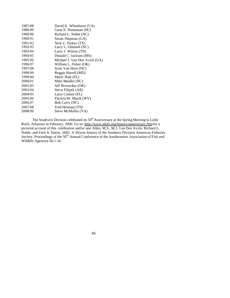| 1987-88 | David K. Whitehurst (VA)      |
|---------|-------------------------------|
| 1988-89 | Gene E. Huntsman (NC)         |
| 1989-90 | Richard L. Noble (NC)         |
| 1990-91 | Susan Shipman (GA)            |
| 1991-92 | Nick C. Parker (TX)           |
| 1992-93 | Larry L. Olmsted (NC)         |
| 1993-94 | Larry J. Wilson (TN)          |
| 1994-95 | Donald C. Jackson (MS)        |
| 1995-96 | Michael J. Van Den Avyle (GA) |
| 1996-97 | William L. Fisher (OK)        |
| 1997-98 | Scott Van Horn (NC)           |
| 1998-99 | Reggie Harrell (MD)           |
| 1999-00 | Marty Hale (FL)               |
| 2000-01 | Mike Meador (NC)              |
| 2001-03 | Jeff Boxrucker (OK)           |
| 2003-04 | Steve Filipek (AR)            |
| 2004-05 | Larry Connor (FL)             |
| 2005-06 | Patricia M. Mazik (WV)        |
| 2006-07 | Bob Curry (NC)                |
| 2007-08 | Fred Heitman (TN)             |
| 2008-09 | Steve McMullin (VA)           |
|         |                               |

The South ern Division celebrated its  $50<sup>th</sup>$  Anniversary at the Spring Meeting in Little Rock, Arkansas in February, 2000. Go to: http://www.sdafs.org/history/anniversary.htm for a pictorial account of this celebration and/or see*:* Allen, M.S., M.J. Van Den Avyle, Richard L. Noble, and Fred A. Harris. 2002. A 50-year history of the Southern Division American Fisheries Society. Proceedings of the 56<sup>th</sup> Annual Conference of the Southeastern Association of Fish and Wildlife Agencie*s* 56:1-16.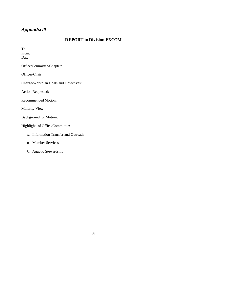# *Appendix III*

# **REPORT to Division EXCOM**

To: From: Date:

Office/Committee/Chapter:

Officer/Chair:

Charge/Workplan Goals and Objectives:

Action Requested:

Recommended Motion:

Minority View:

Background for Motion:

Highlights of Office/Committee:

- A. Information Transfer and Outreach
- B. Member Services
- C. Aquatic Stewardship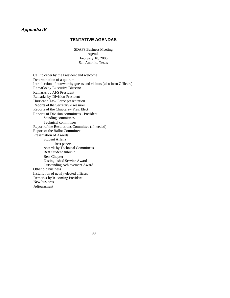# *Appendix IV*

# **TENTATIVE AGENDAS**

SDAFS Business Meeting Agenda February 10, 2006 San Antonio, Texas

 Call to order by the President and welcome Determination of a quorum Introduction of noteworthy guests and visitors (also intro Officers) Remarks by Executive Director Remarks by AFS President Remarks by Division President Hurricane Task Force presentation Reports of the Secretary-Treasurer Reports of the Chapters – Pres. Elect Reports of Division committees - President Standing committees Technical committees Report of the Resolutions Committee (if needed) Report of the Ballot Committee Presentation of Awards Student Affairs Best papers Awards by Technical Committees Best Student subunit Best Chapter Distinguished Service Award Outstanding Achievement Award Other old business Installation of newly-elected officers Remarks by In-coming President New business Adjournment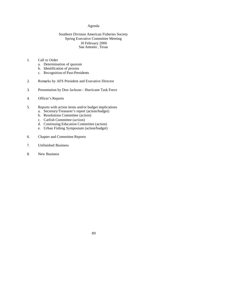## Agenda

## Southern Division American Fisheries Society Spring Executive Committee Meeting 10 February 2006 San Antonio , Texas

## 1. Call to Order

- a. Determination of quorum
- b. Identification of proxies
- c. Recognition of Past-Presidents
- 2. Remarks by AFS President and Executive Director
- 3. Presentation by Don Jackson Hurricane Task Force
- 4. Officer's Reports
- 5. Reports with action items and/or budget implications
	- a. Secretary/Treasurer's report (action/budget)
	- b. Resolutions Committee (action)
	- c. Catfish Committee (action)
	- d. Continuing Education Committee (action)
	- e. Urban Fishing Symposium (action/budget)
- 6. Chapter and Committee Reports
- 7. Unfinished Business
- 8. New Business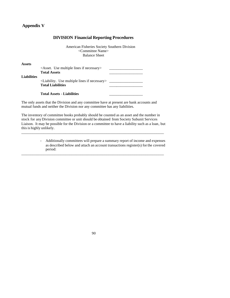# **Appendix V**

|                    | DIVISION FINANCIAI REPORTING FFOCEDURES                                                                  |
|--------------------|----------------------------------------------------------------------------------------------------------|
|                    | American Fisheries Society Southern Division<br><committee name=""><br/><b>Balance Sheet</b></committee> |
| <b>Assets</b>      | $\leq$ Asset. Use multiple lines if necessary<br><b>Total Assets</b>                                     |
| <b>Liabilities</b> | $\le$ Liability. Use multiple lines if necessary $>$<br><b>Total Liabilities</b>                         |
|                    | <b>Total Assets - Liabilities</b>                                                                        |

# **DIVISION Financial Reporting Procedures**

The only assets that the Division and any committee have at present are bank accounts and mutual funds and neither the Division nor any committee has any liabilities.

The inventory of committee books probably should be counted as an asset and the number in stock for any Division committee or unit should be obtained from Society Subunit Services Liaison. It may be possible for the Division or a committee to have a liability such as a loan, but this is highly unlikely.

\_\_\_\_\_\_\_\_\_\_\_\_\_\_\_\_\_\_\_\_\_\_\_\_\_\_\_\_\_\_\_\_\_\_\_\_\_\_\_\_\_\_\_\_\_\_\_\_\_\_\_\_\_\_\_\_\_\_\_\_\_\_\_\_\_\_\_\_\_\_\_\_\_\_\_\_\_

\_\_\_\_\_\_\_\_\_\_\_\_\_\_\_\_\_\_\_\_\_\_\_\_\_\_\_\_\_\_\_\_\_\_\_\_\_\_\_\_\_\_\_\_\_\_\_\_\_\_\_\_\_\_\_\_\_\_\_\_\_\_\_\_\_\_\_\_\_\_\_\_\_\_\_\_\_

- Additionally committees will prepare a summary report of income and expenses as described below and attach an account transactions register(s) for the covered period: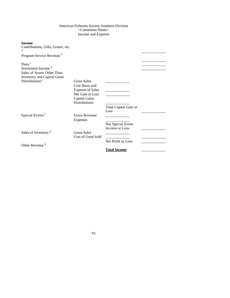## American Fisheries Society Southern Division <Committee Name> Income and Expense

## **Income**

| micome<br>Contributions, Gifts, Grants, etc.<br>a                                                                       |                                                                                                                              |                                                                    |  |
|-------------------------------------------------------------------------------------------------------------------------|------------------------------------------------------------------------------------------------------------------------------|--------------------------------------------------------------------|--|
| Program Service Revenue <sup>b</sup>                                                                                    |                                                                                                                              |                                                                    |  |
| Dues <sup>c</sup><br>Investment Income <sup>d</sup><br>Sales of Assets Other Than<br><b>Inventory and Capital Gains</b> |                                                                                                                              |                                                                    |  |
| Distributions <sup>e</sup>                                                                                              | <b>Gross Sales</b><br>Cost Basis and<br><b>Expense of Sales</b><br>Net Gain or Loss<br>Capital Gains<br><b>Distributions</b> | the control of the control of the<br>Total Capital Gain or<br>Loss |  |
| Special Events <sup>f</sup>                                                                                             | <b>Gross Revenue</b><br><b>Expenses</b>                                                                                      | Net Special Event<br>Income or Loss                                |  |
| Sales of Inventory <sup>g</sup>                                                                                         | <b>Gross Sales</b><br>Cost of Good Sold                                                                                      | Net Profit or Loss                                                 |  |
| Other Revenue <sup>h</sup>                                                                                              |                                                                                                                              | <b>Total Income</b>                                                |  |
|                                                                                                                         |                                                                                                                              |                                                                    |  |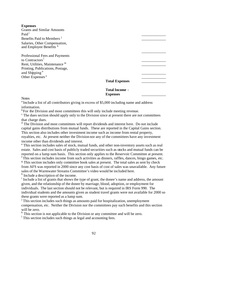| <b>Expenses</b> |
|-----------------|
|-----------------|

| <b>Grants and Similar Amounts</b>                             |                       |  |
|---------------------------------------------------------------|-----------------------|--|
| Paid <sup>1</sup>                                             |                       |  |
| Benefits Paid to Members <sup>1</sup>                         |                       |  |
| Salaries, Other Compensation,<br>and Employee Benefits k      |                       |  |
| Professional Fees and Payments<br>to Contractors <sup>1</sup> |                       |  |
| Rent, Utilities, Maintenance m                                |                       |  |
| Printing, Publications, Postage,<br>and Shipping <sup>n</sup> |                       |  |
| Other Expenses <sup>o</sup>                                   |                       |  |
|                                                               | <b>Total Expenses</b> |  |
|                                                               | <b>Total Income -</b> |  |

**Notes** 

 $a$  Include a list of all contributors giving in excess of \$5,000 including name and address information.

 $b$ For the Division and most committees this will only include meeting revenue.

<sup>c</sup> The dues section should apply only to the Division since at present there are not committees that charge dues.

**Expenses** \_\_\_\_\_\_\_\_\_\_\_\_\_

<sup>d</sup> The Division and most committees will report dividends and interest here. Do not include capital gains distributions from mutual funds. These are reported in the Capital Gains section. This section also includes other investment income such as income from rental property, royalties, etc. At present neither the Division nor any of the committees have any investment income other than dividends and interest.

e This section includes sales of stock, mutual funds, and other non-inventory assets such as real estate. Sales and cost basis of publicly traded securities such as stocks and mutual funds can be reported on a lump sum basis. This section only applies to the Reservoir Committee at present. f This section includes income from such activities as dinners, raffles, dances, bingo games, etc.

<sup>g</sup> This section includes only committee book sales at present. The total sales as sent by check from AFS was reported in 2000 since any cost basis of cost of sales was unavailable. Any future sales of the Warmwater Streams Committee's video would be included here.

<sup>h</sup> Include a description of the income.

<sup>i</sup> Include a list of grants that shows the type of grant, the donee's name and address, the amount given, and the relationship of the donee by marriage, blood, adoption, or employment for individuals. The last section should not be relevant, but is required in IRS Form 990. The individual students and the amounts given as student travel grants were not available for 2000 so these grants were reported as a lump sum.

j This section includes such things as amounts paid for hospitalization, unemployment compensation, etc. Neither the Division nor the committees pay such benefits and this section will be zero.

<sup>k</sup> This section is not applicable to the Division or any committee and will be zero.

<sup>1</sup> This section includes such things as legal and accounting fees.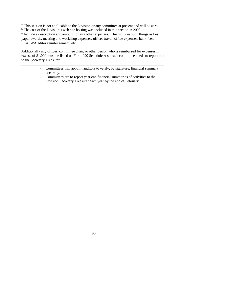<sup>m</sup> This section is not applicable to the Division or any committee at present and will be zero.

<sup>n</sup> The cost of the Division's web site hosting was included in this section in 2000.

<sup>o</sup> Include a description and amount for any other expenses. This includes such things as best paper awards, meeting and workshop expenses, officer travel, office expenses, bank fees, SEAFWA editor reimbursement, etc.

Additionally any officer, committee chair, or other person who is reimbursed for expenses in excess of \$1,000 must be listed on Form 990 Schedule A so each committee needs to report that to the Secretary/Treasurer.

\_\_\_\_\_\_\_\_\_\_\_\_\_\_\_\_\_\_\_\_\_\_\_\_\_\_\_\_\_\_\_\_\_\_\_\_\_\_\_\_\_\_\_\_\_\_\_\_\_\_\_\_\_\_\_\_\_\_\_\_\_\_\_\_\_\_\_\_\_\_\_\_\_\_\_\_\_

- Committees will appoint auditors to verify, by signature, financial summary accuracy.
- Committees are to report year-end financial summaries of activities to the Division Secretary/Treasurer each year by the end of February.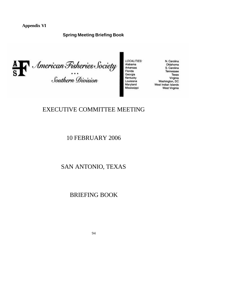**Appendix VI**

# **Spring Meeting Briefing Book**



**LOCALITIES:** Alabama

Arkansas

Georgia

Oklahoma S. Carolina Tennessee Louisiana<br>Maryland<br>Mississippi Washington, DC Washington, DC<br>West Indian Islands West Virginia

N. Carolina

Texas

Virginia

# EXECUTIVE COMMITTEE MEETING

10 FEBRUARY 2006

SAN ANTONIO, TEXAS

BRIEFING BOOK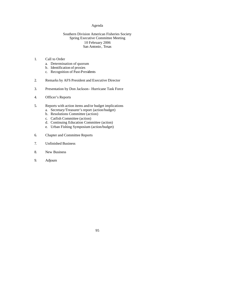#### Agenda

## Southern Division American Fisheries Society Spring Executive Committee Meeting 10 February 2006 San Antonio , Texas

## 1. Call to Order

- a. Determination of quorum
- b. Identification of proxies
- c. Recognition of Past-Presidents
- 2. Remarks by AFS President and Executive Director
- 3. Presentation by Don Jackson-Hurricane Task Force
- 4. Officer's Reports
- 5. Reports with action items and/or budget implications
	- a. Secretary/Treasurer's report (action/budget)
	- b. Resolutions Committee (action)
	- c. Catfish Committee (action)
	- d. Continuing Education Committee (action)
	- e. Urban Fishing Symposium (action/budget)
- 6. Chapter and Committee Reports
- 7. Unfinished Business
- 8. New Business
- 9. Adjourn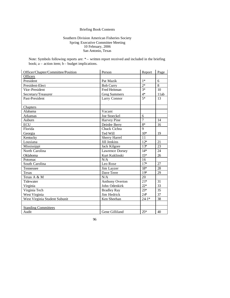# Briefing Book Contents

## Southern Division American Fisheries Society Spring Executive Committee Meeting 10 February, 2006 San Antonio, Texas

Note: Symbols following reports are:  $*-$  written report received and included in the briefing book;  $a -$  action item;  $b -$  budget implications.

| Officer/Chapter/Committee/Position | Person                 | Report         | Page |
|------------------------------------|------------------------|----------------|------|
| Officers                           |                        |                |      |
| President                          | Pat Mazik              | $1*$           | 6    |
| President-Elect                    | <b>Bob Curry</b>       | $2*$           | 8    |
| Vice-President                     | Fred Heitman           | $3*$           | 10   |
| Secretary/Treasurer                | <b>Greg Summers</b>    | $4*$           | 11ab |
| Past-President                     | Larry Connor           | $5*$           | 13   |
|                                    |                        |                |      |
| Chapters                           |                        |                |      |
| Alabama                            | Vacant                 |                |      |
| Arkansas                           | Joe Stoeckel           | 6              |      |
| Auburn                             | Harvey Pine            | $\overline{7}$ | 14   |
| <b>ECU</b>                         | Deirdre Berry          | $8*$           | 16   |
| Florida                            | Chuck Cichra           | $\overline{9}$ |      |
| Georgia                            | Ted Will               | $10*$          | 19   |
| Kentucky                           | <b>Sherry Harrel</b>   | 11             |      |
| Lousiana                           | Jill Jenkins           | $12*$          | 21   |
| Mississippi                        | Jack Kilgore           | $13*$          | 23   |
| North Carolina                     | Lawrence Dorsey        | $14*$          | 24   |
| Oklahoma                           | Kurt Kuklinski         | $15*$          | 26   |
| Potomac                            | N/A                    | 16             |      |
| South Carolina                     | Leo Rose               | $17*$          | 27   |
| Tennessee                          | Jim Layzer             | $18*$          | 28   |
| <b>Texas</b>                       | Dave Terre             | $19*$          | 29   |
| Texas A & M                        | N/A                    | 20             |      |
| Tidewater                          | <b>Anthony Overton</b> | $21*$          | 31   |
| Virginia                           | John Odenkirk          | $22*$          | 33   |
| Virginia Tech                      | <b>Bradley Ray</b>     | $23*$          | 35   |
| West Virginia                      | Jim Hedrick            | $24*$          | 37   |
| West Virginia Student Subunit      | Ken Sheehan            | $241*$         | 38   |
|                                    |                        |                |      |
| <b>Standing Committees</b>         |                        |                |      |
| Audit                              | Gene Gilliland         | $25*$          | 40   |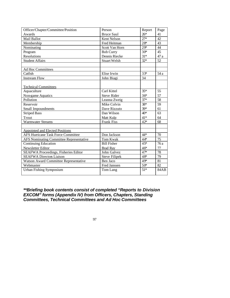| Officer/Chapter/Committee/Position          | Person               | Report | Page |
|---------------------------------------------|----------------------|--------|------|
| Awards                                      | <b>Bruce Saul</b>    | $26*$  | 41   |
| Mail Ballot                                 | Kent Nelson          | $27*$  | 42   |
| Membership                                  | Fred Heitman         | $28*$  | 43   |
| Nominating                                  | Scott Van Horn       | $29*$  | 44   |
| Program                                     | <b>Bob Curry</b>     | $30*$  | 45   |
| Resolutions                                 | Dennis Riecke        | $31*$  | 47 a |
| <b>Student Affairs</b>                      | <b>Stuart Welsh</b>  | $32*$  | 52   |
|                                             |                      |        |      |
| <b>Ad Hoc Committees</b>                    |                      |        |      |
| Catfish                                     | Elise Irwin          | $33*$  | 54 a |
| <b>Instream Flow</b>                        | John Biagi           | 34     |      |
|                                             |                      |        |      |
| <b>Technical Committees</b>                 |                      |        |      |
| Aquaculture                                 | Carl Kittel          | $35*$  | 55   |
| Non-game Aquatics                           | <b>Steve Rider</b>   | $36*$  | 57   |
| Pollution                                   | Leanna Zweig         | $37*$  | 58   |
| Reservoir                                   | Mike Colvin          | 38*    | 59   |
| <b>Small Impoundments</b>                   | Dave Rizzuto         | 39*    | 61   |
| <b>Striped Bass</b>                         | Dan Wilson           | $40*$  | 63   |
| Trout                                       | Matt Kulp            | $41*$  | 64   |
| <b>Warmwater Streams</b>                    | Frank Fiss           | $42*$  | 68   |
|                                             |                      |        |      |
| Appointed and Elected Positions             |                      |        |      |
| <b>AFS Hurricane Task Force Committee</b>   | Don Jackson          | 44*    | 70   |
| AFS Nominating Committee Representative     | Tom Kwak             | $44*$  | 75   |
| <b>Continuing Education</b>                 | <b>Bill Fisher</b>   | $45*$  | 76 a |
| Newsletter Editor                           | <b>Brad Ray</b>      | $46*$  | 77   |
| <b>SEAFWA Proceedings, Fisheries Editor</b> | John Galvez          | $47*$  | 78   |
| <b>SEAFWA Directors Liaison</b>             | <b>Steve Filipek</b> | 48*    | 79   |
| Watson Award Committee Representative       | Ben Jaco             | $49*$  | 81   |
| Webmaster                                   | Fred Janssen         | $50*$  | 82   |
| Urban Fishing Symposium                     | Tom Lang             | $51*$  | 84AB |
|                                             |                      |        |      |

*\*\*Briefing book contents consist of completed "Reports to Division EXCOM" forms (Appendix IV) from Officers, Chapters, Standing Committees, Technical Committees and Ad Hoc Committees*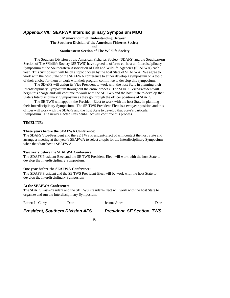# *Appendix VII:* **SEAFWA Interdisciplinary Symposium MOU**

## **Memorandum of Understanding Between The Southern Division of the American Fisheries Society and Southeastern Section of The Wildlife Society**

The Southern Division of the American Fisheries Society (SDAFS) and the Southeastern Section of The Wildlife Society (SE TWS) have agreed to offer to co-host an Interdisciplinary Symposium at the Southeastern Association of Fish and Wildlife Agencies (SEAFWA) each year. This Symposium will be on a topic chosen by the host State of SEAFWA. We agree to work with the host State of the SEAFWA conference to either develop a symposium on a topic of their choice for them or work with their program committee to develop this symposium.

The SDAFS will assign its Vice-President to work with the host State in planning their Interdisciplinary Symposium throughout the entire process. The SDAFS Vice-President will begin this charge and will continue to work with the SE TWS and the host State to develop that State's Interdisciplinary Symposium as they go through the officer positions of SDAFS.

The SE TWS will appoint the President-Elect to work with the host State in planning their Interdisciplinary Symposium. The SE TWS President-Elect is a two year position and this officer will work with the SDAFS and the host State to develop that State's particular Symposium. The newly elected President-Elect will continue this process.

#### **TIMELINE:**

#### **Three years before the SEAFWA Conference:**

The SDAFS Vice-President and the SE TWS President-Elect of will contact the host State and arrange a meeting at that year's SEAFWA to select a topic for the Interdisciplinary Symposium when that State host's SEAFW A.

#### **Two years before the SEAFWA Conference:**

The SDAFS President-Elect and the SE TWS President-Elect will work with the host State to develop the Interdisciplinary Symposium.

## **One year before the SEAFWA Conference:**

The SDAFS President and the SE TWS President-Elect will be work with the host State to develop the Interdisciplinary Symposium

#### **At the SEAFWA Conference:**

The SDAFS Past-President and the SE TWS President-Elect will work with the host State to organize and run the Interdisciplinary Symposium.

\_\_\_\_\_\_\_\_\_\_\_\_\_\_\_\_\_\_\_\_\_\_\_\_\_\_\_\_\_\_\_\_\_\_ \_\_\_\_\_\_\_\_\_\_\_\_\_\_\_\_\_\_\_\_\_\_\_\_\_\_\_\_\_\_\_\_\_\_

Robert L. Curry Date Date Jeanne Jones Date

# *President, Southern Division AFS President, SE Section, TWS*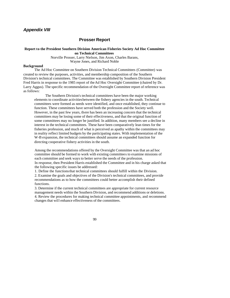# *Appendix VIII*

#### **Prosser Report**

#### **Report to the President Southern Division American Fisheries Society Ad Hoc Committee on Technical Committees**

Norville Prosser, Larry Nielson, Jim Axon, Charles Barans, Wayne Jones, and Richard Noble

#### **Background**

The Ad Hoc Committee on Southern Division Technical Committees (Committee) was created to review the purposes, activities, and membership composition of the Southern Division's technical committees. The Committee was established by Southern Division President Fred Harris in response to the 1985 report of the Ad Hoc Oversight Committee (chaired by Dr. Larry Aggus). The specific recommendation of the Oversight Committee report of reference was as follows:

The Southern Division's technical committees have been the major working elements to coordinate activities between the fishery agencies in the south. Technical committees were formed as needs were identified, and once established, they continue to function. These committees have served both the profession and the Society well. However, in the past few years, there has been an increasing concern that the technical committees may be losing some of their effectiveness, and that the original function of some committees may no longer be justified. In addition, many members see a decline in interest in the technical committees. These have been comparatively lean times for the fisheries profession, and much of what is perceived as apathy within the committees may in reality reflect limited budgets by the participating states. With implementation of the W-B expansion, the technical committees should assume an expanded function for directing cooperative fishery activities in the south.

Among the recommendations offered by the Oversight Committee was that an ad hoc committee should be formed to work with existing committees to examine missions of each committee and seek ways to better serve the needs of the profession. In response, then President Harris established the Committee and in his charge asked that the following specific issues be addressed:

1. Define the functions that technical committees should fulfill within the Division.

2. Examine the goals and objectives of the Division's technical committees, and provide recommendations as to how the committees could better accomplish their defined functions.

3. Determine if the current technical committees are appropriate for current resource management needs within the Southern Division, and recommend additions or deletions. 4. Review the procedures for making technical committee appointments, and recommend changes that will enhance effectiveness of the committees.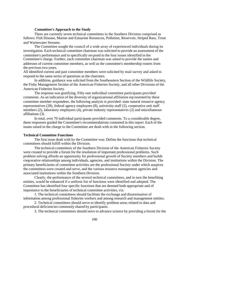#### **Committee's Approach to the Study**

There are currently seven technical committees in the Southern Division comprised as follows: Fish Disease, Marine and Estuarine Resources, Pollution, Reservoir, Striped Bass, Trout and Warmwater Streams.

The Committee sought the council of a wide array of experienced individuals during its investigation. Each technical committee chairman was solicited to provide an assessment of the committee's performance and to specifically res pond to the four issues identified in the Committee's charge. Further, each committee chairman was asked to provide the names and addresses of current committee members, as well as the committee's membership rosters from the previous two years.

All identified current and past committee members were solicited by mail survey and asked to respond to the same series of questions as the chairmen.

In addition, guidance was solicited from the Southeastern Section of the Wildlife Society, the Fishy Management Section of the American Fisheries Society, and all other Divisions of the American Fisheries Society.

The response was gratifying. Fifty-one individual committee participants provided comments. As an indication of the diversity of organizational affiliation rep resented by these committee member respondees, the following analysis is provided: state natural resource agency representatives (28), federal agency employees (8), university staff (2), cooperative unit staff members (2), laboratory employees (4), private industry representatives (3) and miscellaneous affiliations (3).

In total, over 70 individual participants provided comments. To a considerable degree, these responses guided the Committee's recommendations contained in this report. Each of the issues raised in the charge to the Committee are dealt with in the following section.

#### **Technical Committee Functions**

The first issue dealt with by the Committee was: Define the functions that technical committees should fulfill within the Division.

The technical committees of the Southern Division of the American Fisheries Society were created to provide a forum for the resolution of important professional problems. Such problem solving affords an opportunity for professional growth of Society members and builds coop erative relationships among individuals, agencies, and institutions within the Division. The primary beneficiaries of committee activities are the professional Society under which auspices the committees were created and serve, and the various resource management agencies and associated institutions within the Southern Division.

Clearly, the performance of the several technical committees, and in turn the benefiting entities, would be enhanced if a uniform list of functions were identified and adopted. The Committee has identified four specific functions that are deemed both appropriate and of importance to the beneficiaries of technical committee activities, viz:

1. The technical committees should facilitate the exchange and dissemination of information among professional fisheries workers and among research and management entities.

2. Technical committees should serve to identify problem areas related to data and procedural deficiencies commonly shared by participants.

3. The technical committees should serve to advance science by providing a forum for the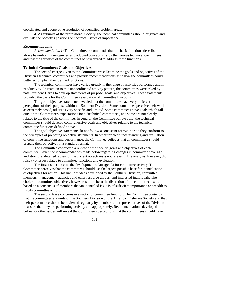coordinated and cooperative resolution of identified problem areas.

4. As subunits of the professional Society, the technical committees should originate and evaluate the Society's positions on technical issues of importance.

#### **Recommendations**

*Recommendation 1:* The Committee recommends that the basic functions described above be uniformly recognized and adopted conceptually by the various technical committees and that the activities of the committees be stru ctured to address these functions.

#### **Technical Committees Goals and Objectives**

The second charge given to the Committee was: Examine the goals and objectives of the Division's technical committees and provide recommendations as to how the committees could better accomplish their defined functions.

The technical committees have varied greatly in the range of activities performed and in productivity. In reaction to this uncoordinated activity pattern, the committees were asked by past President Harris to develop statements of purpose, goals, and objectives. These statements provided the basis for the Committee's evaluation of committee functions.

The goal-objective statements revealed that the committees have very different perceptions of their purpose within the Southern Division. Some committees perceive their work as extremely broad, others as very specific and limited. Some committees have goals which fall outside the Committee's expectations for a "technical committee", and some are not clearly related to the title of the committee. In general, the Committee believes that the technical committees should develop comprehensive goals and objectives relating to the technical committee functions defined above.

The goal-objective statements do not follow a consistent format, nor do they conform to the principles of preparing objective statements. In order for clear understanding and evaluation of committee functions and performance, the Committee believes that all committees should prepare their objectives in a standard format.

The Committee conducted a review of the specific goals and objectives of each committee. Given the recommendations made below regarding changes in committee coverage and structure, detailed review of the current objectives is not relevant. The analysis, however, did raise two issues related to committee functions and evaluation.

The first issue concerns the development of an agenda for committee activity. The Committee perceives that the committees should use the largest possible base for identification of objectives for action. This includes ideas developed by the Southern Division, committee members, management agencies and other resource groups, and interested individuals. The choice of committee objectives, however, should be at the discretion of the committee itself, based on a consensus of members that an identified issue is of sufficient importance or breadth to justify committee action.

The second issue concerns evaluation of committee function. The Committee contends that the committees are units of the Southern Division of the American Fisheries Society and that their performance should be reviewed regularly by members and representatives of the Division to assure that they are performing actively and appropriately. Recommendations developed below for other issues will reveal the Committee's perceptions that the committees should have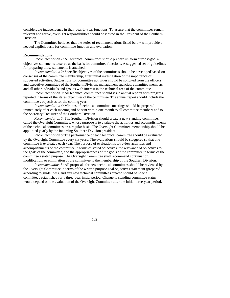considerable independence in their year-to-year functions. To assure that the committees remain relevant and active, oversight responsibilities should be v ested in the President of the Southern Division.

The Committee believes that the series of recommendations listed below will provide a needed explicit basis for committee function and evaluation.

#### **Recommendations**

*Recommendation 1:* All technical committees should prepare uniform purpose-goalsobjectives statements to serve as the basis for committee functions. A suggested set of guidelines for preparing those statements is attached.

*Recommendation 2:* Specific objectives of the committees should be developed based on consensus of the committee membership, after initial investigation of the importance of suggested activities. Suggestions for committee activities should be solicited from the officers and executive committee of the Southern Division, management agencies, committee members, and all other individuals and groups with interest in the technical area of the committee.

*Recommendation 3:* All technical committees should issue annual reports with progress reported in terms of the states objectives of the co mmittee. The annual report should include the committee's objectives for the coming year.

*Recommendation 4:* Minutes of technical committee meetings should be prepared immediately after each meeting and be sent within one month to all committee members and to the Secretary/Treasurer of the Southern Division.

*Recommendation 5:* The Southern Division should create a new standing committee, called the Oversight Committee, whose purpose is to evaluate the activities and accomplishments of the technical committees on a regular basis. The Oversight Committee membership should be appointed yearly by the incoming Southern Division president.

*Recommendation 6:* The performance of each technical committee should be evaluated by the Oversight Committee every six years. The evaluations should be staggered so that one committee is evaluated each year. The purpose of evaluation is to review activities and accomplishments of the committee in terms of stated objectives, the relevance of objectives to the goals of the committee, and the appropriateness of the goals of the committee in terms of the committee's stated purpose. The Oversight Committee shall recommend continuation, modification, or elimination of the committee to the membership of the Southern Division.

*Recommendation 7:* All proposals for new technical committees should be reviewed by the Oversight Committee in terms of the written purpose-goal-objectives statement (prepared according to guidelines), and any new technical committees created should be special committees established for a three-year initial period. Change to standing committee status would depend on the evaluation of the Oversight Committee after the initial three-year period.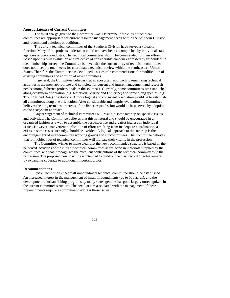#### **Appropriateness of Current Committees**

The third charge given to the Committee was: Determine if the current technical committees are appropriate for current resource management needs within the Southern Division and recommend deletions or additions.

The current technical committees of the Southern Division have served a valuable function. Many of the projects undertaken could not have been accomplished by individual state agencies or private industry. The technical committees should be commended for their efforts. Based upon its own evaluation and reflective of considerable concern expressed by respondees to the membership survey, the Committee believes that the current array of technical committees does not meet the total needs for coordinated technical review within the southeastern United States. Therefore the Committee has developed a series of recommendations for modification of existing committees and addition of new committees.

In general, the Committee believes that an ecosystem approach to organizing technical activities is the most appropriate and complete for current and future management and research needs among fisheries professionals in the southeast. Currently, some committees are established along ecosystem orientation (e.g. Reservoir, Marine and Estuarine) and some along species (e.g. Trout, Striped Bass) orientations. A more logical and consistent orientation would be to establish all committees along one orientation. After considerable and lengthy evaluation the Committee believes the long term best interests of the fisheries profession would be best served by adoption of the ecosystem approach.

Any arrangement of technical committees will result in some overlap on specific issues and activities. The Committee believes that this is natural and should be encouraged in an organized fashion as a way to assemble the best expertise and greatest interest on individual issues. However, inadvertent duplication of effort resulting from inadequate coordination, as exists in some cases currently, should be avoided. A logical approach to this overlap is the encouragement of inter-committee working groups and subcommittees. The Committee believes that joint objectives of technical committees will indicate their vitality in the profession.

The Committee wishes to make clear that the new recommended structure is based on the perceived activities of the current technical committees as reflected in materials supplied by the committees, and that it recognizes the excellent contributions of the technical committees to the profession. The proposed new structure is intended to build on the p ast record of achievements by expanding coverage to additional important topics.

#### **Recommendations**

*Recommendation 1:* A small impoundment technical committee should be established. An increased interest in the management of small impoundments (up to 500 acres), and the development of urban fishing programs by many state agencies has gone largely unrecognized in the current committee structure. The peculiarities associated with the management of these impoundments require a committee to address these issues.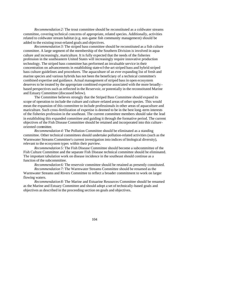*Recommendation 2:* The trout committee should be reconstituted as a coldwater streams committee, covering technical concerns of appropriate, related species. Additionally, activities related to coldwater stream habitat (e.g. non-game fish community management) should be added to the existing trout-related goals and objectives.

*Recommendation 3:* The striped bass committee should be reconstituted as a fish culture committee. A large segment of the membership of the Southern Division is involved in aquaculture and increasingly, mariculture. It is fully expected that the needs of the fisheries profession in the southeastern United States will increasingly require innovative production technology. The striped bass committee has performed an invaluable service in their concentration on advancements in establishing state-of-the-art striped bass and hybrid striped bass culture guidelines and procedures. The aquaculture of an ever expanding list of fresh and marine species and various hybrids has not been the beneficiary of a technical committee's combined expertise and guidance. Actual management of striped bass in open ecosystem deserves to be treated by the appropriate combined expertise associated with the more broadly based perspectives such as reflected in the Reservoir, or potentially in the reconstituted Marine and Estuary Committee (discussed below).

The Committee believes strongly that the Striped Bass Committee should expand its scope of operation to include the culture and culture-related areas of other species. This would mean the expansion of this committee to include professionals in other areas of aquaculture and mariculture. Such cross-fertilization of expertise is deemed to be in the best long -term interests of the fisheries profession in the southeast. The current committee members should take the lead in establishing this expanded committee and guiding it through the formative period. The current objectives of the Fish Disease Committee should be retained and incorporated into this cultureoriented committee.

*Recommendation 4:* The Pollution Committee should be eliminated as a standing committee. Other technical committees should undertake pollution-related activities (such as the Warmwater Streams Committee's current investigation into indices of biological diversity), relevant to the ecosystem types within their purview.

*Recommendation 5:* The Fish Disease Committee should become a subcommittee of the Fish Culture Committee and the separate Fish Disease technical committee should be eliminated. The important tabulation work on disease incidence in the southeast should continue as a function of the subcommittee.

*Recommendation 6:* The reservoir committee should be retained as presently constituted.

*Recommendation 7:* The Warmwater Streams Committee should be renamed as the Warmwater Streams and Rivers Committee to reflect a broader commitment to work on larger flowing waters.

*Recommendation 8:* The Marine and Estuarine Resources Committee should be renamed as the Marine and Estuary Committee and should adopt a set of technically-based goals and objectives as described in the proceeding section on goals and objectives.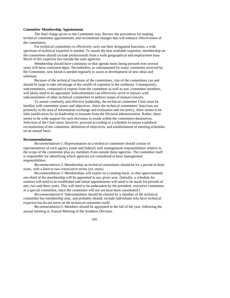#### **Committee Membership Appointment**

The final charge given to the Committee was: Review the procedures for making technical committee appointments, and recommend changes that will enhance effectiveness of the committees.

For technical committees to effectively carry out their designated functions, a wide spectrum of technical expertise is needed. To assure the best available expertise, membership on the committees should include professionals from a wide geographical and employment base. Much of this expertise lies outside the state agencies.

Membership should have continuity so that agenda items being pursued over several years will have consistent input. Nevertheless, as substantiated by many comments received by the Committee, new blood is needed regularly to assist in development of new ideas and solutions.

Because of the technical functions of the committees, size of the committees can and should be large to take advantage of the wealth of expertise in the southeast. Consequently, subcommittees, comprised of experts from the committee as well as non -committee members, will likely need to be appointed. Subcommittees can effectively serve to interact with subcommittees of other technical committees to address issues of mutual concern.

To assure continuity and effective leadership, the technical committee Chair must be familiar with committee issues and objectives. Since the technical committees' functions are primarily in the area of information exchange and evaluation and not policy, there seems to be little justification for its leadership to emanate from the Division administration. Rather, there seems to be wide support for such decisions to reside within the committees themselves. Selection of the Chair must, however, proceed according to a schedule to ensure expedient reconstitution of the committee, definition of objectives, and establishment of meeting schedules on an annual basis.

#### **Recommendations**

*Recommendation 1:* Representation on a technical committee should consist of representatives of each agency (state and federal) with management responsibilities relative to the scope of the committee plus six members from outside these agencies. The committee itself is responsible for identifying which agencies are considered to have management responsibilities.

*Recommendation 2:* Membership on technical committees should be for a period of three years, with a limit to two consecutive terms (six years).

*Recommendation 3:* Memberships will expire on a rotating basis, so that approximately one-third of the membership will be appointed in any given year. (Initially, a schedule for rotation will need to be established and initial appointments will need to be made for periods of one, two and three years. This will need to be undertaken by the president, executive committee, or a special committee, since the committee will not yet have been constituted.)

*Recommendation 4:* Subcommittees should be chaired by a member of the technical committee but membership may, and probably should, include individuals who have technical expertise but do not serve on the technical committee itself.

*Recommendation 5:* Members should be appointed in the fall of the year, following the annual meeting or Annual Meeting of the Southern Division.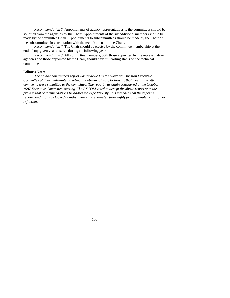*Recommendation 6:* Appointments of agency representatives to the committees should be solicited from the agencies by the Chair. Appointments of the six additional members should be made by the committee Chair. Appointments to subcommittees should be made by the Chair of the subcommittee in consultation with the technical committee Chair.

*Recommendation 7:* The Chair should be elected by the committee membership at the end of any given year to serve during the following year.

*Recommendation 8:* All committee members, both those appointed by the representative agencies and those appointed by the Chair, should have full voting status on the technical committees.

#### **Editor's Note:**

*The ad hoc committee's report was reviewed by the Southern Division Executive Committee at their mid -winter meeting in February, 1987. Following that meeting, written comments were submitted to the committee. The report was again considered at the October 1987 Executive Committee meeting. The EXCOM voted to accept the above report with the proviso that recommendations be addressed expeditiously. It is intended that the report's recommendations be looked at individually and evaluated thoroughly prior to implementation or rejection.*

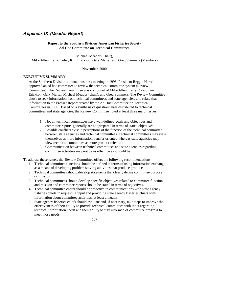# *Appendix IX (Meador Report)*

## **Report to the Southern Division American Fisheries Society Ad Hoc Committee on Technical Committees**

Michael Meador (Chair), Mike Allen, Larry Cofer, Kim Erickson, Gary Martel, and Greg Summers (Members)

November, 2000

## **EXECUTIVE SUMMARY**

At the Southern Division's annual business meeting in 1998, President Reggie Harrell approved an ad hoc committee to review the technical committee system (Review Committee). The Review Committee was composed of Mike Allen, Larry Cofer, Kim Erickson, Gary Martel, Michael Meador (chair), and Greg Summers. The Review Committee chose to seek information from technical committees and state agencies, and relate that information to the Prosser Report created by the Ad Hoc Committee on Technical Committees in 1988. Based on a synthesis of questionnaires distributed to technical committees and state agencies, the Review Committee noted at least three major issues:

- 1. Not all technical committees have well-defined goals and objectives and committee reports generally are not prepared in terms of stated objectives.
- 2. Possible conflicts exist in perceptions of the function of the technical committee between state agencies and technical committees. Technical committees may view themselves as more information-transfer oriented whereas state agencies may view technical committees as more product-oriented.
- 3. Communication between technical committees and state agencies regarding committee activities may not be as effective as it could be.

To address these issues, the Review Committee offers the following recommendations:

- 1. Technical committee functions should be defined in terms of using information exchange as a means of developing problem-solving activities that produce products.
- 2. Technical committees should develop statements that clearly define committee purpose or mission.
- 3. Technical committees should develop specific objectives related to committee function and mission and committee reports should be stated in terms of objectives.
- 4. Technical committee chairs should be proactive in communications with state agency fisheries chiefs in requesting input and providing state agency fisheries chiefs with information about committee activities, at least annually.
- 5. State agency fisheries chiefs should evaluate and, if necessary, take steps to improve the effectiveness of their ability to provide technical committees with input regarding technical information needs and their ability to stay informed of committee progress to meet those needs.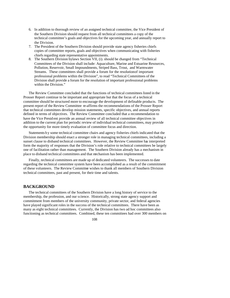- 6. In addition to thorough review of an assigned technical committee, the Vice President of the Southern Division should request from all technical committees a copy of the technical committee's goals and objectives for the upcoming year, and annually report to the Division.
- 7. The President of the Southern Division should provide state agency fisheries chiefs copies of committee reports, goals and objectives when communicating with fisheries chiefs regarding state representative appointments.
- 8. The Southern Division bylaws Section VII, (i). should be changed from "Technical Committees of the Division shall include: Aquaculture, Marine and Estuarine Resources, Pollution, Reservoir, Small Impoundments, Striped Bass, Trout, and Warmwater Streams. These committees shall provide a forum for the resolution of important professional problems within the Division", to read "Technical Committees of the Division shall provide a forum for the resolution of important professional problems within the Division."

The Review Committee concluded that the functions of technical committees listed in the Prosser Report continue to be important and appropriate but that the focus of a technical committee should be structured more to encourage the development of definable products. The present report of the Review Committee re-affirms the recommendations of the Prosser Report that technical committees develop mission statements, specific objectives, and annual reports defined in terms of objectives. The Review Committee concluded that a recommendation to have the Vice Presid ent provide an annual review of all technical committee objectives in addition to the current plan for periodic review of individual technical committees, may provide the opportunity for more timely evaluation of committee focus and direction.

Statements b y some technical committee chairs and agency fisheries chiefs indicated that the Division membership should enact a stronger role in managing technical committees, including a sunset clause to disband technical committees. However, the Review Committee has interpreted form the majority of responses that the Division's role relative to technical committees be largely one of facilitation rather than management. The Southern Division already has a mechanism in place to disband technical committees and that mechanism has been implemented.

Finally, technical committees are made up of dedicated volunteers. The successes to date regarding the technical committee system have been accomplished as a result of the commitment of these volunteers. The Review Committee wishes to thank all members of Southern Division technical committees, past and present, for their time and talents.

## **BACKGROUND**

The technical committees of the Southern Division have a long history of service to the membership, the profession, and our science. Historically, strong state agency support and commitment from members of the university community, private sector, and federal agencies have played significant roles in the success of the technical committees. There have been as many as eight technical committees. Currently, the Division has two ad hoc committees also functioning as technical committees. Combined, these ten committees had over 300 members on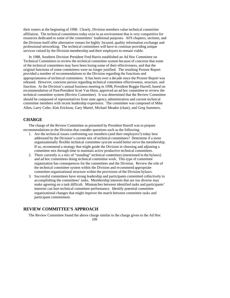their rosters at the beginning of 1998. Clearly, Division members value technical committee affiliation. The technical committees today exist in an environment that is very competitive for resources dedicated to some of the committees' traditional purposes. AFS chapters, sections, and the Division itself offer alternative venues for highly focused, quality information exchange and professional networking. The technical committees will have to continue providing unique services valued by the Division membership and their employers to remain viable.

In 1988, Southern Division President Fred Harris established an Ad Hoc Committee on Technical Committees to review the technical committee system because of concerns that some of the technical committees may have been losing some of their effectiveness, and that the original functions of some committees were no longer justified. The resulting Prosser Report provided a number of recommendations to the Division regarding the functions and appropriateness of technical committees. It has been over a decade since the Prosser Report was released. However, concerns persist regarding technical committee effectiveness, structure, and function. At the Division's annual business meeting in 1998, President Reggie Harrell, based on recommendation of Past-President Scott Van Horn, approved an ad hoc committee to review the technical committee system (Review Committee). It was determined that the Review Committee should be composed of representatives from state agency administration and current technical committee members with recent leadership experience. The committee was composed of Mike Allen, Larry Cofer, Kim Erickson, Gary Martel, Michael Meador (chair), and Greg Summers.

## **CHARGE**

The charge of the Review Committee as presented by President Harrell was to prepare recommendations to the Division that consider questions such as the following:

- 1. Are the technical issues confronting our members (and their employers?) today best addressed by the Division's current mix of technical committees? Determine if a more organizationally flexible technical committee syst em would better serve the membership. If so, recommend a strategy that might guide the Division in choosing and adjusting a committee mix through time to maintain active productive technical committees.
- 2. There currently is a mix of "standing" technical committees (mentioned in the bylaws) and ad hoc committees doing technical committee work. This type of committee organization has consequences for the committees and the Division. Review the role of the technical committee system within the Division and recommend appropriate committee organizational structure within the provisions of the Division bylaws.
- 3. Successful committees have strong leadership and participants committed collectively to accomplishing the committees' tasks. Membership interests that are too diverse may make agreeing on a task difficult. Mismatches between identified tasks and participants' interests can hurt technical committee performance. Identify potential committee organizational changes that might improve the match between committee tasks and participant commitment.

## **REVIEW COMMITTEE'S APPROACH**

109 The Review Committee found the above charge similar to the charge given to the Ad Hoc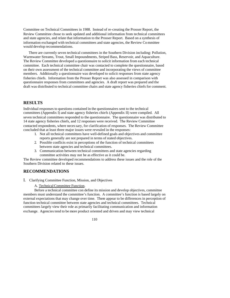Committee on Technical Committees in 1988. Instead of re-creating the Prosser Report, the Review Committee chose to seek updated and additional information from technical committees and state agencies, and relate that information to the Prosser Report. Based on a synthesis of information exchanged with technical committees and state agencies, the Review Committee would develop recommendations.

There are currently seven technical committees in the Southern Division including: Pollution, Warmwater Streams, Trout, Small Impoundments, Striped Bass, Reservoir, and Aquaculture. The Review Committee developed a questionnaire to solicit information from each technical committee. Each technical committee chair was contacted to complete the questionnaire, based on their own assessment of the technical committee and incorporating the views of committee members. Additionally a questionnaire was developed to solicit responses from state agency fisheries chiefs. Information from the Prosser Report was also assessed in comparison with questionnaire responses from committees and agencies. A draft report was prepared and the draft was distributed to technical committee chairs and state agency fisheries chiefs for comment.

## **RESULTS**

Individual responses to questions contained in the questionnaires sent to the technical committees (Appendix I) and state agency fisheries chiefs (Appendix II) were compiled. All seven technical committees responded to the questionnaire. The questionnaire was distributed to 14 state agency fisheries chiefs, and 12 responses were received. The Review Committee contacted respondents, where necessary, for clarification of responses. The Review Committee concluded that at least three major issues were revealed in the responses:

- 1. Not all technical committees have well-defined goals and objectives and committee reports generally are not prepared in terms of stated objectives.
- 2. Possible conflicts exist in perceptions of the function of technical committees between state agencies and technical committees.
- 3. Communication between technical committees and state agencies regarding committee activities may not be as effective as it could be.

The Review committee developed recommendations to address these issues and the role of the Southern Division related to these issues.

## **RECOMMENDATIONS**

I. Clarifying Committee Function, Mission, and Objectives

A. Technical Committee Function.

Before a technical committee con define its mission and develop objectives, committee members must understand the committee's function. A committee's function is based largely on external expectations that may change over time. There appear to be differences in perception of function technical committee between state agencies and technical committees. Technical committees largely view their role as primarily facilitating communication and information exchange. Agencies tend to be more product oriented and driven and may view technical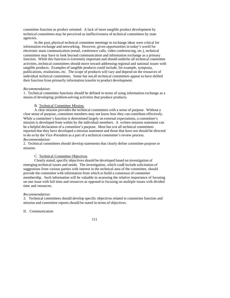committee function as product oriented. A lack of more tangible product development by technical committees may be perceived as ineffectiveness of technical committees by state agencies.

In the past, physical technical committee meetings to exchange ideas were critical for information exchange and networking. However, given opportunities in today's world for electronic mass communication (email, conference calls, video conferencing, etc.), technical committees may have to look beyond communication and information exchange as a primary function. While this function is extremely important and should underlie all technical committee activities, technical committees should move toward addressing regional and national issues with tangible products. Examples of tangible products could include, for example, symposia, publications, resolutions, etc. The scope of products will vary and depend on the resources of individual technical committees. Some but not all technical committees appear to have shifted their function from primarily information transfer to product development.

#### *Recommendation:*

1. Technical committee functions should be defined in terms of using information exchange as a means of developing problem-solving activities that produce products.

#### B. Technical Committee Mission

A clear mission provides the technical committees with a sense of purpose. Without a clear sense of purpose, committee members may not know how they can contribute effectively. While a committee's function is determined largely on external expectations, a committee's mission is developed from within by the individual members. A written mission statement can be a helpful declaration of a committee's purpose. Most but n ot all technical committees reported that they have developed a mission statement and those that have not should be directed to do so by the Vice-President as a part of a technical committee's review process. *Recommendation:*

2. Technical committees should develop statements that clearly define committee purpose or mission.

#### C. Technical Committee Objectives

Clearly stated, specific objectives should be developed based on investigation of emerging technical issues and needs. The investigation, which could include solicitation of suggestions from various parties with interest in the technical area of the committee, should provide the committee with information from which to build a consensus of committee membership. Such information will be valuable in assessing the relative importance of focusing on one issue with full time and resources as opposed to focusing on multiple issues with divided time and resources.

#### *Recommendation:*

3. Technical committees should develop specific objectives related to committee function and mission and committee reports should be stated in terms of objectives.

#### II. Communication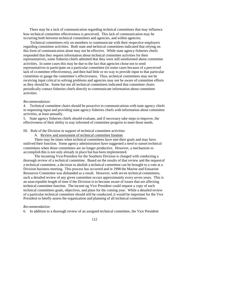There may be a lack of communication regarding technical committees that may influence how technical committee effectiveness is perceived. This lack of communication may be occurring both between technical committees and agencies, and within agencies.

 Technical committees rely on members to communicate with their respective employers regarding committee activities. Both state and technical committees indicated that relying on this form of communication alone may not be effective. While state agency fisheries chiefs responded that they request information about technical committee activities for their representatives, some fisheries chiefs admitted that they were still uninformed about committee activities. In some cases this may be due to the fact that agencies chose not to send representatives to participate on a particular committee (in some cases because of a perceived lack of committee effectiveness), and then had little or no way to provide input to that particular committee or gauge the committee's effectiveness. Thus, technical committees may not be receiving input critical to solving problems and agencies may not be aware of committee efforts as they should be. Some but not all technical committees indicated that committee chairs periodically contact fisheries chiefs directly to communicate information about committee activities.

## *Recommendation:*

4. Technical committee chairs should be proactive in communications with state agency chiefs in requesting input and providing state agency fisheries chiefs with information about committee activities, at least annually.

5. State agency fisheries chiefs should evaluate, and if necessary take steps to improve, the effectiveness of their ability to stay informed of committee progress to meet those needs.

## III. Role of the Division in support of technical committee activities

A. Review and assessment of technical committee function

There may be times when technical committees have met their goals and may have outlived their function. Some agency administrators have suggested a need to sunset technical committees when those committees are no longer productive. However, a mechanism to accomplish this is not only already in place but has been implemented.

The incoming Vice-President for the Southern Division is charged with conducting a thorough review of a technical committee. Based on the results of that review and the request of a technical committee, a decision to abolish a technical committee can be brought to a vote at a Division business meeting. This process has occurred and in 1998 the Marine and Estuarine Resources Committee was disbanded as a result. However, with seven technical committees, such a detailed review of any given committee occurs approximately every seven years. This is an unacceptable length of time if the Division is to become aware of issues that are affecting technical committee function. The incomi ng Vice President could request a copy of each technical committees goals, objectives, and plans for the coming year. While a detailed review of a particular technical committee should still be conducted, it would be important for the Vice President to briefly assess the organization and planning of all technical committees.

#### *Recommendation:*

6. In addition to a thorough review of an assigned technical committee, the Vice President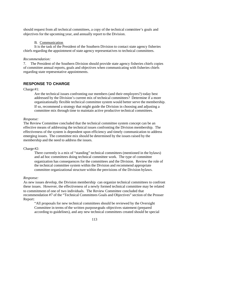should request from all technical committees, a copy of the technical committee's goals and objectives for the upcoming year, and annually report to the Division.

#### B. Communication

It is the task of the President of the Southern Division to contact state agency fisheries chiefs regarding the appointment of state agency representatives to technical committees.

#### *Recommendation:*

7. The President of the Southern Division should provide state agency fisheries chiefs copies of committee annual reports, goals and objectives when communicating with fisheries chiefs regarding state representative appointments.

## **RESPONSE TO CHARGE**

#### Charge #1:

Are the technical issues confronting our members (and their employers?) today best addressed by the Division's current mix of technical committees? Determine if a more organizationally flexible technical committee system would better serve the membership. If so, recommend a strategy that might guide the Division in choosing and adjusting a committee mix through time to maintain active productive technical committees.

#### *Response:*

The Review Committee concluded that the technical committee system concept can be an effective means of addressing the technical issues confronting the Division membership. The effectiveness of the system is dependent upon efficiency and timely communication to address emerging issues. The committee mix should be determined by the issues raised by the membership and the need to address the issues.

#### Charge #2:

There currently is a mix of "standing" technical committees (mentioned in the bylaws) and ad hoc committees doing technical committee work. The type of committee organization has consequences for the committees and the Division. Review the role of the technical committee system within the Division and recommend appropriate committee organizational structure within the provisions of the Division bylaws.

#### *Response:*

As new issues develop, the Division membership can organize technical committees to confront these issues. However, the effectiveness of a newly formed technical committee may be related to commitment of one of two individuals. The Review Committee concluded that recommendation #7 of the "Technical Committees Goals and Objectives" section of the Prosser Report:

"All proposals for new technical committees should be reviewed by the Oversight Committee in terms of the written purpose-goals-objectives statement (prepared according to guidelines), and any new technical committees created should be special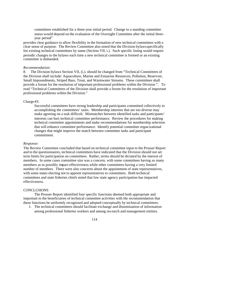committees established for a three-year initial period. Change to a standing committee status would depend on the evaluation of the Oversight Committee after the initial threeyear period"

provides clear guidance to allow flexibility in the formation of new technical committees with a clear sense of purpose. The Review Committee also noted that the Division bylaws specifically list existing technical committees by name (Section VII, i.). Such specific listing would require periodic changes to the bylaws each time a new technical committee is formed or an existing committee is disbanded.

#### *Recommendation:*

8. The Division bylaws Section VII, (i.). should be changed from "Technical Committees of the Division shall include: Aquaculture, Marine and Estuarine Resources, Pollution, Reservoir, Small Impoundments, Striped Bass, Trout, and Warmwater Streams. These committees shall provide a forum for the resolution of important professional problems within the Division ". To read "Technical Committees of the Division shall provide a forum for the resolution of important professional problems within the Division."

#### Charge #3:

Successful committees have strong leadership and participants committed collectively to accomplishing the committees' tasks. Membership interests that are too diverse may make agreeing on a task difficult. Mismatches between identified tasks and participants' interests can hurt technical committee performance. Review the procedures for making technical committee appointments and make recommendations for membership selection that will enhance committee performance. Identify potential committee organ izational changes that might improve the match between committee tasks and participant commitment.

#### *Response:*

The Review Committee concluded that based on technical committee input to the Prosser Report and to the questionnaires, technical committees have indicated that the Division should not set term limits for participation on committees. Rather, terms should be dictated by the interest of members. In some cases committee size was a concern, with some committees having so many members as to possibly impact effectiveness while other committees having a very limited number of members. There were also concerns about the appointment of state representatives, with some states electing not to appoint representatives to committees. Both technical committees and state fisheries chiefs noted that low state agency participation has impacted effectiveness.

#### **CONCLUSIONS**

The Prosser Report identified four specific functions deemed both appropriate and important to the beneficiaries of technical committee activities with the recommendation that these functions be uniformly recognized and adopted conceptually by technical committees:

1. The technical committees should facilitate exchange and dissemination of information among professional fisheries workers and among res earch and management entities.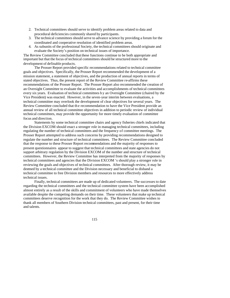- 2. Technical committees should serve to identify problem areas related to data and procedural deficiencies commonly shared by participants.
- 3. The technical committees should serve to advance science by providing a forum for the coordinated and cooperative resolution of identified problem areas.
- 4. As subunits of the professional Society, the technical committees should originate and evaluate the Society's position on technical issues of importance.

The Review Committee concluded that these functions continue to be both appropriate and important but that the focus of technical committees should be structured more to the development of definable products.

The Prosser Report provided specific recommendations related to technical committee goals and objectives. Specifically, the Prosser Report recommended the development of a mission statement, a statement of objectives, and the production of annual reports in terms of stated objectives. Thus, the present report of the Review Committee re-affirms these recommendations of the Prosser Report. The Prosser Report also recommended the creation of an Oversight Committee to evaluate the activities and accomplishments of technical committees every six years. Evaluation of technical committees b y an Oversight Committee (chaired by the Vice President) was enacted. However, in the seven-year interim between evaluations, a technical committee may overlook the development of clear objectives for several years. The Review Committee concluded that th e recommendation to have the Vice President provide an annual review of all technical committee objectives in addition to periodic review of individual technical committees, may provide the opportunity for more timely evaluation of committee focus and direction.

Statements by some technical committee chairs and agency fisheries chiefs indicated that the Division EXCOM should enact a stronger role in managing technical committees, including regulating the number of technical committees and the frequency of committee meetings. The Prosser Report attempted to address such concerns by providing recommendations designed to regulate the number and structure of technical committees. The Review Committee concluded that the response to these Prosser Report recommendations and the majority of responses to present questionnaires appear to suggest that technical committees and state agencies do not support arbitrary regulation by the Division EXCOM of the number and structure of technical committees. However, the Review Committee has interpreted from the majority of responses by technical committees and agencies that the Division EXCOM 's should play a stronger role in reviewing the goals and objectives of technical committees. After thorough review, it may be deemed by a technical committee and the Division necessary and beneficial to disband a technical committee to free Division members and resources to more effectively address technical issues.

Finally, technical committees are made up of dedicated volunteers. The successes to date regarding the technical committees and the technical committee system have been accomplished almost entirely as a result of the skills and commitment of volunteers who have made themselves available despite the competing demands on their time. These volunteers that make up technical committees deserve recognition for the work that they do. The Review Committee wishes to thank all members of Southern Division technical committees, past and present, for their time and talents.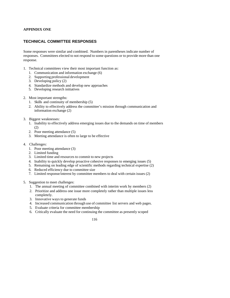## **APPENDIX ONE**

## **TECHNICAL COMMITTEE RESPONSES**

Some responses were similar and combined. Numbers in parentheses indicate number of responses. Committees elected to not respond to some questions or to provide more than one response.

- 1. Technical committees view their most important function as:
	- 1. Communication and information exchange (6)
	- 2. Supporting professional development
	- 3. Developing policy (2)
	- 4. Standardize methods and develop new approaches
	- 5. Developing research initiatives
- 2. Most important strengths:
	- 1. Skills and continuity of membership (5)
	- 2. Ability to effectively address the committee's mission through communication and information exchange (2)
- 3. Biggest weaknesses:
	- 1. Inability to effectively address emerging issues due to the demands on time of members (2)
	- 2. Poor meeting attendance (5)
	- 3. Meeting attendance is often to large to be effective
- 4. Challenges:
	- 1. Poor meeting attendance (3)
	- 2. Limited funding
	- 3. Limited time and resources to commit to new projects
	- 4. Inability to quickly develop proactive cohesive responses to emerging issues (5)
	- 5. Remaining on leading edge of scientific methods regarding technical expertise (2)
	- 6. Reduced efficiency due to committee size
	- 7. Limited response/interest by committee members to deal with certain issues (2)
- 5. Suggestion to meet challenges:
	- 1. The annual meeting of committee combined with interim work by members (2)
	- 2. Prioritize and address one issue more completely rather than multiple issues less completely.
	- 3. Innovative ways to generate funds
	- 4. Increased communication through use of committee list servers and web pages.
	- 5. Evaluate criteria for committee membership
	- 6. Critically evaluate the need for continuing the committee as presently scoped
		- 116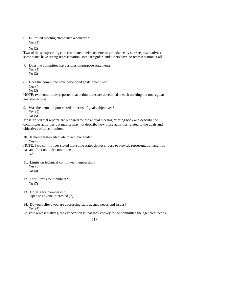6. Is limited meeting attendance a concern?

Yes  $(5)$ 

No (2)

Two of those expressing concern related their concerns to attendance by state representatives; some states have strong representation, some irregular, and others have no representation at all.

7. Does the committee have a mission/purpose statement?

Yes  $(5)$ No (2)

8. Does the committee have developed goals/objectives?

Yes (4)

No (3)

NOTE: two committees reported that action items are developed at each meeting but not regular goals/objectives

9. Was the annual report stated in terms of goals/objectives?

Yes (2)

No (5)

Most replied that reports are prepared for the annual meeting briefing book and describe the committees activities but may or may not describe how those activities related to the goals and objectives of the committee.

10. Is membership adequate to achieve goals?

Yes  $(6)$ 

NOTE: Two committees stated that some states do not choose to provide representation and this has an effect on their committees.

No

- 11. Limits on technical committee membership? Yes  $(3)$ No  $(4)$
- 12. Term limits for members? No (7)
- 13. Criteria for membership: Open to anyone interested (7)
- 14. Do you believe you are addressing state agency needs and issues? Yes  $(6)$

As state representatives, the expectation is that they convey to the committee the agencies' needs

$$
117\\
$$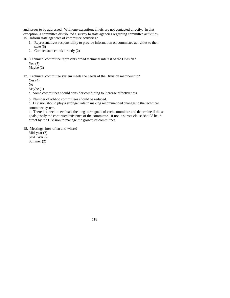and issues to be addressed. With one exception, chiefs are not contacted directly. In that exception, a committee distributed a survey to state agencies regarding committee activities. 15. Inform state agencies of committee activities?

- 1. Representatives responsibility to provide information on committee activities to their state (5)
- 2. Contact state chiefs directly (2)
- 16. Technical committee represents broad technical interest of the Division?

Yes (5) Maybe (2)

17. Technical committee system meets the needs of the Division membership?

Yes  $(4)$ 

No

Maybe (1)

- a. Some committees should consider combining to increase effectiveness.
- b. Number of ad-hoc committees should be reduced.

c. Division should play a stronger role in making recommended changes to the technical committee system.

d. There is a need to evaluate the long -term goals of each committee and determine if those goals justify the continued existence of the committee. If not, a sunset clause should be in affect by the Division to manage the growth of committees.

18. Meetings, how often and where?

Mid -year (7) SEAFWA (2) Summer (2)

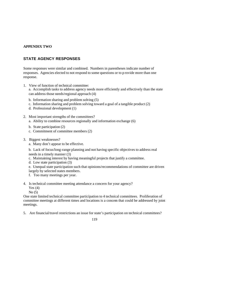## **APPENDIX TWO**

## **STATE AGENCY RESPONSES**

Some responses were similar and combined. Numbers in parentheses indicate number of responses. Agencies elected to not respond to some questions or to p rovide more than one response.

1. View of function of technical committee:

a. Accomplish tasks to address agency needs more efficiently and effectively than the state can address those needs/regional approach (4)

- b. Information sharing and problem solving (5)
- c. Information sharing and problem solving toward a goal of a tangible product (2)
- d. Professional development (1)
- 2. Most important strengths of the committees?
	- a. Ability to combine resources regionally and information exchange (6)
	- b. State participation (2)
	- c. Commitment of committee members (2)
- 3. Biggest weaknesses?
	- a. Many don't appear to be effective.

b. Lack of focus/long-range planning and not having specific objectives to address real needs in a timely manner (3)

- c. Maintaining interest by having meaningful projects that justify a committee.
- d. Low state participation (3)

e. Unequal state participation such that opinions/recommendations of committee are driven largely by selected states members.

- f. Too many meetings per year.
- 4. Is technical committee meeting attendance a concern for your agency?
	- Yes  $(4)$

No (5)

One state limited technical committee participation to 4 technical committees. Proliferation of committee meetings at different times and locations is a concern that could be addressed by joint meetings.

5. Are financial/travel restrictions an issue for state's participation on technical committees?

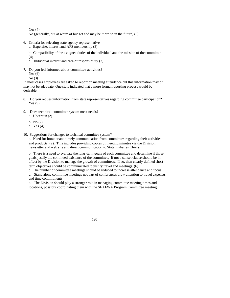Yes  $(4)$ 

No (generally, but at whim of budget and may be more so in the future) (5)

- 6. Criteria for selecting state agency representative
	- a. Expertise, interest and AFS membership (3)

b. Compatibility of the assigned duties of the individual and the mission of the committee (4)

- c. Individual interest and area of responsibility (3)
- 7. Do you feel informed about committee activities? Yes (6)

No (3)

In most cases employees are asked to report on meeting attendance but this information may or may not be adequate. One state indicated that a more formal reporting process would be desirable.

- 8. Do you request information from state representatives regarding committee participation? Yes (9)
- 9. Does technical committee system meet needs?
	- a. Uncertain (2)
	- b. No (2)
	- c. Yes (4)
- 10. Suggestions for changes to technical committee system?

a. Need for broader and timely communication from committees regarding their activities and products. (2). This includes providing copies of meeting minutes via the Division newsletter and web site and direct communication to State Fisheries Chiefs.

b. There is a need to evaluate the long -term goals of each committee and determine if those goals justify the continued existence of the committee. If not a sunset clause should be in affect by the Division to manage the growth of committees. If so, then clearly defined shortterm objectives should be communicated to justify travel and meetings. (6)

c. The number of committee meetings should be reduced to increase attendance and focus.

d. Stand alone committee meetings not part of conferences draw attention to travel expenses and time commitments.

e. The Division should play a stronger role in managing committee meeting times and locations, possibly coordinating them with the SEAFWA Program Committee meeting.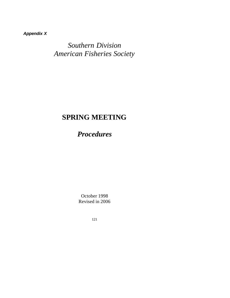*Appendix X*

*Southern Division American Fisheries Society*

# **SPRING MEETING**

*Procedures*

October 1998 Revised in 2006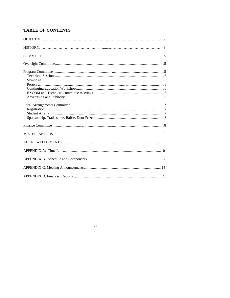# **TABLE OF CONTENTS**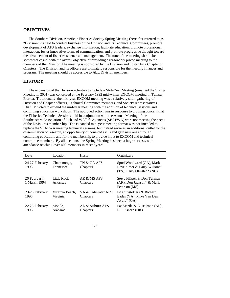## **OBJECTIVES**

The Southern Division, American Fisheries Society Spring Meeting (hereafter referred to as "Division") is held to conduct business of the Division and its Technical Committees, promote development of AFS leaders, exchange information, facilitate education, promote professional interaction, foster innovative forms of communication, and promote progressive thought toward the advancement of fisheries science and management. The tone of the meeting should be somewhat casual with the overall objective of providing a reasonably priced meeting to the members of the Division. The meeting is sponsored by the Division and hosted by a Chapter or Chapters. The Division and its officers are ultimately responsible for the meeting finances and program. The meeting should be accessible to **ALL** Division members.

## **HISTORY**

The expansion of the Division activities to include a Mid -Year Meeting (renamed the Spring Meeting in 2001) was conceived at the February 1992 mid-winter EXCOM meeting in Tampa, Florida. Traditionally, the mid-year EXCOM meeting was a relatively small gathering of Division and Chapter officers, Technical Committee members, and Society representatives. EXCOM voted to expand the mid-year meeting with the addition of technical sessions and continuing education workshops. The approved action was in response to growing concern that the Fisheries Technical Sessions held in conjunction with the Annual Meeting of the Southeastern Association of Fish and Wildlife Agencies (SEAFWA) were not meeting the needs of the Division's membership. The expanded mid-year meeting format was not intended to replace the SEAFWA meeting technical sessions, but instead serve as an additional outlet for the dissemination of research, an opportunity of hone old skills and gain new ones through continuing education, and for the membership to provide input to EXCOM and technical committee members. By all accounts, the Spring Meeting has been a huge success, with attendance reaching over 400 members in recent years.

| Date                          | Location                    | <b>Hosts</b>                   | Organizers                                                                          |
|-------------------------------|-----------------------------|--------------------------------|-------------------------------------------------------------------------------------|
| 24-27 February<br>1993        | Chattanooga,<br>Tennessee   | TN & GA AFS<br>Chapters        | Spud Woodward (GA), Mark<br>Bevelhimer & Larry Wilson*<br>(TN), Larry Olmsted* (NC) |
| 26 February -<br>1 March 1994 | Little Rock.<br>Arkansas    | AR & MS AFS<br>Chapters        | Steve Filipek & Don Turman<br>$(AR)$ , Don Jackson* & Mark<br>Peterson (MS)         |
| 23-26 February<br>1995        | Virginia Beach,<br>Virginia | VA & Tidewater AFS<br>Chapters | Ed Christoffers & Richard<br>Eades (VA), Mike Van Den<br>$Avyle^*(GA)$              |
| 22-26 February<br>1996        | Mobile.<br>Alabama          | AL & Auburn AFS<br>Chapters    | Pat Mazik, & Elise Irwin (AL),<br>Bill Fisher* (OK)                                 |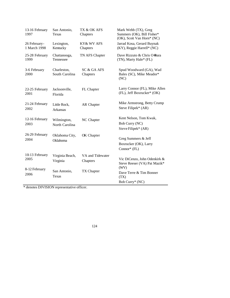| 13-16 February<br>1997        | San Antonio,<br><b>Texas</b>    | TX & OK AFS<br>Chapters      | Mark Webb (TX), Greg<br>Summers (OK), Bill Fisher*<br>(OK), Scott Van Horn* (NC) |
|-------------------------------|---------------------------------|------------------------------|----------------------------------------------------------------------------------|
| 26 February -<br>1 March 1998 | Lexington,<br>Kentucky          | KY& WV AFS<br>Chapters       | Jarrad Kosa, Gerard Buynak<br>(KY), Reggie Harrell* (NC)                         |
| 25-28 February<br>1999        | Chattanooga,<br>Tennessee       | TN AFS Chapter               | Dave Rizzuto & Chris O=Bara<br>(TN), Marty Hale* (FL)                            |
| 3-6 February<br>2000          | Charleston,<br>South Carolina   | SC & GA AFS<br>Chapters      | Spud Woodward (GA), Wad<br>Bales (SC), Mike Meador*<br>(NC)                      |
| 22-25 February<br>2001        | Jacksonville,<br>Florida        | FL Chapter                   | Larry Connor (FL), Mike Allen<br>(FL), Jeff Boxrucker* (OK)                      |
| 21-24 February<br>2002        | Little Rock,<br><b>Arkansas</b> | AR Chapter                   | Mike Armstrong, Betty Crump<br>Steve Filipek* (AR)                               |
| 12-16 February<br>2003        | Wilmington,<br>North Carolina   | NC Chapter                   | Kent Nelson, Tom Kwak,<br>Bob Curry (NC)<br>Steve Filipek* (AR)                  |
| 26-29 February<br>2004        | Oklahoma City,<br>Oklahoma      | OK Chapter                   | Greg Summers & Jeff<br>Boxrucker (OK), Larry<br>Connor $*$ (FL)                  |
| 10-13 February<br>2005        | Virginia Beach,<br>Virginia     | VA and Tidewater<br>Chapters | Vic DiCenzo, John Odenkirk &<br>Steve Reeser (VA) Pat Mazik*<br>(WV)             |
| 8-12 February<br>2006         | San Antonio,<br>Texas           | TX Chapter                   | Dave Terre & Tim Bonner<br>(TX)<br>Bob Curry* (NC)                               |

\* denotes DIVISION representative officer.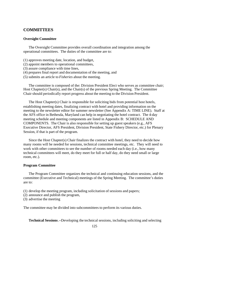## **COMMITTEES**

#### **Oversight Committee**

The Oversight Committee provides overall coordination and integration among the operational committees. The duties of the committee are to:

- (1) approves meeting date, location, and budget,
- (2) appoint members to operational committees,
- (3) assure compliance with time lines,
- (4) prepares final report and documentation of the meeting, and
- (5) submits an article to *Fisheries* about the meeting.

The committee is composed of the: Division President Elect who serves as committee chair; Host Chapter(s) Chair(s), and the Chair(s) of the previous Spring Meeting. The Committee Chair should periodically report progress about the meeting to the Division President.

The Host Chapter(s) Chair is responsible for soliciting bids from potential host hotels, establishing meeting dates, finalizing contract with hotel and providing information on the meeting to the newsletter editor for summer newsletter (See Appendix A: TIME LINE). Staff at the AFS office in Bethesda, Maryland can help in negotiating the hotel contract. The 4-day meeting schedule and meeting components are listed in Appendix B: SCHEDULE AND COMPONENTS. The Chair is also responsible for setting up guest speakers (e.g., AFS Executive Director, AFS President, Division President, State Fishery Director, etc.) for Plenary Session, if that is part of the program.

Since the Host Chapter(s) Chair finalizes the contract with hotel, they need to decide how many rooms will be needed for sessions, technical committee meetings, etc. They will need to work with other committees to see the number of rooms needed each day (i.e., how many technical committees will meet, do they meet for full or half day, do they need small or large room, etc.).

## **Program Committee**

The Program Committee organizes the technical and continuing education sessions, and the committee (Executive and Technical) meetings of the Spring Meeting. The committee's duties are to:

(1) develop the meeting program, including solicitation of sessions and papers;

- (2) announce and publish the program,
- (3) advertise the meeting

The committee may be divided into subcommittees to perform its various duties.

**Technical Sessions**.--Developing the technical sessions, including soliciting and selecting

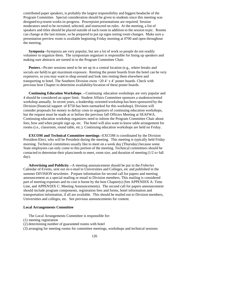contributed paper speakers, is probably the largest responsibility and biggest headache of the Program Committee. Special consideration should be given to students since this meeting was designed to p resent works-in-progress. Powerpoint presentations are required. Session moderators need to be recruited, selected, and instructed on rules. At the meeting, a list of speakers and titles should be placed outside of each room in addition to the session topic. Rooms can change at the last minute, so be prepared to put up signs noting room changes. Make sure a presentation preview room is available beginning Friday morning at 0700 and open throughout the meeting.

**Symposia**--Symposia are very popular, but are a lot of work so people do not readily volunteer to organize them. The symposium organizer is responsible for lining up speakers and making sure abstracts are turned in to the Program Committee Chair.

**Posters**.*--*Po ster sessions need to be set up in a central location (e.g., where breaks and socials are held) to get maximum exposure. Renting the poster boards from the hotel can be very expensive, so you may want to shop around and look into renting them elsewhere and transporting to hotel. The Southern Division owns ~20 4' x 4' poster boards. Check with previous host Chapter to determine availability/location of these poster boards.

**Continuing Education Workshops** .--Continuing education workshops are very popular and 4 should be considered an upper limit. Student Affairs Committee sponsors a student-oriented workshop annually. In recent years, a leadership -oriented workshop has been sponsored by the Division (financial support of \$750 has been earmarked for this workshop). Division will consider proposals for money to defray costs to organizers of continuing education workshops, but the request must be made at or before the previous fall Officers Meeting at SEAFWA. Continuing education workshop organizers need to inform the Program Committee Chair about fees, how and when people sign up, etc. The hotel will also want to know table arrangement for rooms (i.e., classroom, round table, etc.). Continuing education workshops are held on Friday.

**EXCOM and Technical Committee meetings**--EXCOM is coordinated by the Division President-Elect, who will be President during the meeting. This meeting is typically held Friday morning. Technical committees usually like to meet on a week day (Thursday) because some State employees can only come to this portion of the meeting. Technical committees should be contacted to determine their plans/needs to meet, room size, and duration of meeting (1/2 or full day).

**Advertising and Publicity**.--A meeting announcement should be put in the *Fisheries* Calendar of Events, sent out on e-mail to Universities and Colleges, etc and published in the summer DIVISION newsletter. Prepare information for second call for papers and meeting announcement as a special mailing or email to Division members. This mailing is considered part of meeting expenses and its cost is borne by the host Chapter(s) (See APPENDIX A: Time Line, and APPENDIX C: Meeting Announcements). The second call for papers announcement should include program components, registration fees and forms, hotel information and transportation information, if all are available. This should be mailed out to Division members, Universities and colleges, etc. See previous announcements for content.

#### **Local Arrangements Committee**

The Local Arrangements Committee is responsible for:

(1) meeting registration

(2) determining number of guaranteed rooms with hotel

(3) arranging for meeting rooms for committee meetings, workshops and technical sessions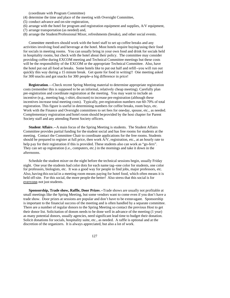(coordinate with Program Committee)

- (4) determine the time and place of the meeting with Oversight Committee,
- (5) conduct advance and on-site registration,
- (6) arrange with the hotel for program and registration equipment and supplies, A/V equipment,
- (7) arrange transportation (as needed) and,
- (8) arrange the Student/Professional Mixer, refreshments (breaks), and other social events.

Committee memb ers should work with the hotel staff to set up coffee breaks and any activities involving food and beverage at the hotel. Most hotels require buying/using their food for socials in meeting rooms. You can usually bring in your own food and drink for socials held in hospitality rooms, but check with the hotel about their policy. The committee may consider providing coffee during EXCOM meeting and Technical Committee meetings but these costs will be the responsibility of the EXCOM or the appropriate Technical Committee. Also, have the hotel put out all food at breaks. Some hotels like to put out half and refill--you will run out quickly this way during a 15 minute break. Get quote for food in writing!! One meeting asked for 300 snacks and got snacks for 300 people--a big difference in price!

**Registration**.—Check recent Spring Meeting material to determine appropriate registration costs (remember this is supposed to be an informal, relatively cheap meeting). Carefully plan pre-registration and coordinate registration at the meeting. You may want to include an incentive (e.g., meeting bag, t-shirt, discount) to increase pre-registration (although these incentives increase total meeting costs). Typically, pre-registration numbers run 60-70% of total registration. This figure is useful in determining numbers for coffee breaks, room buys, etc. Work with the Finance and Oversight committees to set fees for one-day, spouse, etc., as needed. Complementary registration and hotel room should be provided by the host chapter for Parent Society staff and any attending Parent Society officers.

**Student Affairs**.--A main focus of the Spring Meeting is students. The Student Affairs Committee provides partial funding for the student social and has free rooms for students at the meeting. Contact the Committee Chair to coordinate applications for the free rooms. Students should be prepared to register at full price, then work A/V, registration, etc., at an hourly rate to help pay for their registration if this is provided. These students also can work as "go-fers". They can set up registration (i.e., computers, etc.) in the mornings and take it down in the afternoons.

Schedule the student mixer on the night before the technical sessions begin, usually Friday night. One year the students had color dots for each name tag--one color for students, one color for professors, biologists, etc. It was a good way for people to find jobs, major professors, etc. Also, having this social in a meeting room means paying for hotel food, which often means it is held off-site. For this social, the more people the better! Also stress that this social is for everyone, not just students.

**Sponsorship, Trade show, Raffle, Door Prizes**.--Trade shows are usually not profitable at small meetings like the Spring Meeting, but some vendors want to come even if you don't have a trade show. Door prizes at sessions are popular and don't have to be extravagant. Sponsorship is important to the financial success of the meeting and is often handled by a separate committee. There are a number of regular donors to the Spring Meeting so contact the previous Host to get their donor list. Solicitation of donors needs to be done well in advance of the meeting (1 year) as many potential donors, usually agencies, need significant lead time to budget their donation. Solicit donations for socials, hospitality suite, etc., as needed. A raffle is optional and at the discretion of the organizers. It is always appreciated, but also a lot of work.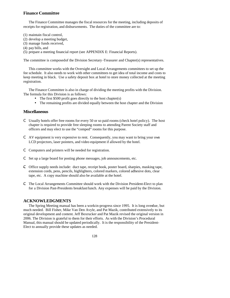## **Finance Committee**

The Finance Committee manages the fiscal resources for the meeting, including deposits of receipts for registration, and disbursements. The duties of the committee are to:

(1) maintain fiscal control,

- (2) develop a meeting budget,
- (3) manage funds received,
- (4) pay bills, and

(5) prepare a meeting financial report (see APPENDIX E: Financial Reports).

The committee is composed of the Division Secretary -Treasurer and Chapter(s) representatives.

This committee works with the Oversight and Local Arrangements committees to set up the fee schedule. It also needs to work with other committees to get idea of total income and costs to keep meeting in black. Use a safety deposit box at hotel to store money collected at the meeting registration.

The Finance Committee is also in charge of dividing the meeting profits with the Division. The formula for this Division is as follows:

- The first \$500 profit goes directly to the host chapter(s)
- The remaining profits are divided equally between the host chapter and the Division

## **Miscellaneous**

- C Usually hotels offer free rooms for every 50 or so paid rooms (check hotel policy). The host chapter is required to provide free sleeping rooms to attending Parent Society staff and officers and may elect to use the "comped" rooms for this purpose.
- C AV equipment is very expensive to rent. Consequently, you may want to bring your own LCD projectors, laser pointers, and video equipment if allowed by the hotel.
- C Computers and printers will be needed for registration.
- C Set up a large board for posting phone messages, job announcements, etc.
- $\epsilon$  Office supply needs include: duct tape, receipt book, poster board, sharpies, masking tape, extension cords, pens, pencils, highlighters, colored markers, colored adhesive dots, clear tape, etc. A copy machine should also be available at the hotel.
- C The Local Arrangements Committee should work with the Division President-Elect to plan for a Division Past-Presidents breakfast/lunch. Any expenses will be paid by the Division.

## **ACKNOWLEDGMENTS**

The Spring Meeting manual has been a work-in-progress since 1995. It is long overdue, but much needed. Bill Fisher, Mike Van Den Avyle, and Pat Mazik, contributed extensively to its original development and content. Jeff Boxrucker and Pat Mazik revised the original version in 2006. The Division is grateful to them for their efforts. As with the Division's Procedural Manual, this manual should be updated periodically. It is the responsibility of the President-Elect to annually provide these updates as needed.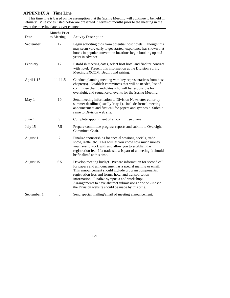## **APPENDIX A: Time Line**

This time line is based on the assumption that the Spring Meeting will continue to be held in February. Milestones listed below are presented in terms of months prior to the meeting in the event the meeting date is ever changed.

| Date        | Months Prior<br>to Meeting | <b>Activity Description</b>                                                                                                                                                                                                                                                                                                                                                                                    |
|-------------|----------------------------|----------------------------------------------------------------------------------------------------------------------------------------------------------------------------------------------------------------------------------------------------------------------------------------------------------------------------------------------------------------------------------------------------------------|
| September   | 17                         | Begin soliciting bids from potential host hotels. Though this<br>may seem very early to get started, experience has shown that<br>hotels in popular convention locations begin booking up to 2<br>years in advance.                                                                                                                                                                                            |
| February    | 12                         | Establish meeting dates, select host hotel and finalize contract<br>with hotel. Present this information at the Division Spring<br>Meeting EXCOM. Begin fund raising.                                                                                                                                                                                                                                          |
| April 1-15  | $11 - 11.5$                | Conduct planning meeting with key representatives from host<br>chapter(s). Establish committees that will be needed, list of<br>committee chair candidates who will be responsible for<br>oversight, and sequence of events for the Spring Meeting.                                                                                                                                                            |
| May 1       | 10                         | Send meeting information to Division Newsletter editor by<br>summer deadline (usually May 1). Include formal meeting<br>announcement and first call for papers and symposia. Submit<br>same to Division web site.                                                                                                                                                                                              |
| June 1      | 9                          | Complete appointment of all committee chairs.                                                                                                                                                                                                                                                                                                                                                                  |
| July 15     | 7.5                        | Prepare committee progress reports and submit to Oversight<br>Committee Chair.                                                                                                                                                                                                                                                                                                                                 |
| August 1    | 7                          | Finalize sponsorships for special sessions, socials, trade<br>show, raffle, etc. This will let you know how much money<br>you have to work with and allow you to establish the<br>registration fee. If a trade show is part of a meeting, it should<br>be finalized at this time.                                                                                                                              |
| August 15   | 6.5                        | Develop meeting budget. Prepare information for second call<br>for papers and announcement as a special mailing or email.<br>This announcement should include program components,<br>registration fees and forms, hotel and transportation<br>information. Finalize symposia and workshops.<br>Arrangements to have abstract submissions done on-line via<br>the Division website should be made by this time. |
| September 1 | 6                          | Send special mailing/email of meeting announcement.                                                                                                                                                                                                                                                                                                                                                            |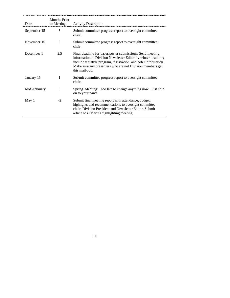| Date         | <b>Months Prior</b><br>to Meeting | <b>Activity Description</b>                                                                                                                                                                                                                                                  |
|--------------|-----------------------------------|------------------------------------------------------------------------------------------------------------------------------------------------------------------------------------------------------------------------------------------------------------------------------|
| September 15 | 5                                 | Submit committee progress report to oversight committee<br>chair.                                                                                                                                                                                                            |
| November 15  | 3                                 | Submit committee progress report to oversight committee<br>chair.                                                                                                                                                                                                            |
| December 1   | 2.5                               | Final deadline for paper/poster submissions. Send meeting<br>information to Division Newsletter Editor by winter deadline;<br>include tentative program, registration, and hotel information.<br>Make sure any presenters who are not Division members get<br>this mail-out. |
| January 15   | 1                                 | Sub mit committee progress report to oversight committee<br>chair.                                                                                                                                                                                                           |
| Mid-February | $\Omega$                          | Spring Meeting! Too late to change anything now. Just hold<br>on to your pants.                                                                                                                                                                                              |
| May 1        | $-2$                              | Submit final meeting report with attendance, budget,<br>highlights and recommendations to oversight committee<br>chair, Division President and Newsletter Editor. Submit<br>article to <i>Fisheries</i> highlighting meeting.                                                |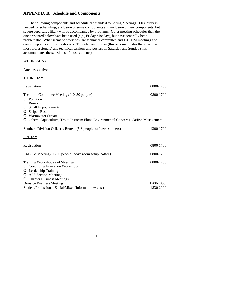## **APPENDIX B. Schedule and Components**

The following components and schedule are standard to Spring Meetings. Flexibility is needed for scheduling, exclusion of some components and inclusion of new components, but severe departures likely will be accompanied by problems. Other meeting schedules than the one presented below have been used (e.g., Friday-Monday), but have generally been problematic. What seems to work best are technical committee and EXCOM meetings and continuing education workshops on Thursday and Friday (this accommodates the schedules of most professionals) and technical sessions and posters on Saturday and Sunday (this accommodates the schedules of most students).

## **WEDNESDAY**

Attendees arrive

#### **THURSDAY**

| Registration                                                                                                                                                                           | 0800-1700              |
|----------------------------------------------------------------------------------------------------------------------------------------------------------------------------------------|------------------------|
| Technical Committee Meetings (10-30 people)<br>C<br>Pollution<br>C<br>Reservoir<br>C<br>Small Impoundments<br>C<br><b>Striped Bass</b><br>C<br>Warmwater Stream                        | 0800-1700              |
| Others: Aquaculture, Trout, Instream Flow, Environmental Concerns, Catfish Management<br>C                                                                                             |                        |
| Southern Division Officer's Retreat $(5-8 \text{ people}, \text{ officers} + \text{others})$                                                                                           | 1300-1700              |
| <b>FRIDAY</b>                                                                                                                                                                          |                        |
| Registration                                                                                                                                                                           | 0800-1700              |
| EXCOM Meeting (30-50 people, board room setup, coffee)                                                                                                                                 | 0800-1200              |
| Training Workshops and Meetings<br><b>Continuing Education Workshops</b><br>C<br>C<br>Leadership Training<br><b>AFS</b> Section Meetings<br>C<br><b>Chapter Business Meetings</b><br>C | 0800-1700              |
| <b>Division Business Meeting</b><br>Student/Professional Social/Mixer (informal, low cost)                                                                                             | 1700-1830<br>1830-2000 |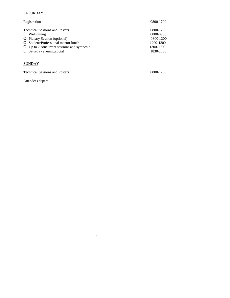## **SATURDAY**

| Registration                                                                                                  | 0800-1700                           |
|---------------------------------------------------------------------------------------------------------------|-------------------------------------|
| <b>Technical Sessions and Posters</b><br>Welcoming<br>Plenary Session (optional)<br>C                         | 0800-1700<br>0800-0900<br>0800-1200 |
| Student/Professional mentor lunch<br>Up to 7 concurrent sessions and symposia<br>C<br>Saturday evening social | 1200-1300<br>1300-1700<br>1830-2000 |
|                                                                                                               |                                     |

## **SUNDAY**

Technical Sessions and Posters 0800-1200

Attendees depart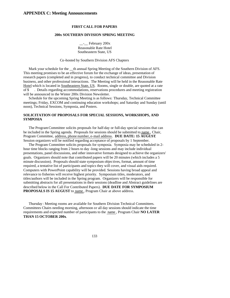#### **FIRST CALL FOR PAPERS**

#### **200x SOUTHERN DIVISION SPRING MEETING**

\_\_-\_\_ February 200x Reasonable Rate Hotel Southeastern State, US

#### Co-hosted by Southern Division AFS Chapters

Mark your schedule for the \_\_th annual Spring Meeting of the Southern Division of AFS. This meeting promises to be an effective forum for the exchange of ideas, presentation of research papers (completed and in progress), to conduct technical committee and Division business, and other professional interactions. The Meeting will be held in the Reasonable Rate Hotel which is located in Southeastern State, US. Rooms, single or double, are quoted at a rate of \$ . Details regarding accommodations, reservations procedures and meeting registration will be announced in the Winter 200x Division Newsletter.

Schedule for the upcoming Spring Meeting is as follows: Thursday, Technical Committee meetings; Friday, EXCOM and continuing education workshops; and Saturday and Sunday (until noon), Technical Sessions, Symposia, and Posters.

## **SOLICITATION OF PROPOSALS FOR SPECIAL SESSIONS, WORKSHOPS, AND SYMPOSIA**

The Program Committee solicits proposals for half-day or full-day special sessions that can be included in the Spring agenda. Proposals for sessions should be submitted to name , Chair, Program Committee, address, phone number, e-mail address. **DUE DATE: 15 AUGUST**. Session organizers will be notified regarding acceptance of proposals by 1 September.

The Program Committee solicits proposals for symposia. Symposia may be scheduled in 2 hour time blocks ranging from 2 hours to day -long sessions and may include individual presentations, panel discussions, and other innovative formats designed to achieve the organizers' goals. Organizers should note that contributed papers will be 20 minutes (which includes a 5 minute discussion). Proposals should state symposium objectives, format, amount of time required, a tentative list of participants and topics they will cover, and visual aids required. Computers with PowerPoint capability will be provided. Sessions having broad appeal and relevance to fisheries will receive highest priority. Symposium titles, moderators, and titles/authors will be included in the Spring program. Organizers will be responsible for submitting abstracts for all presentations in their sessions (deadline and Abstract guidelines are described below in the Call For Contributed Papers). **DUE DATE FOR SYMPOSIUM PROPOSALS IS 15 AUGUST** to name , Program Chair at above address.

Thursday : Meeting rooms are available for Southern Division Technical Committees. Committees Chairs needing morning, afternoon or all day sessions should indicate the time requirements and expected number of participants to the name , Program Chair **NO LATER THAN 15 OCTOBER 200x**.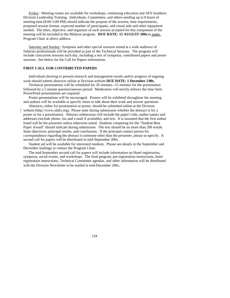Friday: Meeting rooms are available for workshops, continuing education and AFS Southern Division Leadership Training. Individuals, Committees, and others needing up to 8 hours of meeting time (8:00-5:00 PM) should indicate the purpose of the session, time requirements, proposed session format, expected number of participants, and visual aids and other equipment needed. The titles, objective, and organizer of each session accepted for this component of the meeting will be included in the Midyear program. **DUE DATE: 15 AUGUST 200x** to name , Program Chair at above address.

Saturday and Sunday: Symposia and other special sessions aimed at a wide audience of fisheries professionals will be provided as part of the Technical Sessions. The program will include concurrent sessions each day, including a mix of symposia, contributed papers and poster sessions. See below for the Call for Papers information.

#### **FIRST CALL FOR CONTRIBUTED PAPERS**

Individuals desiring to present research and management results and/or progress of ongoing work should submit abstracts online at Division website **DUE DATE: 1 December 2 00x.**

Technical presentations will be scheduled for 20 minutes--15 minutes for the presentation followed by a 5 minute question/answer period. Moderators will strictly enforce the time limit. PowerPoint presentations are required.

Poster presentations will be encouraged. Posters will be exhibited throughout the meeting and authors will be available at specific times to talk about their work and answer questions.

Abstracts, either for presentation or poster, should be submitted online at the Division website (http://www.sdafs.org). Please state during submission whether the abstract is for a poster or for a presentation. Abstract submission will include the paper's title, author names and addresses (include phone, fax and e-mail if available), and text. It is assumed that the first author listed will be the presenter unless otherwise noted. Students competing for the "Student Best Paper Award" should indicate during submission. The text should be no more than 200 words. State objectives, principal results, and conclusions. If the principal contact person for correspondence regarding the abstract is someone other than the presenter, please so specify. A second call for papers will be distributed in mid-September 200x.

Student aid will be available for interested students. Please see details in the September and December mailings or contact the Program Chair.

The mid-September second call for papers will include information on Hotel registration, symposia, social events, and workshops. The final program, pre-registration instructions, hotel registration instructions, Technical Committee agendas, and other information will be distributed with the Division Newsletter to be mailed in mid-December 200x.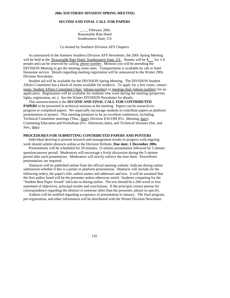#### **SECOND AND FINAL CALL FOR PAPERS**

\_\_-\_\_ February 200x Reasonable Rate Hotel Southeastern State, US

Co-hosted by Southern Division AFS Chapters

As announced in the Summer Southern Division AFS Newsletter, the 200x Spring Meeting will be held at the Reasonable Rate Hotel, Southeastern State, US . Rooms will be \$ for 1-4 people and can be reserved by calling phone number . Mention you will be attending the DIVISION Meeting to get the meeting room rates. Transportation is available by cab or hotel limousine service. Details regarding meeting registration will be announced in the Winter 200x Division Newsletter.

Student aid will be available for the DIVISION Spring Meeting. The DIVISION Student Affairs Committee has a block of rooms available for studen ts. To apply for a free room, contact name, Student Affairs Committee Chair (phone number) or meeting chair (phone number) for an application. Registration will be available for students who work during the meeting (projectors lights, registration, etc.). See the Winter DIVISION Newsletter for details.

This announcement is the **SECOND AND FINAL CALL FOR CONTRIBUTED PAPERS** to be presented in technical sessions at the meeting. Papers can be research-inprogress or completed papers. We especially encourage students to contribute papers as platform presentations or posters. This meeting promises to be an excellent conference, including Technical Committee meetings (Thur., date), Division EXCOM (Fri.. Morning, date), Continuing Education and Workshops (Fri. Afternoon, date), and Technical Sessions (Sat. and Sun., date).

#### **PROCEDURES FOR SUBMITTING CONTRIBUTED PAPERS AND POSTERS**

Individual desiring to present research and management results or progress with ongoing work should submit abstracts online at the Division Website, **Due date: 1 December 200x**.

Presentations will be scheduled for 20 minutes, 15 minute presentation followed by 5 minute question/answer period. Moderators will encourage a lively discussion during the 5-minute period after each presentation. Moderators will strictly enforce the time limit. PowerPoint presentations are required.

Abstracts will be published online from the official meeting website. Indicate during online submission whether if this is a poster or platform presentation. Abstracts will include (in the following order), the paper's title, author names and addresses and text. It will be assumed that the first author listed will be the presenter unless otherwise noted. Students competing for the "Student Best Paper Award" ind icate so during online. The text should be a 200-word or less statement of objectives, principal results and conclusions. If the principal contact person for correspondence regarding the abstract is someone other than the presenter, please so specify.

Authors will be notified regarding acceptance of presentation in January. The final program, pre-registration, and other information will be distributed with the Winter Division Newsletter.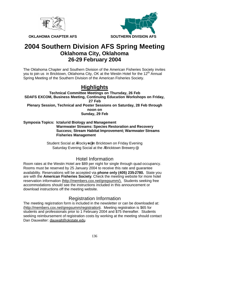



**OKLAHOMA CHAPTER AFS SOUTHERN DIVISION AFS** 

# **2004 Southern Division AFS Spring Meeting Oklahoma City, Oklahoma 26-29 February 2004**

The Oklahoma Chapter and Southern Division of the American Fisheries Society invites you to join us in Bricktown, Oklahoma City, OK at the Westin Hotel for the 12<sup>th</sup> Annual Spring Meeting of the Southern Division of the American Fisheries Society.

# **Highlights**

**Technical Committee Meetings on Thursday, 26 Feb SDAFS EXCOM, Business Meeting, Continuing Education Workshops on Friday, 27 Feb Plenary Session, Technical and Poster Sessions on Saturday, 28 Feb through noon on Sunday, 29 Feb**

**Symposia Topics: Ictalurid Biology and Management Warmwater Streams: Species Restoration and Recovery Success; Stream Habitat Improvement; Warmwater Streams Fisheries Management**

## Student Social at ARocky-s@in Bricktown on Friday Evening Saturday Evening Social at the ABricktown Brewery @

# Hotel Information

Room rates at the Westin Hotel are \$89 per night for single through quad occupancy. Rooms must be reserved by 25 January 2004 to receive this rate and guarantee availability. Reservations will be accepted via **phone only (405) 235-2780.** State you are with the **American Fisheries Society**. Check the meeting website for more hotel reservation information (http://members.cox.net/gregsumm/). Students seeking free accommodations should see the instructions included in this announcement or download instructions off the meeting website.

# Registration Information

The meeting registration form is included in the newsletter or can be downloaded at: (http://members.cox.net/gregsumm/registration). Meeting registration is \$65 for students and professionals prior to 1 February 2004 and \$75 thereafter. Students seeking reimbursement of registration costs by working at the meeting should contact Dan Dauwalter: dauwalt@okstate.edu.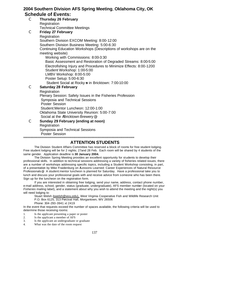## **2004 Southern Division AFS Spring Meeting**, **Oklahoma City, OK Schedule of Events:**

## C **Thursday 26 February Registration** Technical Committee Meetings C **Friday 27 February Registration** Southern Division EXCOM Meeting: 8:00-12:00 Southern Division Business Meeting: 5:00-6:30 Continuing Education Workshops (Descriptions of workshops are on the meeting website) Working with Commissions: 8:00-3:30 Basic Assessment and Restoration of Degraded Streams: 8:00-5:00 Electrofishing Injury and Procedures to Minimize Effects: 8:00-1200 Student Workshop: 1:00-5:00 LMBV Workshop: 8:00-5:00 Poster Setup: 5:00-6:30 Student Social at Rocky s in Bricktown: 7:00-10:00 C **Saturday 28 February** Registration Plenary Session: Safety Issues in the Fisheries Profession Symposia and Technical Sessions Poster Session Student:Mentor Luncheon: 12:00-1:00 Oklahoma State University Reunion: 5:00-7:00 Social at the ABricktown Brewery @ C **Sunday 29 February (ending at noon) Registration** Symposia and Technical Sessions

Poster Session

\*\*\*\*\*\*\*\*\*\*\*\*\*\*\*\*\*\*\*\*\*\*\*\*\*\*\*\*\*\*\*\*\*\*\*\*\*\*\*\*\*\*\*\*\*\*\*\*\*\*\*\*\*\*\*\*\*\*\*\*\*\*\*\*\*\*\*\*\*\*\*\*\*\*\*\*\*\*

## **ATTENTION STUDENTS**

The Division Student Affairs Committee has reserved a block of rooms for free student lodging. Free student lodging will be for 2 nights; 27and 28 Feb. Each room will be shared by 4 students of the same gender. Application deadline is **30 January 2004.**

The Division Spring Meeting provides an excellent opportunity for students to develop their professional skills. In addition to technical sessions addressing a variety of fisheries related issues, there are a number of workshops addressing specific topics, including a Student Workshop consisting, in part, of a presentation by Mike Fraidenburg on ALessons Learned: Career Experiences of Natural Resource Professionals@. A student:mentor luncheon is planned for Saturday. Have a professional take you to lunch and discuss your professional goals with and receive advice from someone who has been there. Sign up for the luncheon on the registration form.

If you are interested in obtaining free lodging, send your name, address, contact phone number, e-mail address, school, gender, status (graduate, undergraduate), AFS member number (located on your *Fisheries* mailing label), and a statement about why you wish to attend the meeting and the night(s) you will need lodging to:

Stuart Welsh (swelsh@wvu.edu), West Virginia Cooperative Fish and Wildlife Research Unit P.O. Box 6125, 313 Percival Hall, Morgantown, WV 26506

Phone: 304-293-3941 xt 2419

In the event that requests exceed the number of spaces available, the following criteria will be used to determine those receiving rooms:

- 1. Is the applicant presenting a paper or poster<br>2. Is the applicant a member of AFS
- 2. Is the applicant a member of AFS<br>3. Is the applicant an undergraduate
- Is the applicant an undergraduate or graduate
- 4. What was the date of the room request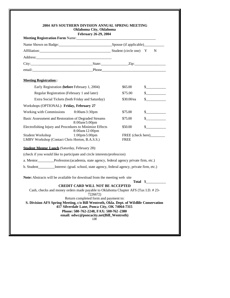| Meeting Registration Form Name:                                                               | <b>February 26-29, 2004</b>                                                              |                                  |                                                                                                                                                                                                                                                                                                                                                                              |
|-----------------------------------------------------------------------------------------------|------------------------------------------------------------------------------------------|----------------------------------|------------------------------------------------------------------------------------------------------------------------------------------------------------------------------------------------------------------------------------------------------------------------------------------------------------------------------------------------------------------------------|
|                                                                                               |                                                                                          |                                  |                                                                                                                                                                                                                                                                                                                                                                              |
| Affiliation: Natural March 2012 Student (circle one) Y N                                      |                                                                                          |                                  |                                                                                                                                                                                                                                                                                                                                                                              |
|                                                                                               |                                                                                          |                                  |                                                                                                                                                                                                                                                                                                                                                                              |
| City: State: Zip: Zip:                                                                        |                                                                                          |                                  |                                                                                                                                                                                                                                                                                                                                                                              |
|                                                                                               |                                                                                          |                                  |                                                                                                                                                                                                                                                                                                                                                                              |
| <b>Meeting Registration:</b>                                                                  |                                                                                          |                                  |                                                                                                                                                                                                                                                                                                                                                                              |
| Early Registration (before February 1, 2004)                                                  |                                                                                          | \$65.00                          | $\frac{\text{S}}{\text{S}}$                                                                                                                                                                                                                                                                                                                                                  |
| Regular Registration (February 1 and later)                                                   |                                                                                          | \$75.00                          | s                                                                                                                                                                                                                                                                                                                                                                            |
| Extra Social Tickets (both Friday and Saturday)                                               |                                                                                          | $$30.00$ /ea                     | s                                                                                                                                                                                                                                                                                                                                                                            |
| Workshops (OPTIONAL): Friday, February 27                                                     |                                                                                          |                                  |                                                                                                                                                                                                                                                                                                                                                                              |
| Working with Commissions                                                                      | 8:00am-3:30pm                                                                            | \$75.00                          | $\frac{\S_{\frac{1}{2}}}{\S_{\frac{1}{2}}}{\S_{\frac{1}{2}}}{\S_{\frac{1}{2}}}{\S_{\frac{1}{2}}}{\S_{\frac{1}{2}}}{\S_{\frac{1}{2}}}{\S_{\frac{1}{2}}}{\S_{\frac{1}{2}}}{\S_{\frac{1}{2}}}{\S_{\frac{1}{2}}}{\S_{\frac{1}{2}}}{\S_{\frac{1}{2}}}{\S_{\frac{1}{2}}}{\S_{\frac{1}{2}}}{\S_{\frac{1}{2}}}{\S_{\frac{1}{2}}}{\S_{\frac{1}{2}}}{\S_{\frac{1}{2}}}{\S_{\frac{1}{2$ |
| Basic Assessment and Restoration of Degraded Streams                                          | 8:00am 5:00pm                                                                            | \$75.00                          | s                                                                                                                                                                                                                                                                                                                                                                            |
| Electrofishing Injury and Procedures to Minimize Effects                                      | 8:00am 12:00pm                                                                           | \$50.00                          |                                                                                                                                                                                                                                                                                                                                                                              |
| Student Workshop<br>LMBV Workshop (Contact Chris Horton, B.A.S.S.)                            | $1:00 \text{pm} 5:00 \text{pm}$                                                          | FREE (check here)<br><b>FREE</b> |                                                                                                                                                                                                                                                                                                                                                                              |
| <b>Student Mentor Lunch</b> (Saturday, February 28):                                          |                                                                                          |                                  |                                                                                                                                                                                                                                                                                                                                                                              |
| (check if you would like to participate and circle interests/profession)                      |                                                                                          |                                  |                                                                                                                                                                                                                                                                                                                                                                              |
| a. Mentor_________Profession:(academia, state agency, federal agency private firm, etc.)      |                                                                                          |                                  |                                                                                                                                                                                                                                                                                                                                                                              |
| b. Student_________Interest: (grad. school, state agency, federal agency, private firm, etc.) |                                                                                          |                                  |                                                                                                                                                                                                                                                                                                                                                                              |
| Note: Abstracts will be available for download from the meeting web site                      |                                                                                          |                                  |                                                                                                                                                                                                                                                                                                                                                                              |
|                                                                                               | <b>CREDIT CARD WILL NOT BE ACCEPTED</b>                                                  |                                  | Total \$                                                                                                                                                                                                                                                                                                                                                                     |
| Cash, checks and money orders made payable to Oklahoma Chapter AFS (Tax I.D. #23-             | 7226672)                                                                                 |                                  |                                                                                                                                                                                                                                                                                                                                                                              |
| S. Division AFS Spring Meeting, c/o Bill Wentroth, Okla. Dept. of Wildlife Conservation       | Return completed form and payment to:                                                    |                                  |                                                                                                                                                                                                                                                                                                                                                                              |
|                                                                                               | 417 Silverdale Lane, Ponca City, OK 74064-7315<br>Phone: 580-762-2248, FAX: 580-762-2380 |                                  |                                                                                                                                                                                                                                                                                                                                                                              |
|                                                                                               | email: odwc@poncacity.net(Bill_Wentroth)                                                 |                                  |                                                                                                                                                                                                                                                                                                                                                                              |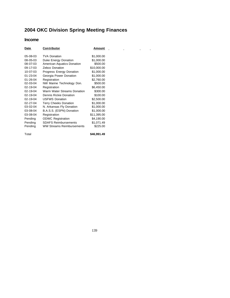# **2004 OKC Division Spring Meeting Finances**

## **Income**

| Date           | Contributor                      | Amount      |  |
|----------------|----------------------------------|-------------|--|
| 05-08-03       | <b>TVA Donation</b>              | \$1,000.00  |  |
| 08-05-03       | Duke Energy Donation             | \$1,000.00  |  |
| 08-07-03       | American Aquatics Donation       | \$500.00    |  |
| 09-17-03       | Zebco Donation                   | \$10,000.00 |  |
| 10-07-03       | Progress Energy Donation         | \$1,000.00  |  |
| $01 - 23 - 04$ | Georgia Power Donation           | \$1,000.00  |  |
| $01 - 26 - 04$ | Registration                     | \$2,760.00  |  |
| 02-03-04       | NW Marine Technology Don.        | \$500.00    |  |
| 02-19-04       | Registration                     | \$6,450.00  |  |
| 02-19-04       | Warm Water Streams Donation      | \$300.00    |  |
| 02-19-04       | Dennis Rickie Donation           | \$100.00    |  |
| 02-19-04       | <b>USFWS Donation</b>            | \$2,500.00  |  |
| $02 - 27 - 04$ | <b>Terry Cheeks Donation</b>     | \$1,000.00  |  |
| 03-02-04       | N. Arkansas Fly Donation         | \$1,000.00  |  |
| 03-08-04       | B.A.S.S. (ESPN) Donation         | \$1,000.00  |  |
| 03-08-04       | Registration                     | \$11,395.00 |  |
| Pending        | <b>ODWC Registration</b>         | \$4,190.00  |  |
| Pending        | <b>SDAFS Reimbursements</b>      | \$1,071.49  |  |
| Pending        | <b>WW Streams Reimbursements</b> | \$225.00    |  |
|                |                                  |             |  |

Total **\$46,991.49** 

 $\frac{1}{\sqrt{2}}$ 

 $\mathcal{L}^{\mathcal{L}}(\mathcal{L}^{\mathcal{L}})$  and  $\mathcal{L}^{\mathcal{L}}(\mathcal{L}^{\mathcal{L}})$  and  $\mathcal{L}^{\mathcal{L}}(\mathcal{L}^{\mathcal{L}})$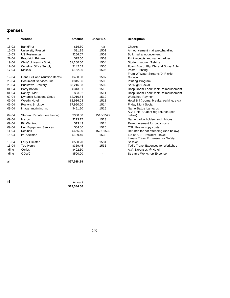# **Expenses**

| te         | Vendor                          | <b>Amount</b> | Check No.      | <b>Description</b>                        |
|------------|---------------------------------|---------------|----------------|-------------------------------------------|
| $-15 - 03$ | <b>BankFirst</b>                | \$16.50       | n/a            | Checks                                    |
| $-15 - 03$ | <b>University Presort</b>       | \$91.15       | 1501           | Announcement mail prep/handling           |
| $-15 - 03$ | <b>US Postmaster</b>            | \$266.07      | 1502           | Bulk mail announcement                    |
| $-22 - 04$ | <b>Braudrick Printery</b>       | \$75.00       | 1503           | Print receipts and name badges            |
| $-19 - 04$ | <b>Chris' University Spirit</b> | \$1,200.00    | 1504           | <b>Student subunit Tshirts</b>            |
| $-17 - 04$ | <b>Copelins Office Supply</b>   | \$142.62      | 1505           | Foam Board, Flip Chr and Spray Adhv       |
| $-17 - 04$ | Kinko's                         | \$152.06      | 1506           | Poster Printing                           |
|            |                                 |               |                | From W Water Streams/D. Rickie            |
| $-19 - 04$ | Gene Gilliland (Auction Items)  | \$400.00      | 1507           | Donation                                  |
| $-23 - 04$ | Document Services, Inc.         | \$345.06      | 1508           | Printing Program                          |
| $-28 - 04$ | <b>Bricktown Brewery</b>        | \$8,216.53    | 1509           | Sat Night Social                          |
| $-01 - 04$ | <b>Barry Bolton</b>             | \$313.61      | 1510           | Hosp Room Food/Drink Reimbursement        |
| $-01 - 04$ | Randy Hyler                     | \$33.32       | 1511           | Hosp Room Food/Drink Reimbursement        |
| $-02 - 04$ | <b>Dynamic Solutions Group</b>  | \$2,010.54    | 1512           | <b>Workshop Payment</b>                   |
| $-02 - 04$ | <b>Westin Hotel</b>             | \$2,936.03    | 1513           | Hotel Bill (rooms, breaks, parking, etc.) |
| $-02 - 04$ | Rocky's Bricktown               | \$7,950.00    | 1514           | <b>Friday Night Social</b>                |
| $-09 - 04$ | Image Imprinting Inc            | \$451.20      | 1515           | Name Badge Lanyards                       |
|            |                                 |               |                | A.V. Help-Student reg refunds (see        |
| $-09 - 04$ | Student Rebate (see below)      | \$350.00      | 1516-1522      | below)                                    |
| $-09 - 04$ | Marco                           | \$213.17      | 1523           | Name badge holders and ribbons            |
| $-09 - 04$ | <b>Bill Wentroth</b>            | \$13.43       | 1524           | Reimbursement for copy costs              |
| $-09 - 04$ | Unit Equipment Services         | \$54.00       | 1525           | OSU Poster copy costs                     |
| $-11 - 04$ | Refunds                         | \$465.00      | 1526-1532      | Refunds for not attending (see below)     |
| $-15 - 04$ | Ira Adelman                     | \$189.45      | 1533           | 1/2 of AFS President Travel               |
|            |                                 |               |                | Larry's Travel Expenses for Safety        |
| $-15 - 04$ | Larry Olmsted                   | \$500.20      | 1534           | Session                                   |
| $-15 - 04$ | <b>Ted Henry</b>                | \$359.45      | 1535           | Ted's Travel Expenses for Workshop        |
| nding      | Cories                          | \$402.50      | $\blacksquare$ | A.V. Expenses @ Hotel                     |
| nding      | ODWC                            | \$500.00      |                | <b>Streams Workshop Expense</b>           |
| tal        |                                 | \$27,646.89   |                |                                           |

**Pt** Amount **\$19,344.60**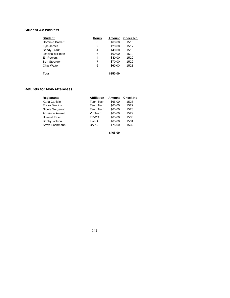## **Student AV workers**

| <b>Student</b>      | <b>Hours</b> | Amount   | Check No. |
|---------------------|--------------|----------|-----------|
| Dominic Barrett     | 6            | \$60.00  | 1516      |
| Kyle James          | 2            | \$20.00  | 1517      |
| Sandy Clark         | 4            | \$40.00  | 1518      |
| Jessica Milliman    | 6            | \$60.00  | 1519      |
| Eli Powers          | 4            | \$40.00  | 1520      |
| <b>Ben Stoerger</b> | 7            | \$70.00  | 1522      |
| Chip Walton         | 6            | \$60.00  | 1521      |
| Total               |              | \$350.00 |           |

## **Refunds for Non-Attendees**

| <b>Registrants</b>      | <b>Affiliation</b> | Amount  | Check No. |
|-------------------------|--------------------|---------|-----------|
| Karla Carlisle          | Tenn Tech          | \$65.00 | 1526      |
| Ericka Blev ins         | Tenn Tech          | \$65.00 | 1527      |
| Nicole Surgenor         | Tenn Tech          | \$65.00 | 1528      |
| <b>Adreinne Averett</b> | Vir Tech           | \$65.00 | 1529      |
| <b>Howard Elder</b>     | <b>TPWD</b>        | \$65.00 | 1530      |
| Bobby Wilson            | <b>TWRA</b>        | \$65.00 | 1531      |
| Steve Lochmann          | <b>UAPB</b>        | \$75.00 | 1532      |
|                         |                    |         |           |

**\$465.00**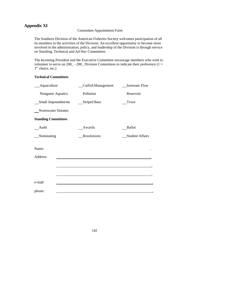# **Appendix XI**

## Committee Appointment Form

The Southern Division of the American Fisheries Society welcomes participation of all its members in the activities of the Division. An excellent opportunity to become more involved in the administration, policy, and leadership of the Division is through service on Standing, Technical and Ad Hoc Committees.

The incoming President and the Executive Committee encourage members who wish to volunteer to serve on 200<sub>\_</sub> - 200<sub>\_</sub> Division Committees to indicate their preference (1 = 1<sup>st</sup> choice, etc.)

## **Technical Committees**

| Aquaculture                |  | Catfish Management  | <b>Instream Flow</b>   |  |  |
|----------------------------|--|---------------------|------------------------|--|--|
| Nongame Aquatics           |  | Pollution           | Reservoir              |  |  |
| Small Impoundments         |  | <b>Striped Bass</b> | Trout                  |  |  |
| <b>Warmwater Streams</b>   |  |                     |                        |  |  |
| <b>Standing Committees</b> |  |                     |                        |  |  |
| Audit                      |  | Awards              | <b>Ballot</b>          |  |  |
| Nominating                 |  | Resolutions         | <b>Student Affairs</b> |  |  |
| Name:<br>Address:          |  |                     |                        |  |  |
|                            |  |                     |                        |  |  |
|                            |  |                     |                        |  |  |
| e-mail:                    |  |                     |                        |  |  |
| phone:                     |  |                     |                        |  |  |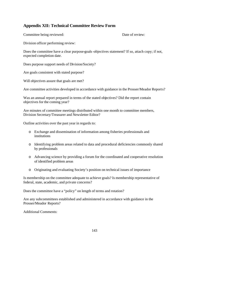## **Appendix XII: Technical Committee Review Form**

Committee being reviewed: Date of review:

Division officer performing review:

Does the committee have a clear purpose-goals-objectives statement? If so, attach copy; if not, expected completion date.

Does purpose support needs of Division/Society?

Are goals consistent with stated purpose?

Will objectives assure that goals are met?

Are committee activities developed in accordance with guidance in the Prosser/Meador Reports?

Was an annual report prepared in terms of the stated objectives? Did the report contain objectives for the coming year?

Are minutes of committee meetings distributed within one month to committee members, Division Secretary/Treasurer and Newsletter Editor?

Outline activities over the past year in regards to:

- o Exchange and dissemination of information among fisheries professionals and institutions
- o Identifying problem areas related to data and procedural deficiencies commonly shared by professionals
- o Advancing science by providing a forum for the coordinated and cooperative resolution of identified problem areas
- o Originating and evaluating Society's position on technical issues of importance

Is membership on the committee adequate to achieve goals? Is membership representative of federal, state, academic, and private concerns?

Does the committee have a "policy" on length of terms and rotation?

Are any subcommittees established and administered in accordance with guidance in the Prosser/Meador Reports?

Additional Comments: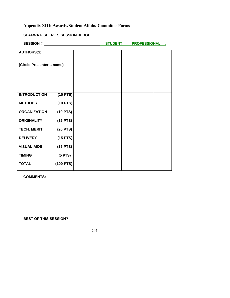# **Appendix XIII: Awards/Student Affairs Committee Forms**

| <b>SEAFWA FISHERIES SESSION JUDGE</b> |  |
|---------------------------------------|--|
|                                       |  |

| <b>SESSION#</b>           |             | <b>STUDENT</b> | <b>PROFESSIONAL .</b> |  |
|---------------------------|-------------|----------------|-----------------------|--|
| <b>AUTHORS(S)</b>         |             |                |                       |  |
| (Circle Presenter's name) |             |                |                       |  |
|                           |             |                |                       |  |
|                           |             |                |                       |  |
| <b>INTRODUCTION</b>       | $(10$ PTS)  |                |                       |  |
| <b>METHODS</b>            | $(10$ PTS)  |                |                       |  |
| <b>ORGANIZATION</b>       | $(10$ PTS)  |                |                       |  |
| <b>ORIGINALITY</b>        | $(15$ PTS)  |                |                       |  |
| <b>TECH. MERIT</b>        | $(20$ PTS)  |                |                       |  |
| <b>DELIVERY</b>           | $(15$ PTS)  |                |                       |  |
| <b>VISUAL AIDS</b>        | $(15$ PTS)  |                |                       |  |
| <b>TIMING</b>             | $(5$ PTS)   |                |                       |  |
| <b>TOTAL</b>              | $(100$ PTS) |                |                       |  |
|                           |             |                |                       |  |

**COMMENTS:**

**BEST OF THIS SESSION?**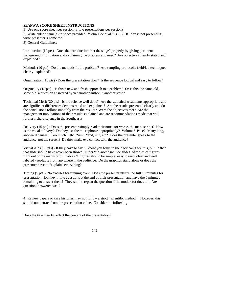### **SEAFWA SCORE SHEET INSTRUCTIONS**

1) Use one score sheet per session (3 to 6 presentations per session) 2) Write author name(s) in space provided. "John Doe et al." is OK. If John is not presenting, write presenter's name too.

3) General Guidelines:

Introduction (10 pts) - Does the introduction "set the stage" properly by giving pertinent background information and explaining the problem and need? Are objectives clearly stated and explained?

Methods (10 pts) - Do the methods fit the problem? Are sampling protocols, field/lab techniques clearly explained?

Organization (10 pts) - Does the presentation flow? Is the sequence logical and easy to follow?

Originality (15 pts) - Is this a new and fresh approach to a problem? Or is this the same old, same old, a question answered by yet another author in another state?

Technical Merit (20 pts) - Is the science well done? Are the statistical treatments appropriate and are significant differences demonstrated and explained? Are the results presented clearly and do the conclusions follow smoothly from the results? Were the objectives met? Are the management implications of their results explained and are recommendations made that will further fishery science in the Southeast?

Delivery (15 pts) - Does the presenter simply read their notes (or worse, the manuscript)? How is the vocal delivery? Do they use the microphon e appropriately? Volume? Pace? Many long, awkward pauses? Too much "Uh", "um", "and, uh", etc? Does the presenter speak to the audience, not the screen? Do they make eye contact with the audience?

Visual Aids (15 pts) - If they have to say "I know you folks in the back can't see this, but..." then that slide should have never been shown. Other "no -no's" include slides of tables of figures right out of the manuscript. Tables & figures should be simple, easy to read, clear and well labeled - readable from anywhere in the audience. Do the graphics stand alone or does the presenter have to "explain" everything?

Timing (5 pts) - No excuses for running over! Does the presenter utilize the full 15 minutes for presentation. Do they invite questions at the end of their presentation and have the 5 minutes remaining to answer them? They should repeat the question if the moderator does not. Are questions answered well?

4) Review papers or case histories may not follow a strict "scientific method." However, this should not detract from the presentation value. Consider the following:

Does the title clearly reflect the content of the presentation?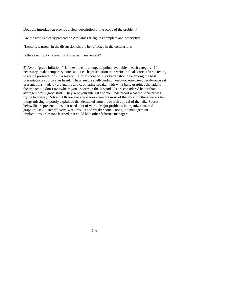Does the introduction provide a clear description of the scope of the problem?

Are the results clearly presented? Are tables & figures complete and descriptive?

"Lessons learned" in the discussion should be reflected in the conclusions

Is the case history relevant to fisheries management?

5) Avoid "grade inflation." Utilize the entire range of points available in each category. If necessary, make temporary notes about each presentation then write in final scores after listening to all the presentations in a session. A total score of 90 or better should be among the best presentations you've ever heard. These are the spell-binding, keep-you -on-the-edge-of-your-seat presentations made by a dynamic and captivating speaker with whiz-bang graphics that add to the impact but don't overwhelm you. Scores in the 70s and 80s are considered better than average - pretty good stuff. They kept your interest and you understood what the speaker was trying to convey. 50s and 60s are average scores - you got most of the story but there were a few things missing or poorly explained that detracted from the overall app eal of the talk. Scores below 50 are presentations that need a lot of work. Major problems in organization, bad graphics, lack-luster delivery, weak results and weaker conclusions, no management implications or lessons learned that could help other fisheries managers.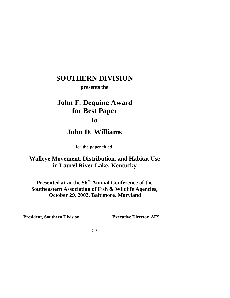**presents the**

## **John F. Dequine Award for Best Paper to**

## **John D. Williams**

**for the paper titled,**

### **Walleye Movement, Distribution, and Habitat Use in Laurel River Lake, Kentucky**

**Presented at at the 56th Annual Conference of the Southeastern Association of Fish & Wildlife Agencies, October 29, 2002, Baltimore, Maryland**

**President, Southern Division Executive Director, AFS**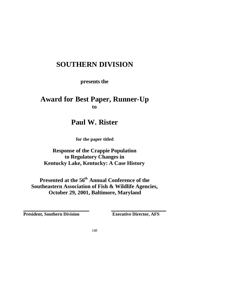**presents the**

### **Award for Best Paper, Runner-Up to**

### **Paul W. Rister**

**for the paper titled**

### **Response of the Crappie Population to Regulatory Changes in Kentucky Lake, Kentucky: A Case History**

**Presented at the 56th Annual Conference of the Southeastern Association of Fish & Wildlife Agencies, October 29, 2001, Baltimore, Maryland**

**President, Southern Division Executive Director, AFS**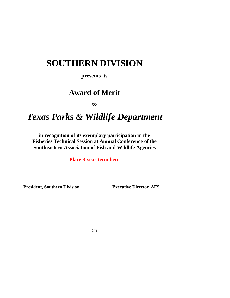**presents its**

## **Award of Merit**

**to**

## *Texas Parks & Wildlife Department*

**in recognition of its exemplary participation in the Fisheries Technical Session at Annual Conference of the Southeastern Association of Fish and Wildlife Agencies** 

**Place 3-year term here**

**President, Southern Division Executive Director, AFS**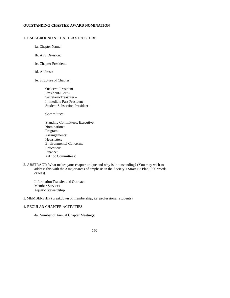### **OUTSTANDING CHAPTER AWARD NOMINATION**

#### 1. BACKGROUND & CHAPTER STRUCTURE

1a. Chapter Name:

- 1b. AFS Division:
- 1c. Chapter President:
- 1d. Address:
- 1e. Structure of Chapter:

Officers: President - President-Elect - Secretary-Treasurer – Immediate Past President - Student Subsection President -

Committees:

- Standing Committees: Executive: Nominations: Program: Arrangements: Newsletter: Environmental Concerns: Education: Finance: Ad hoc Committees:
- 2. ABSTRACT: What makes your chapter unique and why is it outstanding? (You may wish to address this with the 3 major areas of emphasis in the Society's Strategic Plan; 300 words or less).

Information Transfer and Outreach Member Services Aquatic Stewardship

3. MEMBERSHIP (breakdown of membership, i.e. professional, students)

### 4. REGULAR CHAPTER ACTIVITIES

4a. Number of Annual Chapter Meetings: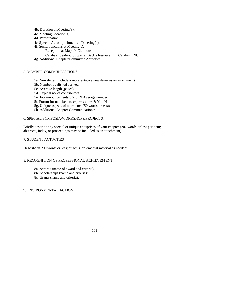4b. Duration of Meeting(s):

4c. Meeting Location(s):

4d. Participation:

4e. Special Accomplishments of Meeting(s):

- 4f. Social functions at Meeting(s):
	- Reception at Maple's Clubhouse
	- Calabash Seafood Supper at Beck's Restaurant in Calabash, NC
- 4g. Additional Chapter/Committee Activities:

### 5. MEMBER COMMUNICATIONS

- 5a. Newsletter (include a representative newsletter as an attachment).
- 5b. Number published per year:
- 5c. Average length (pages):
- 5d. Typical no. of contributors:
- 5e. Job announcements?: Y or N Average number:
- 5f. Forum for members to express views?: Y or N
- 5g. Unique aspects of newsletter (50 words or less):
- 5h. Additional Chapter Communications:

### 6. SPECIAL SYMPOSIA/WORKSHOPS/PROJECTS:

Briefly describe any special or unique enterprises of your chapter (200 words or less per item; abstracts, index, or proceedings may be included as an attachment).

### 7. STUDENT ACTIVITIES

Describe in 200 words or less; attach supplemental material as needed:

### 8. RECOGNITION OF PROFESSIONAL ACHIEVEMENT

- 8a. Awards (name of award and criteria):
- 8b. Scholarships (name and criteria):
- 8c. Grants (name and criteria):

### 9. ENVIRONMENTAL ACTION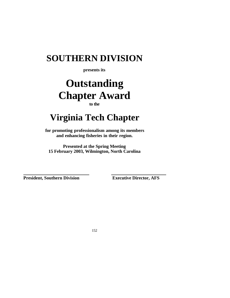**presents its**

## **Outstanding Chapter Award to the**

# **Virginia Tech Chapter**

**for promoting professionalism among its members and enhancing fisheries in their region.**

**Presented at the Spring Meeting 15 February 2003, Wilmington, North Carolina**

**President, Southern Division Executive Director, AFS**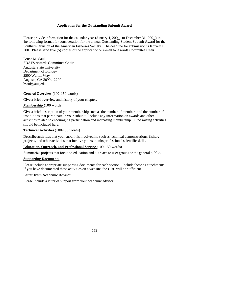#### **Application for the Outstanding Subunit Award**

Please provide information for the calendar year (January 1, 200 to December 31, 200 ) in the following format for consideration for the annual Outstanding Student Subunit Award for the Southern Division of the American Fisheries Society. The deadline for submission is January 1, 200. Please send five (5) copies of the application or e-mail to Awards Committee Chair:

Bruce M. Saul SDAFS Awards Committee Chair Augusta State University Department of Biology 2500 Walton Way Augusta, GA 30904-2200 bsaul@aug.edu

### **General Overview** (100-150 words)

Give a brief overview and history of your chapter.

### **Membership** (100 words)

Give a brief description of your membership such as the number of members and the number of institutions that participate in your subunit. Include any information on awards and other activities related to encouraging participation and increasing membership. Fund raising activities should be included here.

### **Technical Activities** (100-150 words)

Describe activities that your subunit is involved in, such as technical demonstrations, fishery projects, and other activities that involve your subunits professional scientific skills.

### **Education, Outreach, and Professional Service** (100-150 words)

Summarize projects that focus on education and outreach to user groups or the general public.

#### **Supporting Documents**

Please include appropriate supporting documents for each section. Include these as attachments. If you have documented these activities on a website, the URL will be sufficient.

### **Letter from Academic Advisor**

Please include a letter of support from your academic advisor.

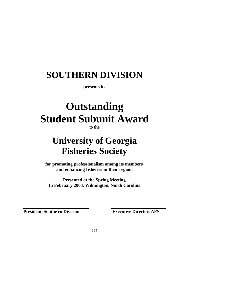**presents its**

# **Outstanding Student Subunit Award**

**to the**

# **University of Georgia Fisheries Society**

**for promoting professionalism among its members and enhancing fisheries in their region.**

**Presented at the Spring Meeting 15 February 2003, Wilmington, North Carolina**

**President, Southe rn Division** Executive Director, AFS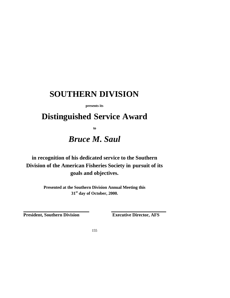**presents its**

## **Distinguished Service Award**

**to**

## *Bruce M. Saul*

**in recognition of his dedicated service to the Southern Division of the American Fisheries Society in pursuit of its goals and objectives.**

> **Presented at the Southern Division Annual Meeting this 31st day of October, 2000.**

**President, Southern Division Executive Director, AFS**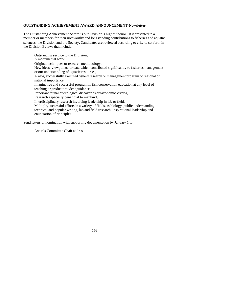#### **OUTSTANDING ACHIEVEMENT AWARD ANNOUNCEMENT-Newsletter**

The Outstanding Achievement Award is our Division's highest honor. It is presented to a member or members for their noteworthy and longstanding contributions to fisheries and aquatic sciences, the Division and the Society. Candidates are reviewed according to criteria set forth in the Division Bylaws that include:

Outstanding service to the Division, A monumental work, Original techniques or research methodology, New ideas, viewpoints, or data which contributed significantly to fisheries management or our understanding of aquatic resources, A new, successfully executed fishery research or management program of regional or national importance, Imaginative and successful program in fish conservation education at any level of teaching or graduate student guidance, Important faunal or ecological discoveries or taxonomic criteria, Research especially beneficial to mankind, Interdisciplinary research involving leadership in lab or field, Multiple, successful efforts in a variety of fields, as biology, public understanding, technical and popular writing, lab and field research, inspirational leadership and enunciation of principles.

Send letters of nomination with supporting documentation by January 1 to:

Awards Committee Chair address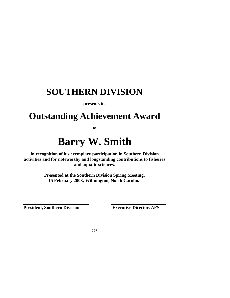**presents its**

## **Outstanding Achievement Award**

**to**

# **Barry W. Smith**

**in recognition of his exemplary participation in Southern Division activities and for noteworthy and longstanding contributions to fisheries and aquatic sciences.**

> **Presented at the Southern Division Spring Meeting, 15 February 2003, Wilmington, North Carolina**

**President, Southern Division Executive Director, AFS**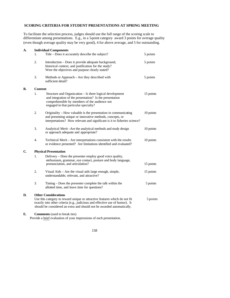### **SCORING CRITERIA FOR STUDENT PRESENTATIONS AT SPRING MEETING**

To facilitate the selection process, judges should use the full range of the scoring scale to differentiate among presentations. E.g., in a 5-point category award 3 points for average quality (even though average quality may be very good), 4 for above average, and 5 for outstanding.

| A.           |                | <b>Individual Components</b>                                                                                                                                                                                                                                        |           |
|--------------|----------------|---------------------------------------------------------------------------------------------------------------------------------------------------------------------------------------------------------------------------------------------------------------------|-----------|
|              | 1.             | Title - Does it accurately describe the subject?                                                                                                                                                                                                                    | 5 points  |
|              | $\overline{2}$ | Introduction - Does it provide adequate background,<br>historical context, and justification for the study?<br>Were the objectives and purpose clearly stated?                                                                                                      | 5 points  |
|              | 3.             | Methods or Approach - Are they described with<br>sufficient detail?                                                                                                                                                                                                 | 5 points  |
| В.           | Content        |                                                                                                                                                                                                                                                                     |           |
|              | 1.             | Structure and Organization – Is there logical development<br>and integration of the presentation? Is the presentation<br>comprehensible by members of the audience not<br>engaged in that particular specialty?                                                     | 15 points |
|              | $\overline{2}$ | Originality - How valuable is the presentation in communicating<br>and presenting unique or innovative methods, concepts, or<br>interpretations? How relevant and significant is it to fisheries science?                                                           | 10 points |
|              | 3.             | Analytical Merit – Are the analytical methods and study design<br>or approach adequate and appropriate?                                                                                                                                                             | 10 points |
|              | 4.             | Technical Merit – Are interpretations consistent with the results<br>or evidence presented? Are limitations identified and evaluated?                                                                                                                               | 10 points |
| $\mathbf{C}$ |                | <b>Physical Presentation</b>                                                                                                                                                                                                                                        |           |
|              | 1.             | Delivery – Does the presenter employ good voice quality,<br>enthusiasm, grammar, eye contact, posture and body language,<br>pronunciation, and articulation?                                                                                                        | 15 points |
|              | $\overline{2}$ | Visual Aids - Are the visual aids large enough, simple,<br>understandable, relevant, and attractive?                                                                                                                                                                | 15 points |
|              | 3.             | Timing – Does the presenter complete the talk within the<br>allotted time, and leave time for questions?                                                                                                                                                            | 5 points  |
| D.           |                | <b>Other Considerations</b><br>Use this category to reward unique or attractive features which do not fit<br>exactly into other criteria (e.g., judicious and effective use of humor). It<br>should be considered an extra and should not be awarded automatically. | 5 points  |
| г            |                | Commonte (used to break tige)                                                                                                                                                                                                                                       |           |

**E. Comments** (used to break ties)

Provide a brief evaluation of your impressions of each presentation.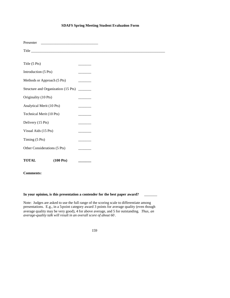### **SDAFS Spring Meeting Student Evaluation Form**

| Presenter                           |                                                                                       |
|-------------------------------------|---------------------------------------------------------------------------------------|
| Title                               |                                                                                       |
|                                     |                                                                                       |
| Title (5 Pts)                       |                                                                                       |
| Introduction (5 Pts)                |                                                                                       |
| Methods or Approach (5 Pts)         | <b>Contract Contract</b>                                                              |
| Structure and Organization (15 Pts) | $\mathcal{L}^{\text{max}}_{\text{max}}$ , and $\mathcal{L}^{\text{max}}_{\text{max}}$ |
| Originality (10 Pts)                |                                                                                       |
| Analytical Merit (10 Pts)           |                                                                                       |
| Technical Merit (10 Pts)            |                                                                                       |
| Delivery (15 Pts)                   |                                                                                       |
| Visual Aids (15 Pts)                |                                                                                       |
| Timing (5 Pts)                      |                                                                                       |
| Other Considerations (5 Pts)        |                                                                                       |
| <b>TOTAL</b><br>$(100 \text{ Pts})$ |                                                                                       |

### **Comments:**

### In your opinion, is this presentation a contender for the best paper award? \_\_\_\_\_

Note: Judges are asked to use the full range of the scoring scale to differentiate among presentations. E.g., in a 5-point category award 3 points for average quality (even though average quality may be very good), 4 for above average, and 5 for outstanding*. Thus, an average-quality talk will result in an overall score of about 60* .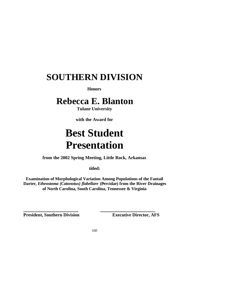**Honors**

## **Rebecca E. Blanton**

**Tulane University**

**with the Award for** 

# **Best Student Presentation**

**from the 2002 Spring Meeting, Little Rock, Arkansas**

**titled:**

**Examination of Morphological Variation Among Populations of the Fantail Darter,** *Etheostoma (Catonotus) flabellare* **(Percidae) from the River Drainages of North Carolina, South Carolina, Tennessee & Virginia**

**President, Southern Division Executive Director, AFS**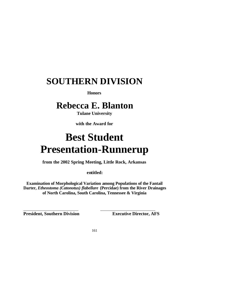**Honors**

## **Rebecca E. Blanton**

**Tulane University**

**with the Award for** 

# **Best Student Presentation-Runnerup**

**from the 2002 Spring Meeting, Little Rock, Arkansas**

**entitled:**

**Examination of Morphological Variation among Populations of the Fantail Darter,** *Etheostoma (Catonotus) flabellare* **(Percidae) from the River Drainages of North Carolina, South Carolina, Tennessee & Virginia**

**President, Southern Division Executive Director, AFS**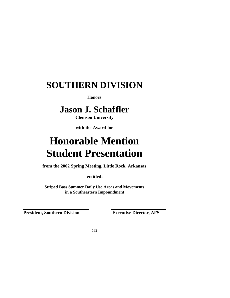**Honors**

## **Jason J. Schaffler**

**Clemson University**

**with the Award for** 

# **Honorable Mention Student Presentation**

**from the 2002 Spring Meeting, Little Rock, Arkansas**

**entitled:**

**Striped Bass Summer Daily Use Areas and Movements in a Southeastern Impoundment**

**President, Southern Division Executive Director, AFS**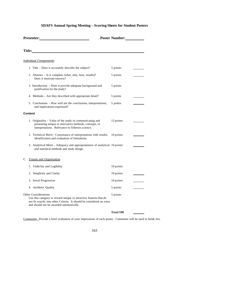### **SDAFS Annual Spring Meeting – Scoring Sheets for Student Posters**

| Presenter:                                                                                                                                                                                                                          | <b>Poster Number:</b> |  |
|-------------------------------------------------------------------------------------------------------------------------------------------------------------------------------------------------------------------------------------|-----------------------|--|
| <b>Title:</b> The contract of the contract of the contract of the contract of the contract of the contract of the contract of the contract of the contract of the contract of the contract of the contract of the contract of the c |                       |  |
| <b>Individual Components</b>                                                                                                                                                                                                        |                       |  |
| 1. Title – Does it accurately describe the subject?                                                                                                                                                                                 | 5 points              |  |
| 2. Abstract - Is it complete (what, why, how, results)?<br>Does it motivate interest?                                                                                                                                               | 5 points              |  |
| 3. Introduction – Does it provide adequate background and<br>justification for the study?                                                                                                                                           | 5 points              |  |
| 4. Methods – Are they described with appropriate detail?                                                                                                                                                                            | 5 points              |  |
| 5. Conclusions - How well are the conclusions, interpretations,<br>and implications expressed?                                                                                                                                      | 5 points              |  |
| Content                                                                                                                                                                                                                             |                       |  |
| 1. Originality – Value of the study in communicating and<br>presenting unique or innovative methods, concepts, or<br>interpretations. Relevance to fisheries science.                                                               | 15 points             |  |
| 2. Technical Merit-Consonance of interpretations with results;<br>identification and evaluation of limitations.                                                                                                                     | 10 points             |  |
| 3. Analytical Merit - Adequacy and appropriateness of analytical 10 points<br>and statistical methods and study design.                                                                                                             |                       |  |
| C. Visuals and Organization                                                                                                                                                                                                         |                       |  |
| 1. Visibi lity and Legibility                                                                                                                                                                                                       | 10 points             |  |
| 2. Simplicity and Clarity                                                                                                                                                                                                           | 10 points             |  |
| 3. Serial Progression                                                                                                                                                                                                               | 10 points             |  |
| 4. Aesthetic Quality                                                                                                                                                                                                                | 5 points              |  |
| <b>Other Considerations</b><br>Use this category to reward unique or attractive features that do<br>not fit exactly into other Criteria. It should be considered an extra<br>and should not be awarded automatically.               | 5 points              |  |
|                                                                                                                                                                                                                                     | Total 100             |  |

Comments: Provide a brief evaluation of your impressions of each poster. Comments will be used to break ties.

| ۰,<br>I<br>w<br>٧<br>.,<br>۰. |
|-------------------------------|
|-------------------------------|